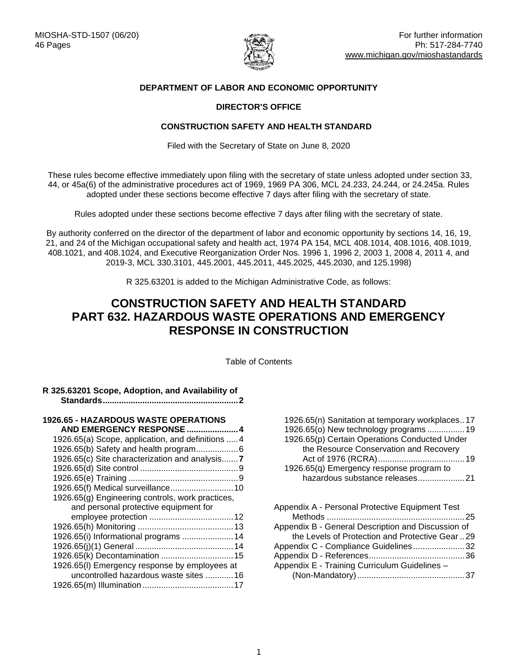

# **DEPARTMENT OF LABOR AND ECONOMIC OPPORTUNITY**

# **DIRECTOR'S OFFICE**

### **CONSTRUCTION SAFETY AND HEALTH STANDARD**

Filed with the Secretary of State on June 8, 2020

These rules become effective immediately upon filing with the secretary of state unless adopted under section 33, 44, or 45a(6) of the administrative procedures act of 1969, 1969 PA 306, MCL 24.233, 24.244, or 24.245a. Rules adopted under these sections become effective 7 days after filing with the secretary of state.

Rules adopted under these sections become effective 7 days after filing with the secretary of state.

By authority conferred on the director of the department of labor and economic opportunity by sections 14, 16, 19, 21, and 24 of the Michigan occupational safety and health act, 1974 PA 154, MCL 408.1014, 408.1016, 408.1019, 408.1021, and 408.1024, and Executive Reorganization Order Nos. 1996 1, 1996 2, 2003 1, 2008 4, 2011 4, and 2019-3, MCL 330.3101, 445.2001, 445.2011, 445.2025, 445.2030, and 125.1998)

R 325.63201 is added to the Michigan Administrative Code, as follows:

# **CONSTRUCTION SAFETY AND HEALTH STANDARD PART 632. HAZARDOUS WASTE OPERATIONS AND EMERGENCY RESPONSE IN CONSTRUCTION**

Table of Contents

| R 325.63201 Scope, Adoption, and Availability of                  |
|-------------------------------------------------------------------|
| 1926.65 - HAZARDOUS WASTE OPERATIONS<br>AND EMERGENCY RESPONSE  4 |
| 1926.65(a) Scope, application, and definitions  4                 |
| 1926.65(b) Safety and health program6                             |
| 1926.65(c) Site characterization and analysis7                    |
|                                                                   |
|                                                                   |
| 1926.65(f) Medical surveillance 10                                |
| 1926.65(g) Engineering controls, work practices,                  |
| and personal protective equipment for                             |
|                                                                   |
|                                                                   |
| 1926.65(i) Informational programs  14                             |
|                                                                   |
|                                                                   |
| 1926.65(I) Emergency response by employees at                     |
| uncontrolled hazardous waste sites  16                            |
|                                                                   |
|                                                                   |

| 1926.65(n) Sanitation at temporary workplaces17 |
|-------------------------------------------------|
| 1926.65(o) New technology programs  19          |
|                                                 |
|                                                 |
|                                                 |
|                                                 |
|                                                 |
|                                                 |

| Appendix A - Personal Protective Equipment Test    |  |
|----------------------------------------------------|--|
|                                                    |  |
| Appendix B - General Description and Discussion of |  |
| the Levels of Protection and Protective Gear  29   |  |
| Appendix C - Compliance Guidelines32               |  |
|                                                    |  |
| Appendix E - Training Curriculum Guidelines -      |  |
|                                                    |  |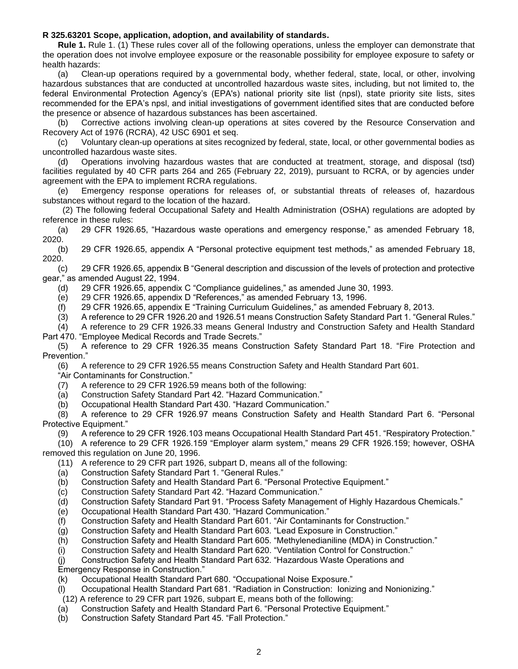#### <span id="page-1-0"></span>**R 325.63201 Scope, application, adoption, and availability of standards.**

**Rule 1.** Rule 1. (1) These rules cover all of the following operations, unless the employer can demonstrate that the operation does not involve employee exposure or the reasonable possibility for employee exposure to safety or health hazards:

(a) Clean-up operations required by a governmental body, whether federal, state, local, or other, involving hazardous substances that are conducted at uncontrolled hazardous waste sites, including, but not limited to, the federal Environmental Protection Agency's (EPA's) national priority site list (npsl), state priority site lists, sites recommended for the EPA's npsl, and initial investigations of government identified sites that are conducted before the presence or absence of hazardous substances has been ascertained.

(b) Corrective actions involving clean-up operations at sites covered by the Resource Conservation and Recovery Act of 1976 (RCRA), 42 USC 6901 et seq.

(c) Voluntary clean-up operations at sites recognized by federal, state, local, or other governmental bodies as uncontrolled hazardous waste sites.

(d) Operations involving hazardous wastes that are conducted at treatment, storage, and disposal (tsd) facilities regulated by 40 CFR parts 264 and 265 (February 22, 2019), pursuant to RCRA, or by agencies under agreement with the EPA to implement RCRA regulations.

Emergency response operations for releases of, or substantial threats of releases of, hazardous substances without regard to the location of the hazard.

 (2) The following federal Occupational Safety and Health Administration (OSHA) regulations are adopted by reference in these rules:

(a) 29 CFR 1926.65, "Hazardous waste operations and emergency response," as amended February 18, 2020.

(b) 29 CFR 1926.65, appendix A "Personal protective equipment test methods," as amended February 18, 2020.

(c) 29 CFR 1926.65, appendix B "General description and discussion of the levels of protection and protective gear," as amended August 22, 1994.

(d) 29 CFR 1926.65, appendix C "Compliance guidelines," as amended June 30, 1993.

(e) 29 CFR 1926.65, appendix D "References," as amended February 13, 1996.

(f) 29 CFR 1926.65, appendix E "Training Curriculum Guidelines," as amended February 8, 2013.

(3) A reference to 29 CFR 1926.20 and 1926.51 means Construction Safety Standard Part 1. "General Rules." (4) A reference to 29 CFR 1926.33 means General Industry and Construction Safety and Health Standard

Part 470. "Employee Medical Records and Trade Secrets."

(5) A reference to 29 CFR 1926.35 means Construction Safety Standard Part 18. "Fire Protection and Prevention."

(6) A reference to 29 CFR 1926.55 means Construction Safety and Health Standard Part 601.

"Air Contaminants for Construction."

(7) A reference to 29 CFR 1926.59 means both of the following:

(a) Construction Safety Standard Part 42. "Hazard Communication."

(b) Occupational Health Standard Part 430. "Hazard Communication."

(8) A reference to 29 CFR 1926.97 means Construction Safety and Health Standard Part 6. "Personal Protective Equipment."

(9) A reference to 29 CFR 1926.103 means Occupational Health Standard Part 451. "Respiratory Protection."

(10) A reference to 29 CFR 1926.159 "Employer alarm system," means 29 CFR 1926.159; however, OSHA removed this regulation on June 20, 1996.

(11) A reference to 29 CFR part 1926, subpart D, means all of the following:

- (a) Construction Safety Standard Part 1. "General Rules."
- (b) Construction Safety and Health Standard Part 6. "Personal Protective Equipment."
- (c) Construction Safety Standard Part 42. "Hazard Communication."
- (d) Construction Safety Standard Part 91. "Process Safety Management of Highly Hazardous Chemicals."
- (e) Occupational Health Standard Part 430. "Hazard Communication."
- (f) Construction Safety and Health Standard Part 601. "Air Contaminants for Construction."

(g) Construction Safety and Health Standard Part 603. "Lead Exposure in Construction."

- (h) Construction Safety and Health Standard Part 605. "Methylenedianiline (MDA) in Construction."
- (i) Construction Safety and Health Standard Part 620. "Ventilation Control for Construction."

(j) Construction Safety and Health Standard Part 632. "Hazardous Waste Operations and

Emergency Response in Construction."

(k) Occupational Health Standard Part 680. "Occupational Noise Exposure."

(l) Occupational Health Standard Part 681. "Radiation in Construction: Ionizing and Nonionizing."

(12) A reference to 29 CFR part 1926, subpart E, means both of the following:

(a) Construction Safety and Health Standard Part 6. "Personal Protective Equipment."

(b) Construction Safety Standard Part 45. "Fall Protection."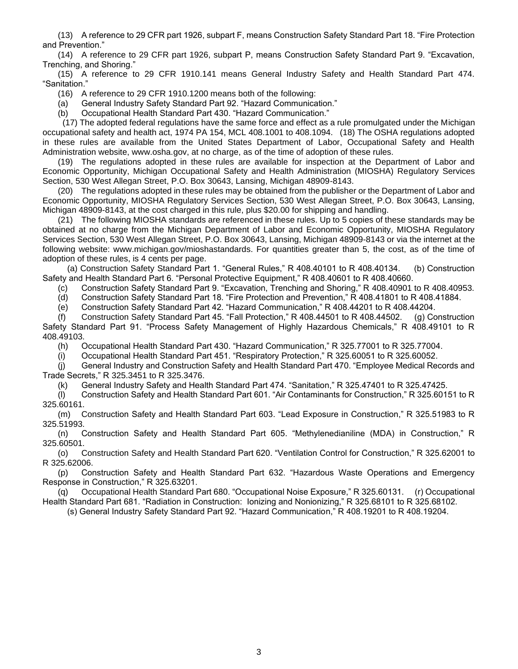(13) A reference to 29 CFR part 1926, subpart F, means Construction Safety Standard Part 18. "Fire Protection and Prevention."

(14) A reference to 29 CFR part 1926, subpart P, means Construction Safety Standard Part 9. "Excavation, Trenching, and Shoring."

(15) A reference to 29 CFR 1910.141 means General Industry Safety and Health Standard Part 474. "Sanitation."

(16) A reference to 29 CFR 1910.1200 means both of the following:

(a) General Industry Safety Standard Part 92. "Hazard Communication."

(b) Occupational Health Standard Part 430. "Hazard Communication."

 (17) The adopted federal regulations have the same force and effect as a rule promulgated under the Michigan occupational safety and health act, 1974 PA 154, MCL 408.1001 to 408.1094. (18) The OSHA regulations adopted in these rules are available from the United States Department of Labor, Occupational Safety and Health Administration website, www.osha.gov, at no charge, as of the time of adoption of these rules.

(19) The regulations adopted in these rules are available for inspection at the Department of Labor and Economic Opportunity, Michigan Occupational Safety and Health Administration (MIOSHA) Regulatory Services Section, 530 West Allegan Street, P.O. Box 30643, Lansing, Michigan 48909-8143.

(20) The regulations adopted in these rules may be obtained from the publisher or the Department of Labor and Economic Opportunity, MIOSHA Regulatory Services Section, 530 West Allegan Street, P.O. Box 30643, Lansing, Michigan 48909-8143, at the cost charged in this rule, plus \$20.00 for shipping and handling.

(21) The following MIOSHA standards are referenced in these rules. Up to 5 copies of these standards may be obtained at no charge from the Michigan Department of Labor and Economic Opportunity, MIOSHA Regulatory Services Section, 530 West Allegan Street, P.O. Box 30643, Lansing, Michigan 48909-8143 or via the internet at the following website: www.michigan.gov/mioshastandards. For quantities greater than 5, the cost, as of the time of adoption of these rules, is 4 cents per page.

 (a) Construction Safety Standard Part 1. "General Rules," R 408.40101 to R 408.40134. (b) Construction Safety and Health Standard Part 6. "Personal Protective Equipment," R 408.40601 to R 408.40660.

(c) Construction Safety Standard Part 9. "Excavation, Trenching and Shoring," R 408.40901 to R 408.40953.

(d) Construction Safety Standard Part 18. "Fire Protection and Prevention," R 408.41801 to R 408.41884.

(e) Construction Safety Standard Part 42. "Hazard Communication," R 408.44201 to R 408.44204.

(f) Construction Safety Standard Part 45. "Fall Protection," R 408.44501 to R 408.44502. (g) Construction Safety Standard Part 91. "Process Safety Management of Highly Hazardous Chemicals," R 408.49101 to R 408.49103.

(h) Occupational Health Standard Part 430. "Hazard Communication," R 325.77001 to R 325.77004.

(i) Occupational Health Standard Part 451. "Respiratory Protection," R 325.60051 to R 325.60052.

(j) General Industry and Construction Safety and Health Standard Part 470. "Employee Medical Records and Trade Secrets," R 325.3451 to R 325.3476.

(k) General Industry Safety and Health Standard Part 474. "Sanitation," R 325.47401 to R 325.47425.

(l) Construction Safety and Health Standard Part 601. "Air Contaminants for Construction," R 325.60151 to R 325.60161.

(m) Construction Safety and Health Standard Part 603. "Lead Exposure in Construction," R 325.51983 to R 325.51993.

(n) Construction Safety and Health Standard Part 605. "Methylenedianiline (MDA) in Construction," R 325.60501.

(o) Construction Safety and Health Standard Part 620. "Ventilation Control for Construction," R 325.62001 to R 325.62006.

(p) Construction Safety and Health Standard Part 632. "Hazardous Waste Operations and Emergency Response in Construction," R 325.63201.

(q) Occupational Health Standard Part 680. "Occupational Noise Exposure," R 325.60131. (r) Occupational Health Standard Part 681. "Radiation in Construction: Ionizing and Nonionizing," R 325.68101 to R 325.68102.

(s) General Industry Safety Standard Part 92. "Hazard Communication," R 408.19201 to R 408.19204.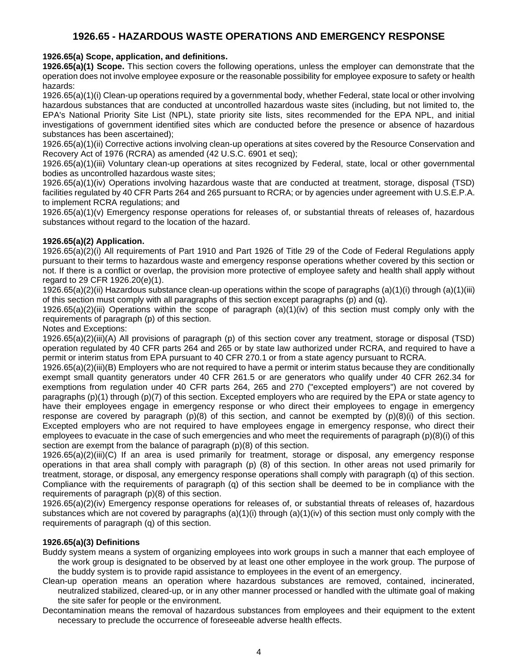# <span id="page-3-1"></span><span id="page-3-0"></span>**1926.65 - HAZARDOUS WASTE OPERATIONS AND EMERGENCY RESPONSE**

# **1926.65(a) Scope, application, and definitions.**

**1926.65(a)(1) Scope.** This section covers the following operations, unless the employer can demonstrate that the operation does not involve employee exposure or the reasonable possibility for employee exposure to safety or health hazards:

1926.65(a)(1)(i) Clean-up operations required by a governmental body, whether Federal, state local or other involving hazardous substances that are conducted at uncontrolled hazardous waste sites (including, but not limited to, the EPA's National Priority Site List (NPL), state priority site lists, sites recommended for the EPA NPL, and initial investigations of government identified sites which are conducted before the presence or absence of hazardous substances has been ascertained);

1926.65(a)(1)(ii) Corrective actions involving clean-up operations at sites covered by the Resource Conservation and Recovery Act of 1976 (RCRA) as amended (42 U.S.C. 6901 et seq);

1926.65(a)(1)(iii) Voluntary clean-up operations at sites recognized by Federal, state, local or other governmental bodies as uncontrolled hazardous waste sites;

1926.65(a)(1)(iv) Operations involving hazardous waste that are conducted at treatment, storage, disposal (TSD) facilities regulated by 40 CFR Parts 264 and 265 pursuant to RCRA; or by agencies under agreement with U.S.E.P.A. to implement RCRA regulations; and

1926.65(a)(1)(v) Emergency response operations for releases of, or substantial threats of releases of, hazardous substances without regard to the location of the hazard.

# **1926.65(a)(2) Application.**

1926.65(a)(2)(i) All requirements of Part 1910 and Part 1926 of Title 29 of the Code of Federal Regulations apply pursuant to their terms to hazardous waste and emergency response operations whether covered by this section or not. If there is a conflict or overlap, the provision more protective of employee safety and health shall apply without regard to 29 CFR 1926.20(e)(1).

1926.65(a)(2)(ii) Hazardous substance clean-up operations within the scope of paragraphs (a)(1)(i) through (a)(1)(iii) of this section must comply with all paragraphs of this section except paragraphs (p) and (q).

1926.65(a)(2)(iii) Operations within the scope of paragraph (a)(1)(iv) of this section must comply only with the requirements of paragraph (p) of this section.

#### Notes and Exceptions:

1926.65(a)(2)(iii)(A) All provisions of paragraph (p) of this section cover any treatment, storage or disposal (TSD) operation regulated by 40 CFR parts 264 and 265 or by state law authorized under RCRA, and required to have a permit or interim status from EPA pursuant to 40 CFR 270.1 or from a state agency pursuant to RCRA.

1926.65(a)(2)(iii)(B) Employers who are not required to have a permit or interim status because they are conditionally exempt small quantity generators under 40 CFR 261.5 or are generators who qualify under 40 CFR 262.34 for exemptions from regulation under 40 CFR parts 264, 265 and 270 ("excepted employers") are not covered by paragraphs (p)(1) through (p)(7) of this section. Excepted employers who are required by the EPA or state agency to have their employees engage in emergency response or who direct their employees to engage in emergency response are covered by paragraph (p)(8) of this section, and cannot be exempted by (p)(8)(i) of this section. Excepted employers who are not required to have employees engage in emergency response, who direct their employees to evacuate in the case of such emergencies and who meet the requirements of paragraph (p)(8)(i) of this section are exempt from the balance of paragraph (p)(8) of this section.

1926.65(a)(2)(iii)(C) If an area is used primarily for treatment, storage or disposal, any emergency response operations in that area shall comply with paragraph (p) (8) of this section. In other areas not used primarily for treatment, storage, or disposal, any emergency response operations shall comply with paragraph (q) of this section. Compliance with the requirements of paragraph (q) of this section shall be deemed to be in compliance with the requirements of paragraph (p)(8) of this section.

1926.65(a)(2)(iv) Emergency response operations for releases of, or substantial threats of releases of, hazardous substances which are not covered by paragraphs  $(a)(1)(i)$  through  $(a)(1)(iv)$  of this section must only comply with the requirements of paragraph (q) of this section.

#### **1926.65(a)(3) Definitions**

Buddy system means a system of organizing employees into work groups in such a manner that each employee of the work group is designated to be observed by at least one other employee in the work group. The purpose of the buddy system is to provide rapid assistance to employees in the event of an emergency.

Clean-up operation means an operation where hazardous substances are removed, contained, incinerated, neutralized stabilized, cleared-up, or in any other manner processed or handled with the ultimate goal of making the site safer for people or the environment.

Decontamination means the removal of hazardous substances from employees and their equipment to the extent necessary to preclude the occurrence of foreseeable adverse health effects.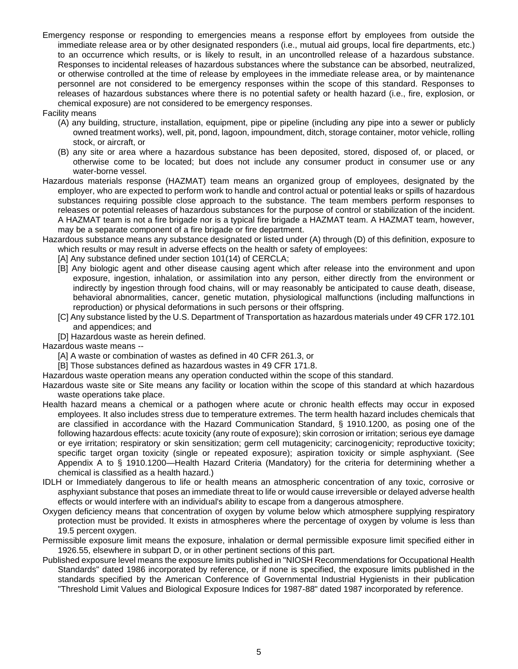- Emergency response or responding to emergencies means a response effort by employees from outside the immediate release area or by other designated responders (i.e., mutual aid groups, local fire departments, etc.) to an occurrence which results, or is likely to result, in an uncontrolled release of a hazardous substance. Responses to incidental releases of hazardous substances where the substance can be absorbed, neutralized, or otherwise controlled at the time of release by employees in the immediate release area, or by maintenance personnel are not considered to be emergency responses within the scope of this standard. Responses to releases of hazardous substances where there is no potential safety or health hazard (i.e., fire, explosion, or chemical exposure) are not considered to be emergency responses.
- Facility means
	- (A) any building, structure, installation, equipment, pipe or pipeline (including any pipe into a sewer or publicly owned treatment works), well, pit, pond, lagoon, impoundment, ditch, storage container, motor vehicle, rolling stock, or aircraft, or
	- (B) any site or area where a hazardous substance has been deposited, stored, disposed of, or placed, or otherwise come to be located; but does not include any consumer product in consumer use or any water-borne vessel.
- Hazardous materials response (HAZMAT) team means an organized group of employees, designated by the employer, who are expected to perform work to handle and control actual or potential leaks or spills of hazardous substances requiring possible close approach to the substance. The team members perform responses to releases or potential releases of hazardous substances for the purpose of control or stabilization of the incident. A HAZMAT team is not a fire brigade nor is a typical fire brigade a HAZMAT team. A HAZMAT team, however, may be a separate component of a fire brigade or fire department.
- Hazardous substance means any substance designated or listed under (A) through (D) of this definition, exposure to which results or may result in adverse effects on the health or safety of employees:

[A] Any substance defined under section 101(14) of CERCLA;

- [B] Any biologic agent and other disease causing agent which after release into the environment and upon exposure, ingestion, inhalation, or assimilation into any person, either directly from the environment or indirectly by ingestion through food chains, will or may reasonably be anticipated to cause death, disease, behavioral abnormalities, cancer, genetic mutation, physiological malfunctions (including malfunctions in reproduction) or physical deformations in such persons or their offspring.
- [C] Any substance listed by the U.S. Department of Transportation as hazardous materials under 49 CFR 172.101 and appendices; and
- [D] Hazardous waste as herein defined.

Hazardous waste means --

- [A] A waste or combination of wastes as defined in 40 CFR 261.3, or
- [B] Those substances defined as hazardous wastes in 49 CFR 171.8.

Hazardous waste operation means any operation conducted within the scope of this standard.

Hazardous waste site or Site means any facility or location within the scope of this standard at which hazardous waste operations take place.

- Health hazard means a chemical or a pathogen where acute or chronic health effects may occur in exposed employees. It also includes stress due to temperature extremes. The term health hazard includes chemicals that are classified in accordance with the Hazard Communication Standard, § 1910.1200, as posing one of the following hazardous effects: acute toxicity (any route of exposure); skin corrosion or irritation; serious eye damage or eye irritation; respiratory or skin sensitization; germ cell mutagenicity; carcinogenicity; reproductive toxicity; specific target organ toxicity (single or repeated exposure); aspiration toxicity or simple asphyxiant. (See Appendix A to § 1910.1200—Health Hazard Criteria (Mandatory) for the criteria for determining whether a chemical is classified as a health hazard.)
- IDLH or Immediately dangerous to life or health means an atmospheric concentration of any toxic, corrosive or asphyxiant substance that poses an immediate threat to life or would cause irreversible or delayed adverse health effects or would interfere with an individual's ability to escape from a dangerous atmosphere.
- Oxygen deficiency means that concentration of oxygen by volume below which atmosphere supplying respiratory protection must be provided. It exists in atmospheres where the percentage of oxygen by volume is less than 19.5 percent oxygen.
- Permissible exposure limit means the exposure, inhalation or dermal permissible exposure limit specified either in 1926.55, elsewhere in subpart D, or in other pertinent sections of this part.
- Published exposure level means the exposure limits published in "NIOSH Recommendations for Occupational Health Standards" dated 1986 incorporated by reference, or if none is specified, the exposure limits published in the standards specified by the American Conference of Governmental Industrial Hygienists in their publication "Threshold Limit Values and Biological Exposure Indices for 1987-88" dated 1987 incorporated by reference.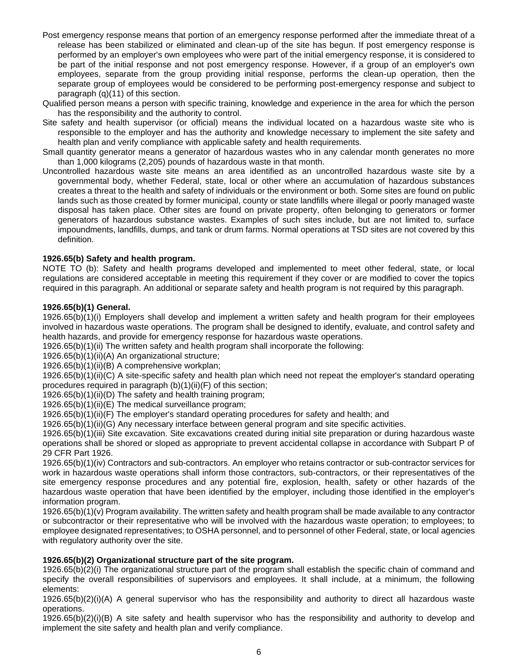- Post emergency response means that portion of an emergency response performed after the immediate threat of a release has been stabilized or eliminated and clean-up of the site has begun. If post emergency response is performed by an employer's own employees who were part of the initial emergency response, it is considered to be part of the initial response and not post emergency response. However, if a group of an employer's own employees, separate from the group providing initial response, performs the clean-up operation, then the separate group of employees would be considered to be performing post-emergency response and subject to paragraph (q)(11) of this section.
- Qualified person means a person with specific training, knowledge and experience in the area for which the person has the responsibility and the authority to control.
- Site safety and health supervisor (or official) means the individual located on a hazardous waste site who is responsible to the employer and has the authority and knowledge necessary to implement the site safety and health plan and verify compliance with applicable safety and health requirements.
- Small quantity generator means a generator of hazardous wastes who in any calendar month generates no more than 1,000 kilograms (2,205) pounds of hazardous waste in that month.
- Uncontrolled hazardous waste site means an area identified as an uncontrolled hazardous waste site by a governmental body, whether Federal, state, local or other where an accumulation of hazardous substances creates a threat to the health and safety of individuals or the environment or both. Some sites are found on public lands such as those created by former municipal, county or state landfills where illegal or poorly managed waste disposal has taken place. Other sites are found on private property, often belonging to generators or former generators of hazardous substance wastes. Examples of such sites include, but are not limited to, surface impoundments, landfills, dumps, and tank or drum farms. Normal operations at TSD sites are not covered by this definition.

# <span id="page-5-0"></span>**1926.65(b) Safety and health program.**

NOTE TO (b): Safety and health programs developed and implemented to meet other federal, state, or local regulations are considered acceptable in meeting this requirement if they cover or are modified to cover the topics required in this paragraph. An additional or separate safety and health program is not required by this paragraph.

#### **1926.65(b)(1) General.**

1926.65(b)(1)(i) Employers shall develop and implement a written safety and health program for their employees involved in hazardous waste operations. The program shall be designed to identify, evaluate, and control safety and health hazards, and provide for emergency response for hazardous waste operations.

1926.65(b)(1)(ii) The written safety and health program shall incorporate the following:

1926.65(b)(1)(ii)(A) An organizational structure;

1926.65(b)(1)(ii)(B) A comprehensive workplan;

1926.65(b)(1)(ii)(C) A site-specific safety and health plan which need not repeat the employer's standard operating procedures required in paragraph  $(b)(1)(ii)(F)$  of this section;

1926.65(b)(1)(ii)(D) The safety and health training program;

1926.65(b)(1)(ii)(E) The medical surveillance program;

1926.65(b)(1)(ii)(F) The employer's standard operating procedures for safety and health; and

1926.65(b)(1)(ii)(G) Any necessary interface between general program and site specific activities.

1926.65(b)(1)(iii) Site excavation. Site excavations created during initial site preparation or during hazardous waste operations shall be shored or sloped as appropriate to prevent accidental collapse in accordance with Subpart P of 29 CFR Part 1926.

1926.65(b)(1)(iv) Contractors and sub-contractors. An employer who retains contractor or sub-contractor services for work in hazardous waste operations shall inform those contractors, sub-contractors, or their representatives of the site emergency response procedures and any potential fire, explosion, health, safety or other hazards of the hazardous waste operation that have been identified by the employer, including those identified in the employer's information program.

1926.65(b)(1)(v) Program availability. The written safety and health program shall be made available to any contractor or subcontractor or their representative who will be involved with the hazardous waste operation; to employees; to employee designated representatives; to OSHA personnel, and to personnel of other Federal, state, or local agencies with regulatory authority over the site.

#### **1926.65(b)(2) Organizational structure part of the site program.**

1926.65(b)(2)(i) The organizational structure part of the program shall establish the specific chain of command and specify the overall responsibilities of supervisors and employees. It shall include, at a minimum, the following elements:

1926.65(b)(2)(i)(A) A general supervisor who has the responsibility and authority to direct all hazardous waste operations.

1926.65(b)(2)(i)(B) A site safety and health supervisor who has the responsibility and authority to develop and implement the site safety and health plan and verify compliance.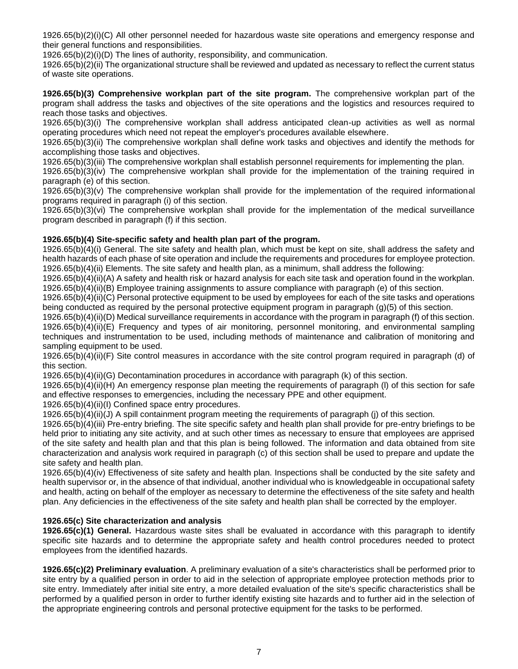1926.65(b)(2)(i)(C) All other personnel needed for hazardous waste site operations and emergency response and their general functions and responsibilities.

1926.65(b)(2)(i)(D) The lines of authority, responsibility, and communication.

1926.65(b)(2)(ii) The organizational structure shall be reviewed and updated as necessary to reflect the current status of waste site operations.

**1926.65(b)(3) Comprehensive workplan part of the site program.** The comprehensive workplan part of the program shall address the tasks and objectives of the site operations and the logistics and resources required to reach those tasks and objectives.

1926.65(b)(3)(i) The comprehensive workplan shall address anticipated clean-up activities as well as normal operating procedures which need not repeat the employer's procedures available elsewhere.

1926.65(b)(3)(ii) The comprehensive workplan shall define work tasks and objectives and identify the methods for accomplishing those tasks and objectives.

1926.65(b)(3)(iii) The comprehensive workplan shall establish personnel requirements for implementing the plan.

1926.65(b)(3)(iv) The comprehensive workplan shall provide for the implementation of the training required in paragraph (e) of this section.

1926.65(b)(3)(v) The comprehensive workplan shall provide for the implementation of the required informational programs required in paragraph (i) of this section.

1926.65(b)(3)(vi) The comprehensive workplan shall provide for the implementation of the medical surveillance program described in paragraph (f) if this section.

### **1926.65(b)(4) Site-specific safety and health plan part of the program.**

1926.65(b)(4)(i) General. The site safety and health plan, which must be kept on site, shall address the safety and health hazards of each phase of site operation and include the requirements and procedures for employee protection. 1926.65(b)(4)(ii) Elements. The site safety and health plan, as a minimum, shall address the following:

1926.65(b)(4)(ii)(A) A safety and health risk or hazard analysis for each site task and operation found in the workplan. 1926.65(b)(4)(ii)(B) Employee training assignments to assure compliance with paragraph (e) of this section.

1926.65(b)(4)(ii)(C) Personal protective equipment to be used by employees for each of the site tasks and operations being conducted as required by the personal protective equipment program in paragraph (g)(5) of this section.

1926.65(b)(4)(ii)(D) Medical surveillance requirements in accordance with the program in paragraph (f) of this section. 1926.65(b)(4)(ii)(E) Frequency and types of air monitoring, personnel monitoring, and environmental sampling techniques and instrumentation to be used, including methods of maintenance and calibration of monitoring and sampling equipment to be used.

1926.65(b)(4)(ii)(F) Site control measures in accordance with the site control program required in paragraph (d) of this section.

1926.65(b)(4)(ii)(G) Decontamination procedures in accordance with paragraph (k) of this section.

1926.65(b)(4)(ii)(H) An emergency response plan meeting the requirements of paragraph (l) of this section for safe and effective responses to emergencies, including the necessary PPE and other equipment.

1926.65(b)(4)(ii)(I) Confined space entry procedures.

1926.65(b)(4)(ii)(J) A spill containment program meeting the requirements of paragraph (j) of this section.

1926.65(b)(4)(iii) Pre-entry briefing. The site specific safety and health plan shall provide for pre-entry briefings to be held prior to initiating any site activity, and at such other times as necessary to ensure that employees are apprised of the site safety and health plan and that this plan is being followed. The information and data obtained from site characterization and analysis work required in paragraph (c) of this section shall be used to prepare and update the site safety and health plan.

1926.65(b)(4)(iv) Effectiveness of site safety and health plan. Inspections shall be conducted by the site safety and health supervisor or, in the absence of that individual, another individual who is knowledgeable in occupational safety and health, acting on behalf of the employer as necessary to determine the effectiveness of the site safety and health plan. Any deficiencies in the effectiveness of the site safety and health plan shall be corrected by the employer.

#### **1926.65(c) Site characterization and analysis**

**1926.65(c)(1) General.** Hazardous waste sites shall be evaluated in accordance with this paragraph to identify specific site hazards and to determine the appropriate safety and health control procedures needed to protect employees from the identified hazards.

**1926.65(c)(2) Preliminary evaluation**. A preliminary evaluation of a site's characteristics shall be performed prior to site entry by a qualified person in order to aid in the selection of appropriate employee protection methods prior to site entry. Immediately after initial site entry, a more detailed evaluation of the site's specific characteristics shall be performed by a qualified person in order to further identify existing site hazards and to further aid in the selection of the appropriate engineering controls and personal protective equipment for the tasks to be performed.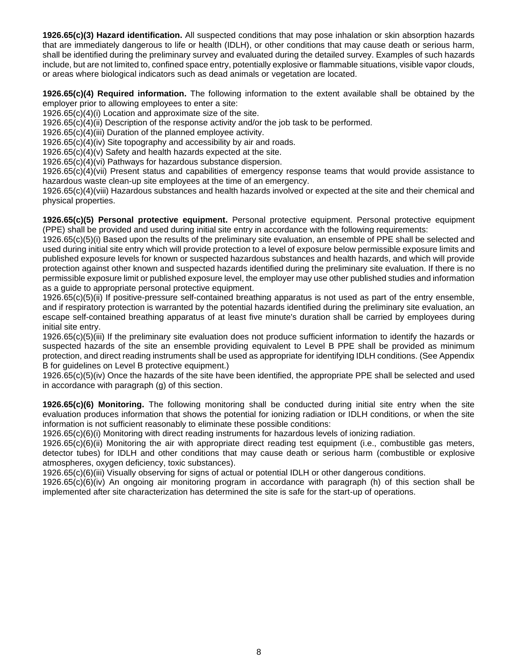**1926.65(c)(3) Hazard identification.** All suspected conditions that may pose inhalation or skin absorption hazards that are immediately dangerous to life or health (IDLH), or other conditions that may cause death or serious harm, shall be identified during the preliminary survey and evaluated during the detailed survey. Examples of such hazards include, but are not limited to, confined space entry, potentially explosive or flammable situations, visible vapor clouds, or areas where biological indicators such as dead animals or vegetation are located.

**1926.65(c)(4) Required information.** The following information to the extent available shall be obtained by the employer prior to allowing employees to enter a site:

1926.65(c)(4)(i) Location and approximate size of the site.

1926.65(c)(4)(ii) Description of the response activity and/or the job task to be performed.

1926.65(c)(4)(iii) Duration of the planned employee activity.

1926.65(c)(4)(iv) Site topography and accessibility by air and roads.

1926.65(c)(4)(v) Safety and health hazards expected at the site.

1926.65(c)(4)(vi) Pathways for hazardous substance dispersion.

1926.65(c)(4)(vii) Present status and capabilities of emergency response teams that would provide assistance to hazardous waste clean-up site employees at the time of an emergency.

1926.65(c)(4)(viii) Hazardous substances and health hazards involved or expected at the site and their chemical and physical properties.

**1926.65(c)(5) Personal protective equipment.** Personal protective equipment. Personal protective equipment (PPE) shall be provided and used during initial site entry in accordance with the following requirements:

1926.65(c)(5)(i) Based upon the results of the preliminary site evaluation, an ensemble of PPE shall be selected and used during initial site entry which will provide protection to a level of exposure below permissible exposure limits and published exposure levels for known or suspected hazardous substances and health hazards, and which will provide protection against other known and suspected hazards identified during the preliminary site evaluation. If there is no permissible exposure limit or published exposure level, the employer may use other published studies and information as a guide to appropriate personal protective equipment.

1926.65(c)(5)(ii) If positive-pressure self-contained breathing apparatus is not used as part of the entry ensemble, and if respiratory protection is warranted by the potential hazards identified during the preliminary site evaluation, an escape self-contained breathing apparatus of at least five minute's duration shall be carried by employees during initial site entry.

1926.65(c)(5)(iii) If the preliminary site evaluation does not produce sufficient information to identify the hazards or suspected hazards of the site an ensemble providing equivalent to Level B PPE shall be provided as minimum protection, and direct reading instruments shall be used as appropriate for identifying IDLH conditions. (See Appendix B for guidelines on Level B protective equipment.)

1926.65(c)(5)(iv) Once the hazards of the site have been identified, the appropriate PPE shall be selected and used in accordance with paragraph (g) of this section.

**1926.65(c)(6) Monitoring.** The following monitoring shall be conducted during initial site entry when the site evaluation produces information that shows the potential for ionizing radiation or IDLH conditions, or when the site information is not sufficient reasonably to eliminate these possible conditions:

1926.65(c)(6)(i) Monitoring with direct reading instruments for hazardous levels of ionizing radiation.

1926.65(c)(6)(ii) Monitoring the air with appropriate direct reading test equipment (i.e., combustible gas meters, detector tubes) for IDLH and other conditions that may cause death or serious harm (combustible or explosive atmospheres, oxygen deficiency, toxic substances).

1926.65(c)(6)(iii) Visually observing for signs of actual or potential IDLH or other dangerous conditions.

1926.65(c)(6)(iv) An ongoing air monitoring program in accordance with paragraph (h) of this section shall be implemented after site characterization has determined the site is safe for the start-up of operations.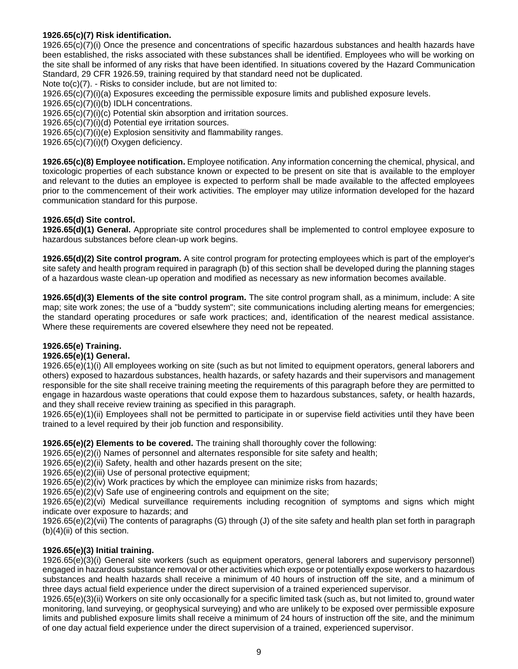# **1926.65(c)(7) Risk identification.**

1926.65(c)(7)(i) Once the presence and concentrations of specific hazardous substances and health hazards have been established, the risks associated with these substances shall be identified. Employees who will be working on the site shall be informed of any risks that have been identified. In situations covered by the Hazard Communication Standard, 29 CFR 1926.59, training required by that standard need not be duplicated.

Note to(c)(7). - Risks to consider include, but are not limited to:

1926.65(c)(7)(i)(a) Exposures exceeding the permissible exposure limits and published exposure levels.

1926.65(c)(7)(i)(b) IDLH concentrations.

1926.65(c)(7)(i)(c) Potential skin absorption and irritation sources.

1926.65(c)(7)(i)(d) Potential eye irritation sources.

1926.65(c)(7)(i)(e) Explosion sensitivity and flammability ranges.

1926.65(c)(7)(i)(f) Oxygen deficiency.

**1926.65(c)(8) Employee notification.** Employee notification. Any information concerning the chemical, physical, and toxicologic properties of each substance known or expected to be present on site that is available to the employer and relevant to the duties an employee is expected to perform shall be made available to the affected employees prior to the commencement of their work activities. The employer may utilize information developed for the hazard communication standard for this purpose.

### <span id="page-8-0"></span>**1926.65(d) Site control.**

**1926.65(d)(1) General.** Appropriate site control procedures shall be implemented to control employee exposure to hazardous substances before clean-up work begins.

**1926.65(d)(2) Site control program.** A site control program for protecting employees which is part of the employer's site safety and health program required in paragraph (b) of this section shall be developed during the planning stages of a hazardous waste clean-up operation and modified as necessary as new information becomes available.

**1926.65(d)(3) Elements of the site control program.** The site control program shall, as a minimum, include: A site map; site work zones; the use of a "buddy system"; site communications including alerting means for emergencies; the standard operating procedures or safe work practices; and, identification of the nearest medical assistance. Where these requirements are covered elsewhere they need not be repeated.

# <span id="page-8-1"></span>**1926.65(e) Training.**

# **1926.65(e)(1) General.**

1926.65(e)(1)(i) All employees working on site (such as but not limited to equipment operators, general laborers and others) exposed to hazardous substances, health hazards, or safety hazards and their supervisors and management responsible for the site shall receive training meeting the requirements of this paragraph before they are permitted to engage in hazardous waste operations that could expose them to hazardous substances, safety, or health hazards, and they shall receive review training as specified in this paragraph.

1926.65(e)(1)(ii) Employees shall not be permitted to participate in or supervise field activities until they have been trained to a level required by their job function and responsibility.

**1926.65(e)(2) Elements to be covered.** The training shall thoroughly cover the following:

1926.65(e)(2)(i) Names of personnel and alternates responsible for site safety and health;

1926.65(e)(2)(ii) Safety, health and other hazards present on the site;

1926.65(e)(2)(iii) Use of personal protective equipment;

1926.65(e)(2)(iv) Work practices by which the employee can minimize risks from hazards;

1926.65(e)(2)(v) Safe use of engineering controls and equipment on the site;

1926.65(e)(2)(vi) Medical surveillance requirements including recognition of symptoms and signs which might indicate over exposure to hazards; and

1926.65(e)(2)(vii) The contents of paragraphs (G) through (J) of the site safety and health plan set forth in paragraph  $(b)(4)(ii)$  of this section.

# **1926.65(e)(3) Initial training.**

1926.65(e)(3)(i) General site workers (such as equipment operators, general laborers and supervisory personnel) engaged in hazardous substance removal or other activities which expose or potentially expose workers to hazardous substances and health hazards shall receive a minimum of 40 hours of instruction off the site, and a minimum of three days actual field experience under the direct supervision of a trained experienced supervisor.

1926.65(e)(3)(ii) Workers on site only occasionally for a specific limited task (such as, but not limited to, ground water monitoring, land surveying, or geophysical surveying) and who are unlikely to be exposed over permissible exposure limits and published exposure limits shall receive a minimum of 24 hours of instruction off the site, and the minimum of one day actual field experience under the direct supervision of a trained, experienced supervisor.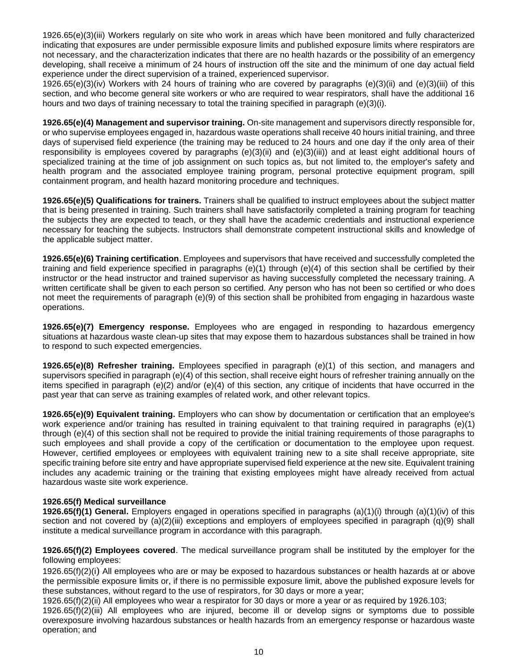1926.65(e)(3)(iii) Workers regularly on site who work in areas which have been monitored and fully characterized indicating that exposures are under permissible exposure limits and published exposure limits where respirators are not necessary, and the characterization indicates that there are no health hazards or the possibility of an emergency developing, shall receive a minimum of 24 hours of instruction off the site and the minimum of one day actual field experience under the direct supervision of a trained, experienced supervisor.

1926.65(e)(3)(iv) Workers with 24 hours of training who are covered by paragraphs (e)(3)(ii) and (e)(3)(iii) of this section, and who become general site workers or who are required to wear respirators, shall have the additional 16 hours and two days of training necessary to total the training specified in paragraph (e)(3)(i).

**1926.65(e)(4) Management and supervisor training.** On-site management and supervisors directly responsible for, or who supervise employees engaged in, hazardous waste operations shall receive 40 hours initial training, and three days of supervised field experience (the training may be reduced to 24 hours and one day if the only area of their responsibility is employees covered by paragraphs (e)(3)(ii) and (e)(3)(iii)) and at least eight additional hours of specialized training at the time of job assignment on such topics as, but not limited to, the employer's safety and health program and the associated employee training program, personal protective equipment program, spill containment program, and health hazard monitoring procedure and techniques.

**1926.65(e)(5) Qualifications for trainers.** Trainers shall be qualified to instruct employees about the subject matter that is being presented in training. Such trainers shall have satisfactorily completed a training program for teaching the subjects they are expected to teach, or they shall have the academic credentials and instructional experience necessary for teaching the subjects. Instructors shall demonstrate competent instructional skills and knowledge of the applicable subject matter.

**1926.65(e)(6) Training certification**. Employees and supervisors that have received and successfully completed the training and field experience specified in paragraphs (e)(1) through (e)(4) of this section shall be certified by their instructor or the head instructor and trained supervisor as having successfully completed the necessary training. A written certificate shall be given to each person so certified. Any person who has not been so certified or who does not meet the requirements of paragraph (e)(9) of this section shall be prohibited from engaging in hazardous waste operations.

**1926.65(e)(7) Emergency response.** Employees who are engaged in responding to hazardous emergency situations at hazardous waste clean-up sites that may expose them to hazardous substances shall be trained in how to respond to such expected emergencies.

**1926.65(e)(8) Refresher training.** Employees specified in paragraph (e)(1) of this section, and managers and supervisors specified in paragraph (e)(4) of this section, shall receive eight hours of refresher training annually on the items specified in paragraph (e)(2) and/or (e)(4) of this section, any critique of incidents that have occurred in the past year that can serve as training examples of related work, and other relevant topics.

**1926.65(e)(9) Equivalent training.** Employers who can show by documentation or certification that an employee's work experience and/or training has resulted in training equivalent to that training required in paragraphs (e)(1) through (e)(4) of this section shall not be required to provide the initial training requirements of those paragraphs to such employees and shall provide a copy of the certification or documentation to the employee upon request. However, certified employees or employees with equivalent training new to a site shall receive appropriate, site specific training before site entry and have appropriate supervised field experience at the new site. Equivalent training includes any academic training or the training that existing employees might have already received from actual hazardous waste site work experience.

# <span id="page-9-0"></span>**1926.65(f) Medical surveillance**

**1926.65(f)(1) General.** Employers engaged in operations specified in paragraphs (a)(1)(i) through (a)(1)(iv) of this section and not covered by (a)(2)(iii) exceptions and employers of employees specified in paragraph (q)(9) shall institute a medical surveillance program in accordance with this paragraph.

**1926.65(f)(2) Employees covered**. The medical surveillance program shall be instituted by the employer for the following employees:

1926.65(f)(2)(i) All employees who are or may be exposed to hazardous substances or health hazards at or above the permissible exposure limits or, if there is no permissible exposure limit, above the published exposure levels for these substances, without regard to the use of respirators, for 30 days or more a year;

1926.65(f)(2)(ii) All employees who wear a respirator for 30 days or more a year or as required by 1926.103;

1926.65(f)(2)(iii) All employees who are injured, become ill or develop signs or symptoms due to possible overexposure involving hazardous substances or health hazards from an emergency response or hazardous waste operation; and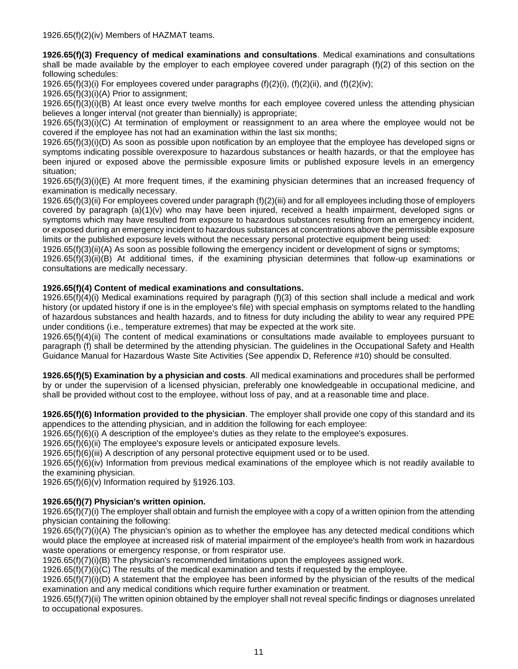1926.65(f)(2)(iv) Members of HAZMAT teams.

**1926.65(f)(3) Frequency of medical examinations and consultations**. Medical examinations and consultations shall be made available by the employer to each employee covered under paragraph (f)(2) of this section on the following schedules:

1926.65(f)(3)(i) For employees covered under paragraphs  $(f)(2)(i)$ ,  $(f)(2)(ii)$ , and  $(f)(2)(iv)$ ;

 $1926.65(f)(3)(i)(A)$  Prior to assignment;

1926.65(f)(3)(i)(B) At least once every twelve months for each employee covered unless the attending physician believes a longer interval (not greater than biennially) is appropriate;

1926.65(f)(3)(i)(C) At termination of employment or reassignment to an area where the employee would not be covered if the employee has not had an examination within the last six months;

1926.65(f)(3)(i)(D) As soon as possible upon notification by an employee that the employee has developed signs or symptoms indicating possible overexposure to hazardous substances or health hazards, or that the employee has been injured or exposed above the permissible exposure limits or published exposure levels in an emergency situation;

1926.65(f)(3)(i)(E) At more frequent times, if the examining physician determines that an increased frequency of examination is medically necessary.

1926.65(f)(3)(ii) For employees covered under paragraph (f)(2)(iii) and for all employees including those of employers covered by paragraph (a)(1)(v) who may have been injured, received a health impairment, developed signs or symptoms which may have resulted from exposure to hazardous substances resulting from an emergency incident, or exposed during an emergency incident to hazardous substances at concentrations above the permissible exposure limits or the published exposure levels without the necessary personal protective equipment being used:

1926.65(f)(3)(ii)(A) As soon as possible following the emergency incident or development of signs or symptoms;

1926.65(f)(3)(ii)(B) At additional times, if the examining physician determines that follow-up examinations or consultations are medically necessary.

# **1926.65(f)(4) Content of medical examinations and consultations.**

1926.65(f)(4)(i) Medical examinations required by paragraph (f)(3) of this section shall include a medical and work history (or updated history if one is in the employee's file) with special emphasis on symptoms related to the handling of hazardous substances and health hazards, and to fitness for duty including the ability to wear any required PPE under conditions (i.e., temperature extremes) that may be expected at the work site.

1926.65(f)(4)(ii) The content of medical examinations or consultations made available to employees pursuant to paragraph (f) shall be determined by the attending physician. The guidelines in the Occupational Safety and Health Guidance Manual for Hazardous Waste Site Activities (See appendix D, Reference #10) should be consulted.

**1926.65(f)(5) Examination by a physician and costs**. All medical examinations and procedures shall be performed by or under the supervision of a licensed physician, preferably one knowledgeable in occupational medicine, and shall be provided without cost to the employee, without loss of pay, and at a reasonable time and place.

**1926.65(f)(6) Information provided to the physician**. The employer shall provide one copy of this standard and its appendices to the attending physician, and in addition the following for each employee:

1926.65(f)(6)(i) A description of the employee's duties as they relate to the employee's exposures.

1926.65(f)(6)(ii) The employee's exposure levels or anticipated exposure levels.

1926.65(f)(6)(iii) A description of any personal protective equipment used or to be used.

1926.65(f)(6)(iv) Information from previous medical examinations of the employee which is not readily available to the examining physician.

1926.65(f)(6)(v) Information required by §1926.103.

# **1926.65(f)(7) Physician's written opinion.**

1926.65(f)(7)(i) The employer shall obtain and furnish the employee with a copy of a written opinion from the attending physician containing the following:

1926.65(f)(7)(i)(A) The physician's opinion as to whether the employee has any detected medical conditions which would place the employee at increased risk of material impairment of the employee's health from work in hazardous waste operations or emergency response, or from respirator use.

1926.65(f)(7)(i)(B) The physician's recommended limitations upon the employees assigned work.

1926.65(f)(7)(i)(C) The results of the medical examination and tests if requested by the employee.

1926.65(f)(7)(i)(D) A statement that the employee has been informed by the physician of the results of the medical examination and any medical conditions which require further examination or treatment.

1926.65(f)(7)(ii) The written opinion obtained by the employer shall not reveal specific findings or diagnoses unrelated to occupational exposures.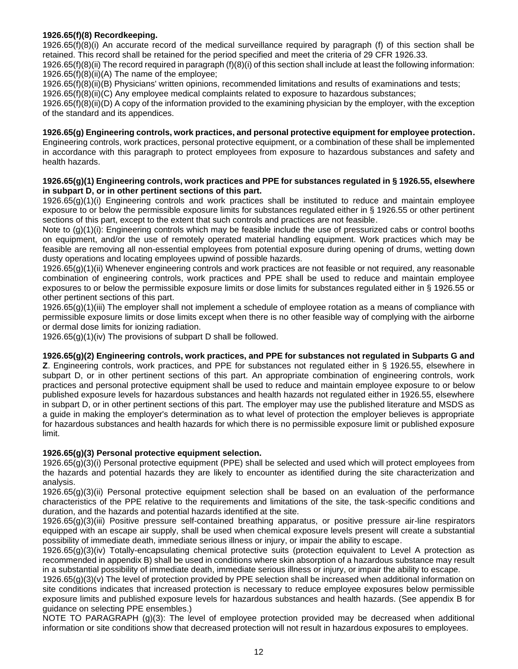### **1926.65(f)(8) Recordkeeping.**

1926.65(f)(8)(i) An accurate record of the medical surveillance required by paragraph (f) of this section shall be retained. This record shall be retained for the period specified and meet the criteria of 29 CFR 1926.33.

1926.65(f)(8)(ii) The record required in paragraph (f)(8)(i) of this section shall include at least the following information: 1926.65(f)(8)(ii)(A) The name of the employee;

1926.65(f)(8)(ii)(B) Physicians' written opinions, recommended limitations and results of examinations and tests;

1926.65(f)(8)(ii)(C) Any employee medical complaints related to exposure to hazardous substances;

1926.65(f)(8)(ii)(D) A copy of the information provided to the examining physician by the employer, with the exception of the standard and its appendices.

### <span id="page-11-0"></span>**1926.65(g) Engineering controls, work practices, and personal protective equipment for employee protection.**

Engineering controls, work practices, personal protective equipment, or a combination of these shall be implemented in accordance with this paragraph to protect employees from exposure to hazardous substances and safety and health hazards.

#### **1926.65(g)(1) Engineering controls, work practices and PPE for substances regulated in § 1926.55, elsewhere in subpart D, or in other pertinent sections of this part.**

1926.65(g)(1)(i) Engineering controls and work practices shall be instituted to reduce and maintain employee exposure to or below the permissible exposure limits for substances regulated either in § 1926.55 or other pertinent sections of this part, except to the extent that such controls and practices are not feasible.

Note to (g)(1)(i): Engineering controls which may be feasible include the use of pressurized cabs or control booths on equipment, and/or the use of remotely operated material handling equipment. Work practices which may be feasible are removing all non-essential employees from potential exposure during opening of drums, wetting down dusty operations and locating employees upwind of possible hazards.

1926.65(g)(1)(ii) Whenever engineering controls and work practices are not feasible or not required, any reasonable combination of engineering controls, work practices and PPE shall be used to reduce and maintain employee exposures to or below the permissible exposure limits or dose limits for substances regulated either in § 1926.55 or other pertinent sections of this part.

1926.65(g)(1)(iii) The employer shall not implement a schedule of employee rotation as a means of compliance with permissible exposure limits or dose limits except when there is no other feasible way of complying with the airborne or dermal dose limits for ionizing radiation.

1926.65(g)(1)(iv) The provisions of subpart D shall be followed.

#### **1926.65(g)(2) Engineering controls, work practices, and PPE for substances not regulated in Subparts G and**

**Z**. Engineering controls, work practices, and PPE for substances not regulated either in § 1926.55, elsewhere in subpart D, or in other pertinent sections of this part. An appropriate combination of engineering controls, work practices and personal protective equipment shall be used to reduce and maintain employee exposure to or below published exposure levels for hazardous substances and health hazards not regulated either in 1926.55, elsewhere in subpart D, or in other pertinent sections of this part. The employer may use the published literature and MSDS as a guide in making the employer's determination as to what level of protection the employer believes is appropriate for hazardous substances and health hazards for which there is no permissible exposure limit or published exposure limit.

# **1926.65(g)(3) Personal protective equipment selection.**

1926.65(g)(3)(i) Personal protective equipment (PPE) shall be selected and used which will protect employees from the hazards and potential hazards they are likely to encounter as identified during the site characterization and analysis.

1926.65(g)(3)(ii) Personal protective equipment selection shall be based on an evaluation of the performance characteristics of the PPE relative to the requirements and limitations of the site, the task-specific conditions and duration, and the hazards and potential hazards identified at the site.

1926.65(g)(3)(iii) Positive pressure self-contained breathing apparatus, or positive pressure air-line respirators equipped with an escape air supply, shall be used when chemical exposure levels present will create a substantial possibility of immediate death, immediate serious illness or injury, or impair the ability to escape.

1926.65(g)(3)(iv) Totally-encapsulating chemical protective suits (protection equivalent to Level A protection as recommended in appendix B) shall be used in conditions where skin absorption of a hazardous substance may result in a substantial possibility of immediate death, immediate serious illness or injury, or impair the ability to escape.

1926.65(g)(3)(v) The level of protection provided by PPE selection shall be increased when additional information on site conditions indicates that increased protection is necessary to reduce employee exposures below permissible exposure limits and published exposure levels for hazardous substances and health hazards. (See appendix B for guidance on selecting PPE ensembles.)

NOTE TO PARAGRAPH (g)(3): The level of employee protection provided may be decreased when additional information or site conditions show that decreased protection will not result in hazardous exposures to employees.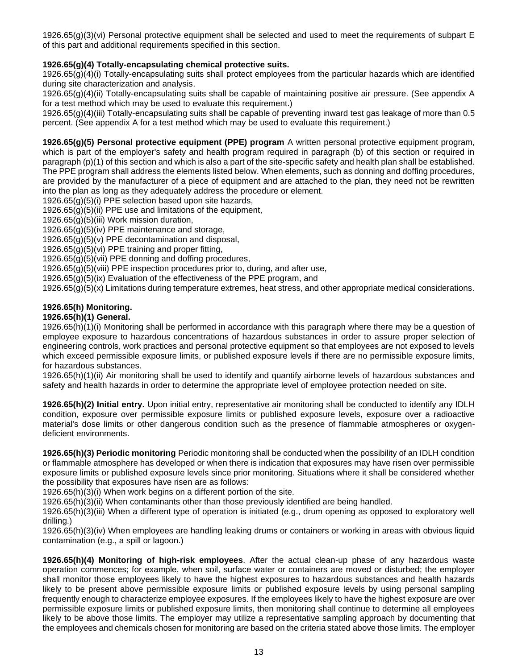1926.65(g)(3)(vi) Personal protective equipment shall be selected and used to meet the requirements of subpart E of this part and additional requirements specified in this section.

# **1926.65(g)(4) Totally-encapsulating chemical protective suits.**

1926.65(g)(4)(i) Totally-encapsulating suits shall protect employees from the particular hazards which are identified during site characterization and analysis.

1926.65(g)(4)(ii) Totally-encapsulating suits shall be capable of maintaining positive air pressure. (See appendix A for a test method which may be used to evaluate this requirement.)

1926.65(g)(4)(iii) Totally-encapsulating suits shall be capable of preventing inward test gas leakage of more than 0.5 percent. (See appendix A for a test method which may be used to evaluate this requirement.)

**1926.65(g)(5) Personal protective equipment (PPE) program** A written personal protective equipment program, which is part of the employer's safety and health program required in paragraph (b) of this section or required in paragraph (p)(1) of this section and which is also a part of the site-specific safety and health plan shall be established. The PPE program shall address the elements listed below. When elements, such as donning and doffing procedures, are provided by the manufacturer of a piece of equipment and are attached to the plan, they need not be rewritten into the plan as long as they adequately address the procedure or element.

1926.65(g)(5)(i) PPE selection based upon site hazards,

1926.65(g)(5)(ii) PPE use and limitations of the equipment,

1926.65(g)(5)(iii) Work mission duration,

1926.65(g)(5)(iv) PPE maintenance and storage,

1926.65(g)(5)(v) PPE decontamination and disposal,

1926.65(g)(5)(vi) PPE training and proper fitting,

1926.65(g)(5)(vii) PPE donning and doffing procedures,

1926.65(g)(5)(viii) PPE inspection procedures prior to, during, and after use,

1926.65(g)(5)(ix) Evaluation of the effectiveness of the PPE program, and

1926.65(g)(5)(x) Limitations during temperature extremes, heat stress, and other appropriate medical considerations.

# <span id="page-12-0"></span>**1926.65(h) Monitoring.**

# **1926.65(h)(1) General.**

1926.65(h)(1)(i) Monitoring shall be performed in accordance with this paragraph where there may be a question of employee exposure to hazardous concentrations of hazardous substances in order to assure proper selection of engineering controls, work practices and personal protective equipment so that employees are not exposed to levels which exceed permissible exposure limits, or published exposure levels if there are no permissible exposure limits, for hazardous substances.

1926.65(h)(1)(ii) Air monitoring shall be used to identify and quantify airborne levels of hazardous substances and safety and health hazards in order to determine the appropriate level of employee protection needed on site.

**1926.65(h)(2) Initial entry.** Upon initial entry, representative air monitoring shall be conducted to identify any IDLH condition, exposure over permissible exposure limits or published exposure levels, exposure over a radioactive material's dose limits or other dangerous condition such as the presence of flammable atmospheres or oxygendeficient environments.

**1926.65(h)(3) Periodic monitoring** Periodic monitoring shall be conducted when the possibility of an IDLH condition or flammable atmosphere has developed or when there is indication that exposures may have risen over permissible exposure limits or published exposure levels since prior monitoring. Situations where it shall be considered whether the possibility that exposures have risen are as follows:

1926.65(h)(3)(i) When work begins on a different portion of the site.

1926.65(h)(3)(ii) When contaminants other than those previously identified are being handled.

1926.65(h)(3)(iii) When a different type of operation is initiated (e.g., drum opening as opposed to exploratory well drilling.)

1926.65(h)(3)(iv) When employees are handling leaking drums or containers or working in areas with obvious liquid contamination (e.g., a spill or lagoon.)

**1926.65(h)(4) Monitoring of high-risk employees**. After the actual clean-up phase of any hazardous waste operation commences; for example, when soil, surface water or containers are moved or disturbed; the employer shall monitor those employees likely to have the highest exposures to hazardous substances and health hazards likely to be present above permissible exposure limits or published exposure levels by using personal sampling frequently enough to characterize employee exposures. If the employees likely to have the highest exposure are over permissible exposure limits or published exposure limits, then monitoring shall continue to determine all employees likely to be above those limits. The employer may utilize a representative sampling approach by documenting that the employees and chemicals chosen for monitoring are based on the criteria stated above those limits. The employer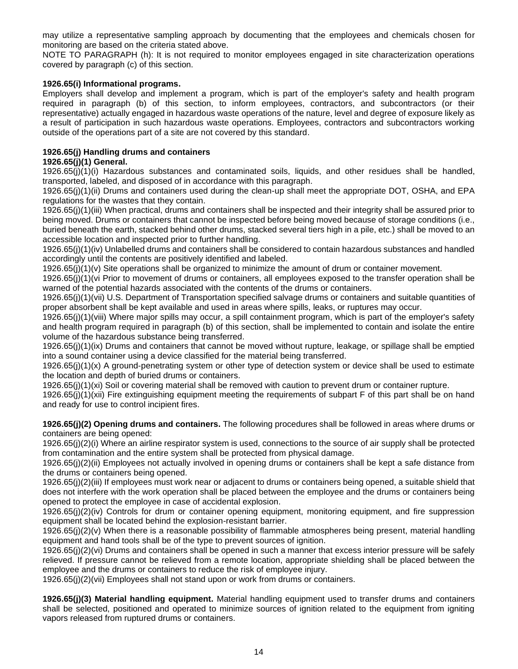may utilize a representative sampling approach by documenting that the employees and chemicals chosen for monitoring are based on the criteria stated above.

NOTE TO PARAGRAPH (h): It is not required to monitor employees engaged in site characterization operations covered by paragraph (c) of this section.

# <span id="page-13-0"></span>**1926.65(i) Informational programs.**

Employers shall develop and implement a program, which is part of the employer's safety and health program required in paragraph (b) of this section, to inform employees, contractors, and subcontractors (or their representative) actually engaged in hazardous waste operations of the nature, level and degree of exposure likely as a result of participation in such hazardous waste operations. Employees, contractors and subcontractors working outside of the operations part of a site are not covered by this standard.

### **1926.65(j) Handling drums and containers**

### <span id="page-13-1"></span>**1926.65(j)(1) General.**

1926.65(j)(1)(i) Hazardous substances and contaminated soils, liquids, and other residues shall be handled, transported, labeled, and disposed of in accordance with this paragraph.

1926.65(j)(1)(ii) Drums and containers used during the clean-up shall meet the appropriate DOT, OSHA, and EPA regulations for the wastes that they contain.

1926.65(j)(1)(iii) When practical, drums and containers shall be inspected and their integrity shall be assured prior to being moved. Drums or containers that cannot be inspected before being moved because of storage conditions (i.e., buried beneath the earth, stacked behind other drums, stacked several tiers high in a pile, etc.) shall be moved to an accessible location and inspected prior to further handling.

1926.65(j)(1)(iv) Unlabelled drums and containers shall be considered to contain hazardous substances and handled accordingly until the contents are positively identified and labeled.

1926.65(j)(1)(v) Site operations shall be organized to minimize the amount of drum or container movement.

1926.65(j)(1)(vi Prior to movement of drums or containers, all employees exposed to the transfer operation shall be warned of the potential hazards associated with the contents of the drums or containers.

1926.65(j)(1)(vii) U.S. Department of Transportation specified salvage drums or containers and suitable quantities of proper absorbent shall be kept available and used in areas where spills, leaks, or ruptures may occur.

1926.65(j)(1)(viii) Where major spills may occur, a spill containment program, which is part of the employer's safety and health program required in paragraph (b) of this section, shall be implemented to contain and isolate the entire volume of the hazardous substance being transferred.

1926.65(j)(1)(ix) Drums and containers that cannot be moved without rupture, leakage, or spillage shall be emptied into a sound container using a device classified for the material being transferred.

1926.65(j)(1)(x) A ground-penetrating system or other type of detection system or device shall be used to estimate the location and depth of buried drums or containers.

1926.65(j)(1)(xi) Soil or covering material shall be removed with caution to prevent drum or container rupture.

1926.65(j)(1)(xii) Fire extinguishing equipment meeting the requirements of subpart F of this part shall be on hand and ready for use to control incipient fires.

**1926.65(j)(2) Opening drums and containers.** The following procedures shall be followed in areas where drums or containers are being opened:

1926.65(j)(2)(i) Where an airline respirator system is used, connections to the source of air supply shall be protected from contamination and the entire system shall be protected from physical damage.

1926.65(j)(2)(ii) Employees not actually involved in opening drums or containers shall be kept a safe distance from the drums or containers being opened.

1926.65(j)(2)(iii) If employees must work near or adjacent to drums or containers being opened, a suitable shield that does not interfere with the work operation shall be placed between the employee and the drums or containers being opened to protect the employee in case of accidental explosion.

1926.65(j)(2)(iv) Controls for drum or container opening equipment, monitoring equipment, and fire suppression equipment shall be located behind the explosion-resistant barrier.

1926.65(j)(2)(v) When there is a reasonable possibility of flammable atmospheres being present, material handling equipment and hand tools shall be of the type to prevent sources of ignition.

1926.65(j)(2)(vi) Drums and containers shall be opened in such a manner that excess interior pressure will be safely relieved. If pressure cannot be relieved from a remote location, appropriate shielding shall be placed between the employee and the drums or containers to reduce the risk of employee injury.

1926.65(j)(2)(vii) Employees shall not stand upon or work from drums or containers.

**1926.65(j)(3) Material handling equipment.** Material handling equipment used to transfer drums and containers shall be selected, positioned and operated to minimize sources of ignition related to the equipment from igniting vapors released from ruptured drums or containers.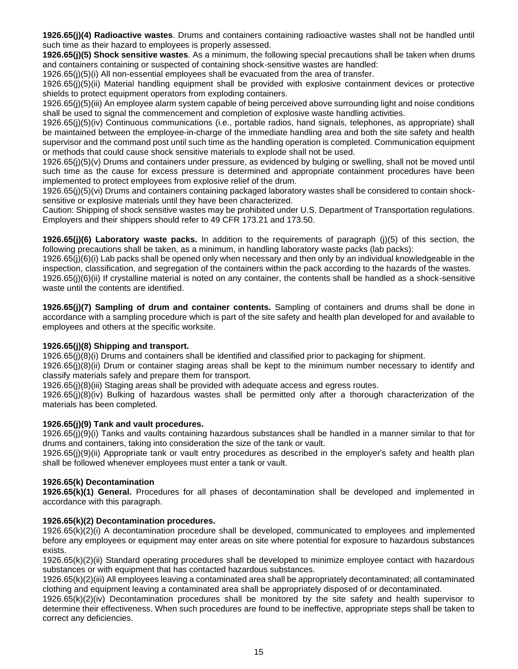**1926.65(j)(4) Radioactive wastes**. Drums and containers containing radioactive wastes shall not be handled until such time as their hazard to employees is properly assessed.

**1926.65(j)(5) Shock sensitive wastes**. As a minimum, the following special precautions shall be taken when drums and containers containing or suspected of containing shock-sensitive wastes are handled:

1926.65(j)(5)(i) All non-essential employees shall be evacuated from the area of transfer.

1926.65(j)(5)(ii) Material handling equipment shall be provided with explosive containment devices or protective shields to protect equipment operators from exploding containers.

1926.65(j)(5)(iii) An employee alarm system capable of being perceived above surrounding light and noise conditions shall be used to signal the commencement and completion of explosive waste handling activities.

1926.65(j)(5)(iv) Continuous communications (i.e., portable radios, hand signals, telephones, as appropriate) shall be maintained between the employee-in-charge of the immediate handling area and both the site safety and health supervisor and the command post until such time as the handling operation is completed. Communication equipment or methods that could cause shock sensitive materials to explode shall not be used.

1926.65(j)(5)(v) Drums and containers under pressure, as evidenced by bulging or swelling, shall not be moved until such time as the cause for excess pressure is determined and appropriate containment procedures have been implemented to protect employees from explosive relief of the drum.

1926.65(j)(5)(vi) Drums and containers containing packaged laboratory wastes shall be considered to contain shocksensitive or explosive materials until they have been characterized.

Caution: Shipping of shock sensitive wastes may be prohibited under U.S. Department of Transportation regulations. Employers and their shippers should refer to 49 CFR 173.21 and 173.50.

**1926.65(j)(6) Laboratory waste packs.** In addition to the requirements of paragraph (j)(5) of this section, the following precautions shall be taken, as a minimum, in handling laboratory waste packs (lab packs):

1926.65(j)(6)(i) Lab packs shall be opened only when necessary and then only by an individual knowledgeable in the inspection, classification, and segregation of the containers within the pack according to the hazards of the wastes. 1926.65(j)(6)(ii) If crystalline material is noted on any container, the contents shall be handled as a shock-sensitive

waste until the contents are identified.

**1926.65(j)(7) Sampling of drum and container contents.** Sampling of containers and drums shall be done in accordance with a sampling procedure which is part of the site safety and health plan developed for and available to employees and others at the specific worksite.

# **1926.65(j)(8) Shipping and transport.**

1926.65(j)(8)(i) Drums and containers shall be identified and classified prior to packaging for shipment.

1926.65(j)(8)(ii) Drum or container staging areas shall be kept to the minimum number necessary to identify and classify materials safely and prepare them for transport.

1926.65(j)(8)(iii) Staging areas shall be provided with adequate access and egress routes.

1926.65(j)(8)(iv) Bulking of hazardous wastes shall be permitted only after a thorough characterization of the materials has been completed.

#### **1926.65(j)(9) Tank and vault procedures.**

1926.65(j)(9)(i) Tanks and vaults containing hazardous substances shall be handled in a manner similar to that for drums and containers, taking into consideration the size of the tank or vault.

1926.65(j)(9)(ii) Appropriate tank or vault entry procedures as described in the employer's safety and health plan shall be followed whenever employees must enter a tank or vault.

#### <span id="page-14-0"></span>**1926.65(k) Decontamination**

**1926.65(k)(1) General.** Procedures for all phases of decontamination shall be developed and implemented in accordance with this paragraph.

# **1926.65(k)(2) Decontamination procedures.**

1926.65(k)(2)(i) A decontamination procedure shall be developed, communicated to employees and implemented before any employees or equipment may enter areas on site where potential for exposure to hazardous substances exists.

1926.65(k)(2)(ii) Standard operating procedures shall be developed to minimize employee contact with hazardous substances or with equipment that has contacted hazardous substances.

1926.65(k)(2)(iii) All employees leaving a contaminated area shall be appropriately decontaminated; all contaminated clothing and equipment leaving a contaminated area shall be appropriately disposed of or decontaminated.

1926.65(k)(2)(iv) Decontamination procedures shall be monitored by the site safety and health supervisor to determine their effectiveness. When such procedures are found to be ineffective, appropriate steps shall be taken to correct any deficiencies.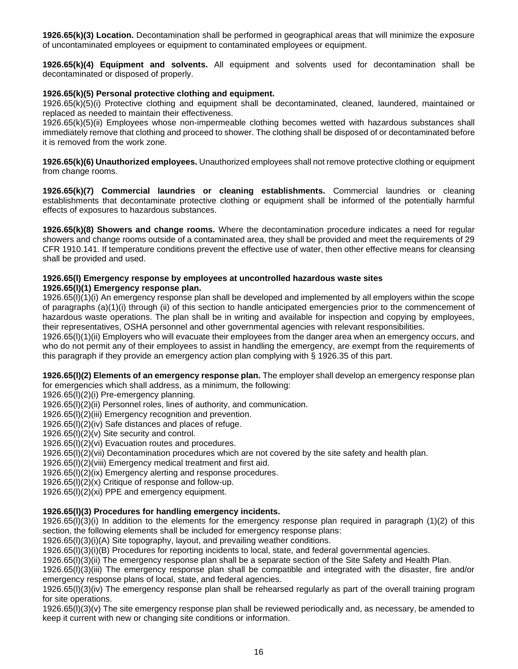**1926.65(k)(3) Location.** Decontamination shall be performed in geographical areas that will minimize the exposure of uncontaminated employees or equipment to contaminated employees or equipment.

**1926.65(k)(4) Equipment and solvents.** All equipment and solvents used for decontamination shall be decontaminated or disposed of properly.

# **1926.65(k)(5) Personal protective clothing and equipment.**

1926.65(k)(5)(i) Protective clothing and equipment shall be decontaminated, cleaned, laundered, maintained or replaced as needed to maintain their effectiveness.

1926.65(k)(5)(ii) Employees whose non-impermeable clothing becomes wetted with hazardous substances shall immediately remove that clothing and proceed to shower. The clothing shall be disposed of or decontaminated before it is removed from the work zone.

**1926.65(k)(6) Unauthorized employees.** Unauthorized employees shall not remove protective clothing or equipment from change rooms.

**1926.65(k)(7) Commercial laundries or cleaning establishments.** Commercial laundries or cleaning establishments that decontaminate protective clothing or equipment shall be informed of the potentially harmful effects of exposures to hazardous substances.

**1926.65(k)(8) Showers and change rooms.** Where the decontamination procedure indicates a need for regular showers and change rooms outside of a contaminated area, they shall be provided and meet the requirements of 29 CFR 1910.141. If temperature conditions prevent the effective use of water, then other effective means for cleansing shall be provided and used.

#### <span id="page-15-0"></span>**1926.65(l) Emergency response by employees at uncontrolled hazardous waste sites 1926.65(l)(1) Emergency response plan.**

1926.65(l)(1)(i) An emergency response plan shall be developed and implemented by all employers within the scope of paragraphs (a)(1)(i) through (ii) of this section to handle anticipated emergencies prior to the commencement of hazardous waste operations. The plan shall be in writing and available for inspection and copying by employees, their representatives, OSHA personnel and other governmental agencies with relevant responsibilities.

1926.65(l)(1)(ii) Employers who will evacuate their employees from the danger area when an emergency occurs, and who do not permit any of their employees to assist in handling the emergency, are exempt from the requirements of this paragraph if they provide an emergency action plan complying with § 1926.35 of this part.

**1926.65(l)(2) Elements of an emergency response plan.** The employer shall develop an emergency response plan for emergencies which shall address, as a minimum, the following:

1926.65(l)(2)(i) Pre-emergency planning.

1926.65(l)(2)(ii) Personnel roles, lines of authority, and communication.

1926.65(l)(2)(iii) Emergency recognition and prevention.

1926.65(l)(2)(iv) Safe distances and places of refuge.

1926.65(l)(2)(v) Site security and control.

1926.65(l)(2)(vi) Evacuation routes and procedures.

1926.65(l)(2)(vii) Decontamination procedures which are not covered by the site safety and health plan.

1926.65(l)(2)(viii) Emergency medical treatment and first aid.

1926.65(l)(2)(ix) Emergency alerting and response procedures.

1926.65(l)(2)(x) Critique of response and follow-up.

1926.65(l)(2)(xi) PPE and emergency equipment.

# **1926.65(l)(3) Procedures for handling emergency incidents.**

1926.65(l)(3)(i) In addition to the elements for the emergency response plan required in paragraph (1)(2) of this section, the following elements shall be included for emergency response plans:

1926.65(l)(3)(i)(A) Site topography, layout, and prevailing weather conditions.

1926.65(l)(3)(i)(B) Procedures for reporting incidents to local, state, and federal governmental agencies.

1926.65(l)(3)(ii) The emergency response plan shall be a separate section of the Site Safety and Health Plan.

1926.65(l)(3)(iii) The emergency response plan shall be compatible and integrated with the disaster, fire and/or emergency response plans of local, state, and federal agencies.

1926.65(l)(3)(iv) The emergency response plan shall be rehearsed regularly as part of the overall training program for site operations.

1926.65(l)(3)(v) The site emergency response plan shall be reviewed periodically and, as necessary, be amended to keep it current with new or changing site conditions or information.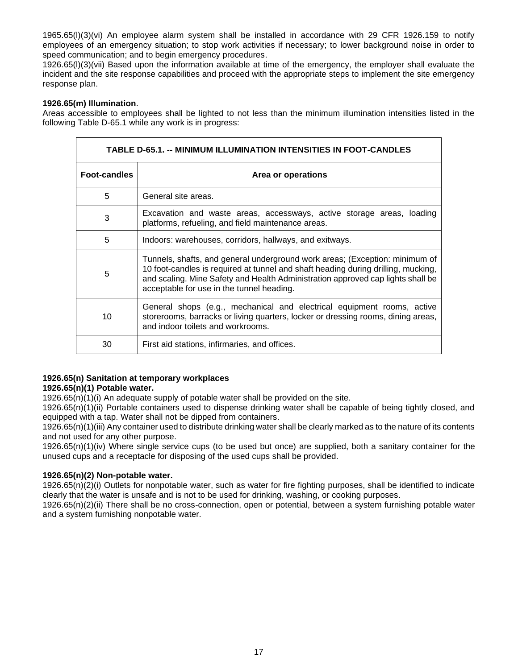1965.65(l)(3)(vi) An employee alarm system shall be installed in accordance with 29 CFR 1926.159 to notify employees of an emergency situation; to stop work activities if necessary; to lower background noise in order to speed communication; and to begin emergency procedures.

1926.65(l)(3)(vii) Based upon the information available at time of the emergency, the employer shall evaluate the incident and the site response capabilities and proceed with the appropriate steps to implement the site emergency response plan.

### **1926.65(m) Illumination**.

Areas accessible to employees shall be lighted to not less than the minimum illumination intensities listed in the following Table D-65.1 while any work is in progress:

<span id="page-16-0"></span>

| TABLE D-65.1. -- MINIMUM ILLUMINATION INTENSITIES IN FOOT-CANDLES |                                                                                                                                                                                                                                                                                                  |  |  |
|-------------------------------------------------------------------|--------------------------------------------------------------------------------------------------------------------------------------------------------------------------------------------------------------------------------------------------------------------------------------------------|--|--|
| <b>Foot-candles</b>                                               | Area or operations                                                                                                                                                                                                                                                                               |  |  |
| 5                                                                 | General site areas.                                                                                                                                                                                                                                                                              |  |  |
| 3                                                                 | Excavation and waste areas, accessways, active storage areas, loading<br>platforms, refueling, and field maintenance areas.                                                                                                                                                                      |  |  |
| 5                                                                 | Indoors: warehouses, corridors, hallways, and exitways.                                                                                                                                                                                                                                          |  |  |
| 5                                                                 | Tunnels, shafts, and general underground work areas; (Exception: minimum of<br>10 foot-candles is required at tunnel and shaft heading during drilling, mucking,<br>and scaling. Mine Safety and Health Administration approved cap lights shall be<br>acceptable for use in the tunnel heading. |  |  |
| 10                                                                | General shops (e.g., mechanical and electrical equipment rooms, active<br>storerooms, barracks or living quarters, locker or dressing rooms, dining areas,<br>and indoor toilets and workrooms.                                                                                                  |  |  |
| 30                                                                | First aid stations, infirmaries, and offices.                                                                                                                                                                                                                                                    |  |  |

# <span id="page-16-1"></span>**1926.65(n) Sanitation at temporary workplaces**

# **1926.65(n)(1) Potable water.**

1926.65(n)(1)(i) An adequate supply of potable water shall be provided on the site.

1926.65(n)(1)(ii) Portable containers used to dispense drinking water shall be capable of being tightly closed, and equipped with a tap. Water shall not be dipped from containers.

1926.65(n)(1)(iii) Any container used to distribute drinking water shall be clearly marked as to the nature of its contents and not used for any other purpose.

1926.65(n)(1)(iv) Where single service cups (to be used but once) are supplied, both a sanitary container for the unused cups and a receptacle for disposing of the used cups shall be provided.

# **1926.65(n)(2) Non-potable water.**

1926.65(n)(2)(i) Outlets for nonpotable water, such as water for fire fighting purposes, shall be identified to indicate clearly that the water is unsafe and is not to be used for drinking, washing, or cooking purposes.

1926.65(n)(2)(ii) There shall be no cross-connection, open or potential, between a system furnishing potable water and a system furnishing nonpotable water.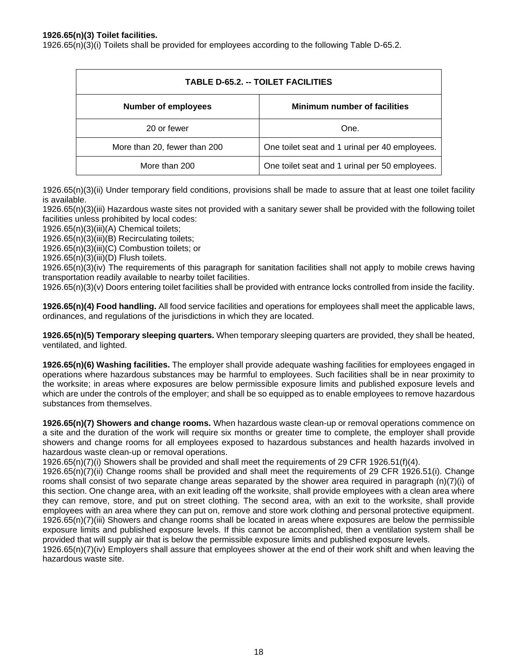### **1926.65(n)(3) Toilet facilities.**

1926.65(n)(3)(i) Toilets shall be provided for employees according to the following Table D-65.2.

| <b>TABLE D-65.2. -- TOILET FACILITIES</b> |                                                |  |  |
|-------------------------------------------|------------------------------------------------|--|--|
| <b>Number of employees</b>                | <b>Minimum number of facilities</b>            |  |  |
| 20 or fewer                               | One.                                           |  |  |
| More than 20, fewer than 200              | One toilet seat and 1 urinal per 40 employees. |  |  |
| More than 200                             | One toilet seat and 1 urinal per 50 employees. |  |  |

1926.65(n)(3)(ii) Under temporary field conditions, provisions shall be made to assure that at least one toilet facility is available.

1926.65(n)(3)(iii) Hazardous waste sites not provided with a sanitary sewer shall be provided with the following toilet facilities unless prohibited by local codes:

1926.65(n)(3)(iii)(A) Chemical toilets;

1926.65(n)(3)(iii)(B) Recirculating toilets;

1926.65(n)(3)(iii)(C) Combustion toilets; or

1926.65(n)(3)(iii)(D) Flush toilets.

1926.65(n)(3)(iv) The requirements of this paragraph for sanitation facilities shall not apply to mobile crews having transportation readily available to nearby toilet facilities.

1926.65(n)(3)(v) Doors entering toilet facilities shall be provided with entrance locks controlled from inside the facility.

**1926.65(n)(4) Food handling.** All food service facilities and operations for employees shall meet the applicable laws, ordinances, and regulations of the jurisdictions in which they are located.

**1926.65(n)(5) Temporary sleeping quarters.** When temporary sleeping quarters are provided, they shall be heated, ventilated, and lighted.

**1926.65(n)(6) Washing facilities.** The employer shall provide adequate washing facilities for employees engaged in operations where hazardous substances may be harmful to employees. Such facilities shall be in near proximity to the worksite; in areas where exposures are below permissible exposure limits and published exposure levels and which are under the controls of the employer; and shall be so equipped as to enable employees to remove hazardous substances from themselves.

**1926.65(n)(7) Showers and change rooms.** When hazardous waste clean-up or removal operations commence on a site and the duration of the work will require six months or greater time to complete, the employer shall provide showers and change rooms for all employees exposed to hazardous substances and health hazards involved in hazardous waste clean-up or removal operations.

1926.65(n)(7)(i) Showers shall be provided and shall meet the requirements of 29 CFR 1926.51(f)(4).

1926.65(n)(7)(ii) Change rooms shall be provided and shall meet the requirements of 29 CFR 1926.51(i). Change rooms shall consist of two separate change areas separated by the shower area required in paragraph (n)(7)(i) of this section. One change area, with an exit leading off the worksite, shall provide employees with a clean area where they can remove, store, and put on street clothing. The second area, with an exit to the worksite, shall provide employees with an area where they can put on, remove and store work clothing and personal protective equipment. 1926.65(n)(7)(iii) Showers and change rooms shall be located in areas where exposures are below the permissible exposure limits and published exposure levels. If this cannot be accomplished, then a ventilation system shall be provided that will supply air that is below the permissible exposure limits and published exposure levels.

1926.65(n)(7)(iv) Employers shall assure that employees shower at the end of their work shift and when leaving the hazardous waste site.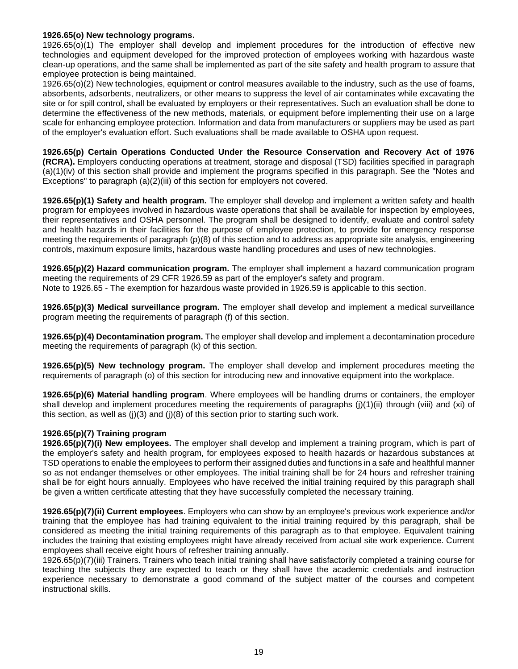#### <span id="page-18-0"></span>**1926.65(o) New technology programs.**

1926.65(o)(1) The employer shall develop and implement procedures for the introduction of effective new technologies and equipment developed for the improved protection of employees working with hazardous waste clean-up operations, and the same shall be implemented as part of the site safety and health program to assure that employee protection is being maintained.

1926.65(o)(2) New technologies, equipment or control measures available to the industry, such as the use of foams, absorbents, adsorbents, neutralizers, or other means to suppress the level of air contaminates while excavating the site or for spill control, shall be evaluated by employers or their representatives. Such an evaluation shall be done to determine the effectiveness of the new methods, materials, or equipment before implementing their use on a large scale for enhancing employee protection. Information and data from manufacturers or suppliers may be used as part of the employer's evaluation effort. Such evaluations shall be made available to OSHA upon request.

<span id="page-18-1"></span>**1926.65(p) Certain Operations Conducted Under the Resource Conservation and Recovery Act of 1976 (RCRA).** Employers conducting operations at treatment, storage and disposal (TSD) facilities specified in paragraph (a)(1)(iv) of this section shall provide and implement the programs specified in this paragraph. See the "Notes and Exceptions" to paragraph (a)(2)(iii) of this section for employers not covered.

**1926.65(p)(1) Safety and health program.** The employer shall develop and implement a written safety and health program for employees involved in hazardous waste operations that shall be available for inspection by employees, their representatives and OSHA personnel. The program shall be designed to identify, evaluate and control safety and health hazards in their facilities for the purpose of employee protection, to provide for emergency response meeting the requirements of paragraph (p)(8) of this section and to address as appropriate site analysis, engineering controls, maximum exposure limits, hazardous waste handling procedures and uses of new technologies.

**1926.65(p)(2) Hazard communication program.** The employer shall implement a hazard communication program meeting the requirements of 29 CFR 1926.59 as part of the employer's safety and program. Note to 1926.65 - The exemption for hazardous waste provided in 1926.59 is applicable to this section.

**1926.65(p)(3) Medical surveillance program.** The employer shall develop and implement a medical surveillance program meeting the requirements of paragraph (f) of this section.

**1926.65(p)(4) Decontamination program.** The employer shall develop and implement a decontamination procedure meeting the requirements of paragraph (k) of this section.

**1926.65(p)(5) New technology program.** The employer shall develop and implement procedures meeting the requirements of paragraph (o) of this section for introducing new and innovative equipment into the workplace.

**1926.65(p)(6) Material handling program**. Where employees will be handling drums or containers, the employer shall develop and implement procedures meeting the requirements of paragraphs (j)(1)(ii) through (viii) and (xi) of this section, as well as (j)(3) and (j)(8) of this section prior to starting such work.

# **1926.65(p)(7) Training program**

**1926.65(p)(7)(i) New employees.** The employer shall develop and implement a training program, which is part of the employer's safety and health program, for employees exposed to health hazards or hazardous substances at TSD operations to enable the employees to perform their assigned duties and functions in a safe and healthful manner so as not endanger themselves or other employees. The initial training shall be for 24 hours and refresher training shall be for eight hours annually. Employees who have received the initial training required by this paragraph shall be given a written certificate attesting that they have successfully completed the necessary training.

**1926.65(p)(7)(ii) Current employees**. Employers who can show by an employee's previous work experience and/or training that the employee has had training equivalent to the initial training required by this paragraph, shall be considered as meeting the initial training requirements of this paragraph as to that employee. Equivalent training includes the training that existing employees might have already received from actual site work experience. Current employees shall receive eight hours of refresher training annually.

1926.65(p)(7)(iii) Trainers. Trainers who teach initial training shall have satisfactorily completed a training course for teaching the subjects they are expected to teach or they shall have the academic credentials and instruction experience necessary to demonstrate a good command of the subject matter of the courses and competent instructional skills.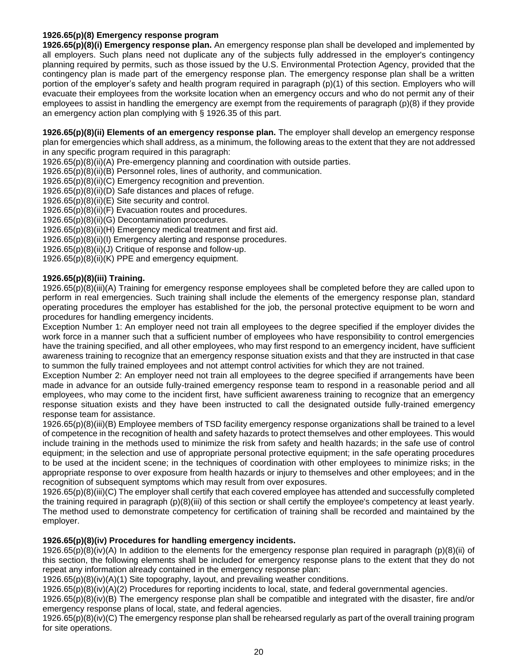### **1926.65(p)(8) Emergency response program**

**1926.65(p)(8)(i) Emergency response plan.** An emergency response plan shall be developed and implemented by all employers. Such plans need not duplicate any of the subjects fully addressed in the employer's contingency planning required by permits, such as those issued by the U.S. Environmental Protection Agency, provided that the contingency plan is made part of the emergency response plan. The emergency response plan shall be a written portion of the employer's safety and health program required in paragraph (p)(1) of this section. Employers who will evacuate their employees from the worksite location when an emergency occurs and who do not permit any of their employees to assist in handling the emergency are exempt from the requirements of paragraph (p)(8) if they provide an emergency action plan complying with § 1926.35 of this part.

**1926.65(p)(8)(ii) Elements of an emergency response plan.** The employer shall develop an emergency response plan for emergencies which shall address, as a minimum, the following areas to the extent that they are not addressed in any specific program required in this paragraph:

1926.65(p)(8)(ii)(A) Pre-emergency planning and coordination with outside parties.

1926.65(p)(8)(ii)(B) Personnel roles, lines of authority, and communication.

1926.65(p)(8)(ii)(C) Emergency recognition and prevention.

1926.65(p)(8)(ii)(D) Safe distances and places of refuge.

1926.65(p)(8)(ii)(E) Site security and control.

1926.65(p)(8)(ii)(F) Evacuation routes and procedures.

1926.65(p)(8)(ii)(G) Decontamination procedures.

1926.65(p)(8)(ii)(H) Emergency medical treatment and first aid.

1926.65(p)(8)(ii)(I) Emergency alerting and response procedures.

1926.65(p)(8)(ii)(J) Critique of response and follow-up.

1926.65(p)(8)(ii)(K) PPE and emergency equipment.

### **1926.65(p)(8)(iii) Training.**

1926.65(p)(8)(iii)(A) Training for emergency response employees shall be completed before they are called upon to perform in real emergencies. Such training shall include the elements of the emergency response plan, standard operating procedures the employer has established for the job, the personal protective equipment to be worn and procedures for handling emergency incidents.

Exception Number 1: An employer need not train all employees to the degree specified if the employer divides the work force in a manner such that a sufficient number of employees who have responsibility to control emergencies have the training specified, and all other employees, who may first respond to an emergency incident, have sufficient awareness training to recognize that an emergency response situation exists and that they are instructed in that case to summon the fully trained employees and not attempt control activities for which they are not trained.

Exception Number 2: An employer need not train all employees to the degree specified if arrangements have been made in advance for an outside fully-trained emergency response team to respond in a reasonable period and all employees, who may come to the incident first, have sufficient awareness training to recognize that an emergency response situation exists and they have been instructed to call the designated outside fully-trained emergency response team for assistance.

1926.65(p)(8)(iii)(B) Employee members of TSD facility emergency response organizations shall be trained to a level of competence in the recognition of health and safety hazards to protect themselves and other employees. This would include training in the methods used to minimize the risk from safety and health hazards; in the safe use of control equipment; in the selection and use of appropriate personal protective equipment; in the safe operating procedures to be used at the incident scene; in the techniques of coordination with other employees to minimize risks; in the appropriate response to over exposure from health hazards or injury to themselves and other employees; and in the recognition of subsequent symptoms which may result from over exposures.

1926.65(p)(8)(iii)(C) The employer shall certify that each covered employee has attended and successfully completed the training required in paragraph (p)(8)(iii) of this section or shall certify the employee's competency at least yearly. The method used to demonstrate competency for certification of training shall be recorded and maintained by the employer.

#### **1926.65(p)(8)(iv) Procedures for handling emergency incidents.**

1926.65(p)(8)(iv)(A) In addition to the elements for the emergency response plan required in paragraph (p)(8)(ii) of this section, the following elements shall be included for emergency response plans to the extent that they do not repeat any information already contained in the emergency response plan:

1926.65(p)(8)(iv)(A)(1) Site topography, layout, and prevailing weather conditions.

1926.65(p)(8)(iv)(A)(2) Procedures for reporting incidents to local, state, and federal governmental agencies.

1926.65(p)(8)(iv)(B) The emergency response plan shall be compatible and integrated with the disaster, fire and/or emergency response plans of local, state, and federal agencies.

1926.65(p)(8)(iv)(C) The emergency response plan shall be rehearsed regularly as part of the overall training program for site operations.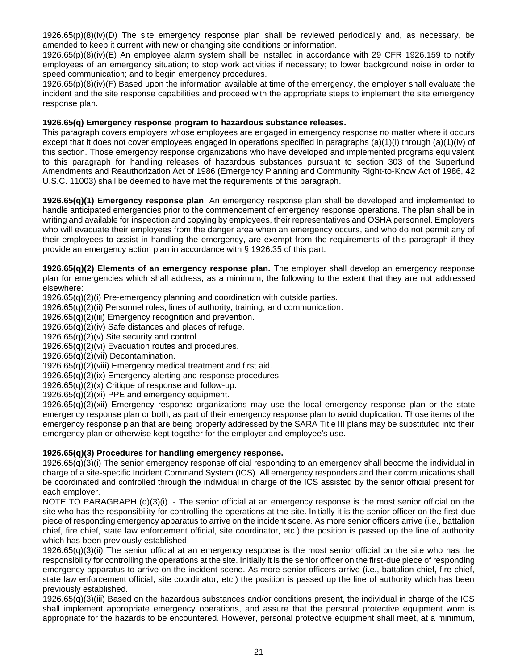1926.65(p)(8)(iv)(D) The site emergency response plan shall be reviewed periodically and, as necessary, be amended to keep it current with new or changing site conditions or information.

1926.65(p)(8)(iv)(E) An employee alarm system shall be installed in accordance with 29 CFR 1926.159 to notify employees of an emergency situation; to stop work activities if necessary; to lower background noise in order to speed communication; and to begin emergency procedures.

1926.65(p)(8)(iv)(F) Based upon the information available at time of the emergency, the employer shall evaluate the incident and the site response capabilities and proceed with the appropriate steps to implement the site emergency response plan.

### <span id="page-20-0"></span>**1926.65(q) Emergency response program to hazardous substance releases.**

This paragraph covers employers whose employees are engaged in emergency response no matter where it occurs except that it does not cover employees engaged in operations specified in paragraphs (a)(1)(i) through (a)(1)(iv) of this section. Those emergency response organizations who have developed and implemented programs equivalent to this paragraph for handling releases of hazardous substances pursuant to section 303 of the Superfund Amendments and Reauthorization Act of 1986 (Emergency Planning and Community Right-to-Know Act of 1986, 42 U.S.C. 11003) shall be deemed to have met the requirements of this paragraph.

**1926.65(q)(1) Emergency response plan**. An emergency response plan shall be developed and implemented to handle anticipated emergencies prior to the commencement of emergency response operations. The plan shall be in writing and available for inspection and copying by employees, their representatives and OSHA personnel. Employers who will evacuate their employees from the danger area when an emergency occurs, and who do not permit any of their employees to assist in handling the emergency, are exempt from the requirements of this paragraph if they provide an emergency action plan in accordance with § 1926.35 of this part.

**1926.65(q)(2) Elements of an emergency response plan.** The employer shall develop an emergency response plan for emergencies which shall address, as a minimum, the following to the extent that they are not addressed elsewhere:

1926.65(q)(2)(i) Pre-emergency planning and coordination with outside parties.

1926.65(q)(2)(ii) Personnel roles, lines of authority, training, and communication.

1926.65(q)(2)(iii) Emergency recognition and prevention.

1926.65(q)(2)(iv) Safe distances and places of refuge.

1926.65(q)(2)(v) Site security and control.

1926.65(q)(2)(vi) Evacuation routes and procedures.

1926.65(q)(2)(vii) Decontamination.

1926.65(q)(2)(viii) Emergency medical treatment and first aid.

1926.65(q)(2)(ix) Emergency alerting and response procedures.

1926.65(q)(2)(x) Critique of response and follow-up.

1926.65(q)(2)(xi) PPE and emergency equipment.

1926.65(q)(2)(xii) Emergency response organizations may use the local emergency response plan or the state emergency response plan or both, as part of their emergency response plan to avoid duplication. Those items of the emergency response plan that are being properly addressed by the SARA Title III plans may be substituted into their emergency plan or otherwise kept together for the employer and employee's use.

# **1926.65(q)(3) Procedures for handling emergency response.**

1926.65(q)(3)(i) The senior emergency response official responding to an emergency shall become the individual in charge of a site-specific Incident Command System (ICS). All emergency responders and their communications shall be coordinated and controlled through the individual in charge of the ICS assisted by the senior official present for each employer.

NOTE TO PARAGRAPH (q)(3)(i). - The senior official at an emergency response is the most senior official on the site who has the responsibility for controlling the operations at the site. Initially it is the senior officer on the first-due piece of responding emergency apparatus to arrive on the incident scene. As more senior officers arrive (i.e., battalion chief, fire chief, state law enforcement official, site coordinator, etc.) the position is passed up the line of authority which has been previously established.

1926.65(q)(3)(ii) The senior official at an emergency response is the most senior official on the site who has the responsibility for controlling the operations at the site. Initially it is the senior officer on the first-due piece of responding emergency apparatus to arrive on the incident scene. As more senior officers arrive (i.e., battalion chief, fire chief, state law enforcement official, site coordinator, etc.) the position is passed up the line of authority which has been previously established.

1926.65(q)(3)(iii) Based on the hazardous substances and/or conditions present, the individual in charge of the ICS shall implement appropriate emergency operations, and assure that the personal protective equipment worn is appropriate for the hazards to be encountered. However, personal protective equipment shall meet, at a minimum,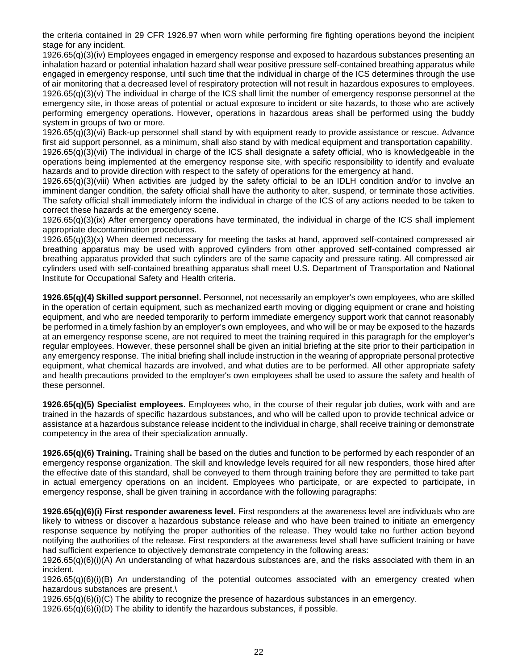the criteria contained in 29 CFR 1926.97 when worn while performing fire fighting operations beyond the incipient stage for any incident.

1926.65(q)(3)(iv) Employees engaged in emergency response and exposed to hazardous substances presenting an inhalation hazard or potential inhalation hazard shall wear positive pressure self-contained breathing apparatus while engaged in emergency response, until such time that the individual in charge of the ICS determines through the use of air monitoring that a decreased level of respiratory protection will not result in hazardous exposures to employees. 1926.65(q)(3)(v) The individual in charge of the ICS shall limit the number of emergency response personnel at the emergency site, in those areas of potential or actual exposure to incident or site hazards, to those who are actively performing emergency operations. However, operations in hazardous areas shall be performed using the buddy system in groups of two or more.

1926.65(q)(3)(vi) Back-up personnel shall stand by with equipment ready to provide assistance or rescue. Advance first aid support personnel, as a minimum, shall also stand by with medical equipment and transportation capability.

1926.65(q)(3)(vii) The individual in charge of the ICS shall designate a safety official, who is knowledgeable in the operations being implemented at the emergency response site, with specific responsibility to identify and evaluate hazards and to provide direction with respect to the safety of operations for the emergency at hand.

1926.65(q)(3)(viii) When activities are judged by the safety official to be an IDLH condition and/or to involve an imminent danger condition, the safety official shall have the authority to alter, suspend, or terminate those activities. The safety official shall immediately inform the individual in charge of the ICS of any actions needed to be taken to correct these hazards at the emergency scene.

1926.65(q)(3)(ix) After emergency operations have terminated, the individual in charge of the ICS shall implement appropriate decontamination procedures.

1926.65(q)(3)(x) When deemed necessary for meeting the tasks at hand, approved self-contained compressed air breathing apparatus may be used with approved cylinders from other approved self-contained compressed air breathing apparatus provided that such cylinders are of the same capacity and pressure rating. All compressed air cylinders used with self-contained breathing apparatus shall meet U.S. Department of Transportation and National Institute for Occupational Safety and Health criteria.

**1926.65(q)(4) Skilled support personnel.** Personnel, not necessarily an employer's own employees, who are skilled in the operation of certain equipment, such as mechanized earth moving or digging equipment or crane and hoisting equipment, and who are needed temporarily to perform immediate emergency support work that cannot reasonably be performed in a timely fashion by an employer's own employees, and who will be or may be exposed to the hazards at an emergency response scene, are not required to meet the training required in this paragraph for the employer's regular employees. However, these personnel shall be given an initial briefing at the site prior to their participation in any emergency response. The initial briefing shall include instruction in the wearing of appropriate personal protective equipment, what chemical hazards are involved, and what duties are to be performed. All other appropriate safety and health precautions provided to the employer's own employees shall be used to assure the safety and health of these personnel.

**1926.65(q)(5) Specialist employees**. Employees who, in the course of their regular job duties, work with and are trained in the hazards of specific hazardous substances, and who will be called upon to provide technical advice or assistance at a hazardous substance release incident to the individual in charge, shall receive training or demonstrate competency in the area of their specialization annually.

**1926.65(q)(6) Training.** Training shall be based on the duties and function to be performed by each responder of an emergency response organization. The skill and knowledge levels required for all new responders, those hired after the effective date of this standard, shall be conveyed to them through training before they are permitted to take part in actual emergency operations on an incident. Employees who participate, or are expected to participate, in emergency response, shall be given training in accordance with the following paragraphs:

**1926.65(q)(6)(i) First responder awareness level.** First responders at the awareness level are individuals who are likely to witness or discover a hazardous substance release and who have been trained to initiate an emergency response sequence by notifying the proper authorities of the release. They would take no further action beyond notifying the authorities of the release. First responders at the awareness level shall have sufficient training or have had sufficient experience to objectively demonstrate competency in the following areas:

1926.65(q)(6)(i)(A) An understanding of what hazardous substances are, and the risks associated with them in an incident.

1926.65(q)(6)(i)(B) An understanding of the potential outcomes associated with an emergency created when hazardous substances are present.\

1926.65(q)(6)(i)(C) The ability to recognize the presence of hazardous substances in an emergency.

 $1926.65(q)(6)(i)(D)$  The ability to identify the hazardous substances, if possible.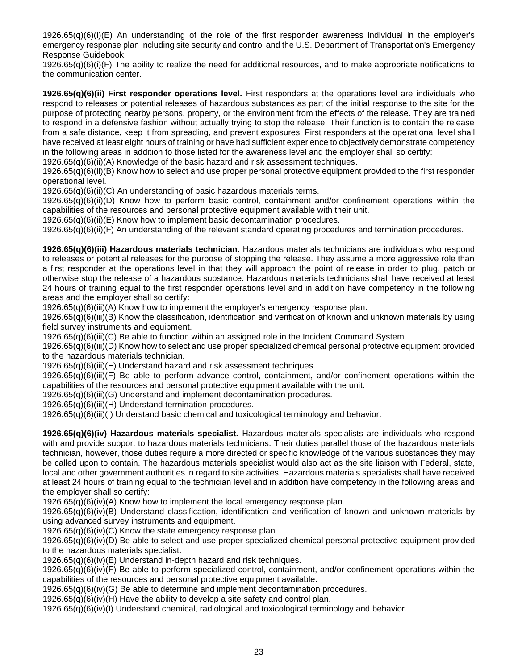1926.65(q)(6)(i)(E) An understanding of the role of the first responder awareness individual in the employer's emergency response plan including site security and control and the U.S. Department of Transportation's Emergency Response Guidebook.

1926.65(q)(6)(i)(F) The ability to realize the need for additional resources, and to make appropriate notifications to the communication center.

**1926.65(q)(6)(ii) First responder operations level.** First responders at the operations level are individuals who respond to releases or potential releases of hazardous substances as part of the initial response to the site for the purpose of protecting nearby persons, property, or the environment from the effects of the release. They are trained to respond in a defensive fashion without actually trying to stop the release. Their function is to contain the release from a safe distance, keep it from spreading, and prevent exposures. First responders at the operational level shall have received at least eight hours of training or have had sufficient experience to objectively demonstrate competency in the following areas in addition to those listed for the awareness level and the employer shall so certify:

1926.65(q)(6)(ii)(A) Knowledge of the basic hazard and risk assessment techniques.

1926.65(q)(6)(ii)(B) Know how to select and use proper personal protective equipment provided to the first responder operational level.

1926.65(q)(6)(ii)(C) An understanding of basic hazardous materials terms.

1926.65(q)(6)(ii)(D) Know how to perform basic control, containment and/or confinement operations within the capabilities of the resources and personal protective equipment available with their unit.

1926.65(q)(6)(ii)(E) Know how to implement basic decontamination procedures.

1926.65(q)(6)(ii)(F) An understanding of the relevant standard operating procedures and termination procedures.

**1926.65(q)(6)(iii) Hazardous materials technician.** Hazardous materials technicians are individuals who respond to releases or potential releases for the purpose of stopping the release. They assume a more aggressive role than a first responder at the operations level in that they will approach the point of release in order to plug, patch or otherwise stop the release of a hazardous substance. Hazardous materials technicians shall have received at least 24 hours of training equal to the first responder operations level and in addition have competency in the following areas and the employer shall so certify:

1926.65(q)(6)(iii)(A) Know how to implement the employer's emergency response plan.

1926.65(q)(6)(iii)(B) Know the classification, identification and verification of known and unknown materials by using field survey instruments and equipment.

1926.65(q)(6)(iii)(C) Be able to function within an assigned role in the Incident Command System.

1926.65(q)(6)(iii)(D) Know how to select and use proper specialized chemical personal protective equipment provided to the hazardous materials technician.

1926.65(q)(6)(iii)(E) Understand hazard and risk assessment techniques.

1926.65(q)(6)(iii)(F) Be able to perform advance control, containment, and/or confinement operations within the capabilities of the resources and personal protective equipment available with the unit.

1926.65(q)(6)(iii)(G) Understand and implement decontamination procedures.

1926.65(q)(6)(iii)(H) Understand termination procedures.

1926.65(q)(6)(iii)(I) Understand basic chemical and toxicological terminology and behavior.

**1926.65(q)(6)(iv) Hazardous materials specialist.** Hazardous materials specialists are individuals who respond with and provide support to hazardous materials technicians. Their duties parallel those of the hazardous materials technician, however, those duties require a more directed or specific knowledge of the various substances they may be called upon to contain. The hazardous materials specialist would also act as the site liaison with Federal, state, local and other government authorities in regard to site activities. Hazardous materials specialists shall have received at least 24 hours of training equal to the technician level and in addition have competency in the following areas and the employer shall so certify:

1926.65(q)(6)(iv)(A) Know how to implement the local emergency response plan.

1926.65(q)(6)(iv)(B) Understand classification, identification and verification of known and unknown materials by using advanced survey instruments and equipment.

1926.65(q)(6)(iv)(C) Know the state emergency response plan.

1926.65(q)(6)(iv)(D) Be able to select and use proper specialized chemical personal protective equipment provided to the hazardous materials specialist.

1926.65(q)(6)(iv)(E) Understand in-depth hazard and risk techniques.

1926.65(q)(6)(iv)(F) Be able to perform specialized control, containment, and/or confinement operations within the capabilities of the resources and personal protective equipment available.

1926.65(q)(6)(iv)(G) Be able to determine and implement decontamination procedures.

1926.65(q)(6)(iv)(H) Have the ability to develop a site safety and control plan.

1926.65(q)(6)(iv)(I) Understand chemical, radiological and toxicological terminology and behavior.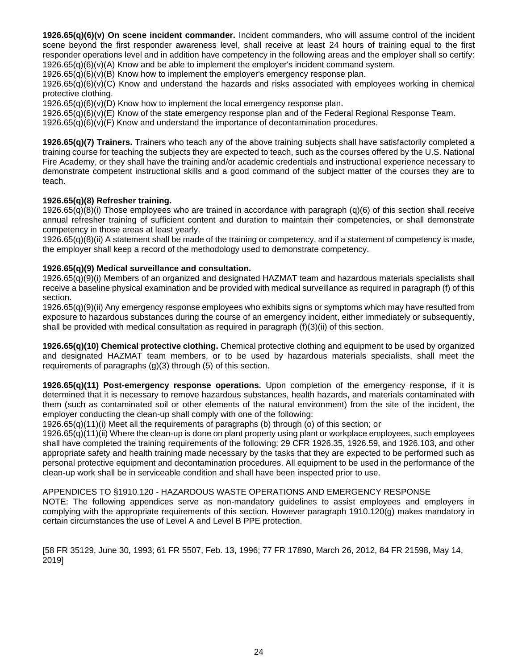**1926.65(q)(6)(v) On scene incident commander.** Incident commanders, who will assume control of the incident scene beyond the first responder awareness level, shall receive at least 24 hours of training equal to the first responder operations level and in addition have competency in the following areas and the employer shall so certify:  $1926.65(q)(6)(v)(A)$  Know and be able to implement the employer's incident command system.

 $1926.65(q)(6)(v)(B)$  Know how to implement the employer's emergency response plan.

1926.65(q)(6)(v)(C) Know and understand the hazards and risks associated with employees working in chemical protective clothing.

 $1926.65(q)(6)(v)(D)$  Know how to implement the local emergency response plan.

1926.65(q)(6)(v)(E) Know of the state emergency response plan and of the Federal Regional Response Team.

1926.65(q)(6)(v)(F) Know and understand the importance of decontamination procedures.

**1926.65(q)(7) Trainers.** Trainers who teach any of the above training subjects shall have satisfactorily completed a training course for teaching the subjects they are expected to teach, such as the courses offered by the U.S. National Fire Academy, or they shall have the training and/or academic credentials and instructional experience necessary to demonstrate competent instructional skills and a good command of the subject matter of the courses they are to teach.

#### **1926.65(q)(8) Refresher training.**

1926.65(q)(8)(i) Those employees who are trained in accordance with paragraph (q)(6) of this section shall receive annual refresher training of sufficient content and duration to maintain their competencies, or shall demonstrate competency in those areas at least yearly.

1926.65(q)(8)(ii) A statement shall be made of the training or competency, and if a statement of competency is made, the employer shall keep a record of the methodology used to demonstrate competency.

#### **1926.65(q)(9) Medical surveillance and consultation.**

1926.65(q)(9)(i) Members of an organized and designated HAZMAT team and hazardous materials specialists shall receive a baseline physical examination and be provided with medical surveillance as required in paragraph (f) of this section.

1926.65(q)(9)(ii) Any emergency response employees who exhibits signs or symptoms which may have resulted from exposure to hazardous substances during the course of an emergency incident, either immediately or subsequently, shall be provided with medical consultation as required in paragraph (f)(3)(ii) of this section.

**1926.65(q)(10) Chemical protective clothing.** Chemical protective clothing and equipment to be used by organized and designated HAZMAT team members, or to be used by hazardous materials specialists, shall meet the requirements of paragraphs (g)(3) through (5) of this section.

**1926.65(q)(11) Post-emergency response operations.** Upon completion of the emergency response, if it is determined that it is necessary to remove hazardous substances, health hazards, and materials contaminated with them (such as contaminated soil or other elements of the natural environment) from the site of the incident, the employer conducting the clean-up shall comply with one of the following:

1926.65(q)(11)(i) Meet all the requirements of paragraphs (b) through (o) of this section; or

1926.65(q)(11)(ii) Where the clean-up is done on plant property using plant or workplace employees, such employees shall have completed the training requirements of the following: 29 CFR 1926.35, 1926.59, and 1926.103, and other appropriate safety and health training made necessary by the tasks that they are expected to be performed such as personal protective equipment and decontamination procedures. All equipment to be used in the performance of the clean-up work shall be in serviceable condition and shall have been inspected prior to use.

APPENDICES TO §1910.120 - HAZARDOUS WASTE OPERATIONS AND EMERGENCY RESPONSE

NOTE: The following appendices serve as non-mandatory guidelines to assist employees and employers in complying with the appropriate requirements of this section. However paragraph 1910.120(g) makes mandatory in certain circumstances the use of Level A and Level B PPE protection.

[58 FR 35129, June 30, 1993; 61 FR 5507, Feb. 13, 1996; 77 FR 17890, March 26, 2012, 84 FR 21598, May 14, 2019]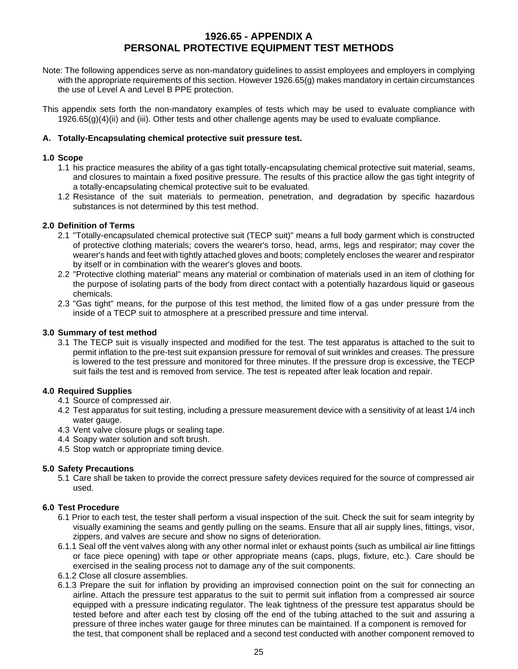# <span id="page-24-0"></span>**1926.65 - APPENDIX A PERSONAL PROTECTIVE EQUIPMENT TEST METHODS**

Note: The following appendices serve as non-mandatory guidelines to assist employees and employers in complying with the appropriate requirements of this section. However 1926.65(g) makes mandatory in certain circumstances the use of Level A and Level B PPE protection.

This appendix sets forth the non-mandatory examples of tests which may be used to evaluate compliance with 1926.65(g)(4)(ii) and (iii). Other tests and other challenge agents may be used to evaluate compliance.

### **A. Totally-Encapsulating chemical protective suit pressure test.**

#### **1.0 Scope**

- 1.1 his practice measures the ability of a gas tight totally-encapsulating chemical protective suit material, seams, and closures to maintain a fixed positive pressure. The results of this practice allow the gas tight integrity of a totally-encapsulating chemical protective suit to be evaluated.
- 1.2 Resistance of the suit materials to permeation, penetration, and degradation by specific hazardous substances is not determined by this test method.

### **2.0 Definition of Terms**

- 2.1 "Totally-encapsulated chemical protective suit (TECP suit)" means a full body garment which is constructed of protective clothing materials; covers the wearer's torso, head, arms, legs and respirator; may cover the wearer's hands and feet with tightly attached gloves and boots; completely encloses the wearer and respirator by itself or in combination with the wearer's gloves and boots.
- 2.2 "Protective clothing material" means any material or combination of materials used in an item of clothing for the purpose of isolating parts of the body from direct contact with a potentially hazardous liquid or gaseous chemicals.
- 2.3 "Gas tight" means, for the purpose of this test method, the limited flow of a gas under pressure from the inside of a TECP suit to atmosphere at a prescribed pressure and time interval.

#### **3.0 Summary of test method**

3.1 The TECP suit is visually inspected and modified for the test. The test apparatus is attached to the suit to permit inflation to the pre-test suit expansion pressure for removal of suit wrinkles and creases. The pressure is lowered to the test pressure and monitored for three minutes. If the pressure drop is excessive, the TECP suit fails the test and is removed from service. The test is repeated after leak location and repair.

#### **4.0 Required Supplies**

- 4.1 Source of compressed air.
- 4.2 Test apparatus for suit testing, including a pressure measurement device with a sensitivity of at least 1/4 inch water gauge.
- 4.3 Vent valve closure plugs or sealing tape.
- 4.4 Soapy water solution and soft brush.
- 4.5 Stop watch or appropriate timing device.

#### **5.0 Safety Precautions**

5.1 Care shall be taken to provide the correct pressure safety devices required for the source of compressed air used.

# **6.0 Test Procedure**

- 6.1 Prior to each test, the tester shall perform a visual inspection of the suit. Check the suit for seam integrity by visually examining the seams and gently pulling on the seams. Ensure that all air supply lines, fittings, visor, zippers, and valves are secure and show no signs of deterioration.
- 6.1.1 Seal off the vent valves along with any other normal inlet or exhaust points (such as umbilical air line fittings or face piece opening) with tape or other appropriate means (caps, plugs, fixture, etc.). Care should be exercised in the sealing process not to damage any of the suit components.
- 6.1.2 Close all closure assemblies.
- 6.1.3 Prepare the suit for inflation by providing an improvised connection point on the suit for connecting an airline. Attach the pressure test apparatus to the suit to permit suit inflation from a compressed air source equipped with a pressure indicating regulator. The leak tightness of the pressure test apparatus should be tested before and after each test by closing off the end of the tubing attached to the suit and assuring a pressure of three inches water gauge for three minutes can be maintained. If a component is removed for the test, that component shall be replaced and a second test conducted with another component removed to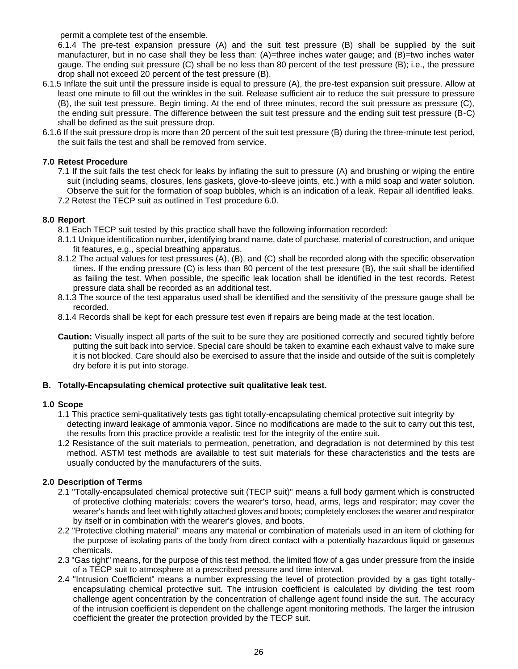permit a complete test of the ensemble.

6.1.4 The pre-test expansion pressure (A) and the suit test pressure (B) shall be supplied by the suit manufacturer, but in no case shall they be less than: (A)=three inches water gauge; and (B)=two inches water gauge. The ending suit pressure (C) shall be no less than 80 percent of the test pressure (B); i.e., the pressure drop shall not exceed 20 percent of the test pressure (B).

- 6.1.5 Inflate the suit until the pressure inside is equal to pressure (A), the pre-test expansion suit pressure. Allow at least one minute to fill out the wrinkles in the suit. Release sufficient air to reduce the suit pressure to pressure (B), the suit test pressure. Begin timing. At the end of three minutes, record the suit pressure as pressure (C), the ending suit pressure. The difference between the suit test pressure and the ending suit test pressure (B-C) shall be defined as the suit pressure drop.
- 6.1.6 If the suit pressure drop is more than 20 percent of the suit test pressure (B) during the three-minute test period, the suit fails the test and shall be removed from service.

# **7.0 Retest Procedure**

- 7.1 If the suit fails the test check for leaks by inflating the suit to pressure (A) and brushing or wiping the entire suit (including seams, closures, lens gaskets, glove-to-sleeve joints, etc.) with a mild soap and water solution. Observe the suit for the formation of soap bubbles, which is an indication of a leak. Repair all identified leaks.
- 7.2 Retest the TECP suit as outlined in Test procedure 6.0.

# **8.0 Report**

- 8.1 Each TECP suit tested by this practice shall have the following information recorded:
- 8.1.1 Unique identification number, identifying brand name, date of purchase, material of construction, and unique fit features, e.g., special breathing apparatus.
- 8.1.2 The actual values for test pressures (A), (B), and (C) shall be recorded along with the specific observation times. If the ending pressure (C) is less than 80 percent of the test pressure (B), the suit shall be identified as failing the test. When possible, the specific leak location shall be identified in the test records. Retest pressure data shall be recorded as an additional test.
- 8.1.3 The source of the test apparatus used shall be identified and the sensitivity of the pressure gauge shall be recorded.
- 8.1.4 Records shall be kept for each pressure test even if repairs are being made at the test location.
- **Caution:** Visually inspect all parts of the suit to be sure they are positioned correctly and secured tightly before putting the suit back into service. Special care should be taken to examine each exhaust valve to make sure it is not blocked. Care should also be exercised to assure that the inside and outside of the suit is completely dry before it is put into storage.

# **B. Totally-Encapsulating chemical protective suit qualitative leak test.**

# **1.0 Scope**

- 1.1 This practice semi-qualitatively tests gas tight totally-encapsulating chemical protective suit integrity by detecting inward leakage of ammonia vapor. Since no modifications are made to the suit to carry out this test, the results from this practice provide a realistic test for the integrity of the entire suit.
- 1.2 Resistance of the suit materials to permeation, penetration, and degradation is not determined by this test method. ASTM test methods are available to test suit materials for these characteristics and the tests are usually conducted by the manufacturers of the suits.

# **2.0 Description of Terms**

- 2.1 "Totally-encapsulated chemical protective suit (TECP suit)" means a full body garment which is constructed of protective clothing materials; covers the wearer's torso, head, arms, legs and respirator; may cover the wearer's hands and feet with tightly attached gloves and boots; completely encloses the wearer and respirator by itself or in combination with the wearer's gloves, and boots.
- 2.2 "Protective clothing material" means any material or combination of materials used in an item of clothing for the purpose of isolating parts of the body from direct contact with a potentially hazardous liquid or gaseous chemicals.
- 2.3 "Gas tight" means, for the purpose of this test method, the limited flow of a gas under pressure from the inside of a TECP suit to atmosphere at a prescribed pressure and time interval.
- 2.4 "Intrusion Coefficient" means a number expressing the level of protection provided by a gas tight totallyencapsulating chemical protective suit. The intrusion coefficient is calculated by dividing the test room challenge agent concentration by the concentration of challenge agent found inside the suit. The accuracy of the intrusion coefficient is dependent on the challenge agent monitoring methods. The larger the intrusion coefficient the greater the protection provided by the TECP suit.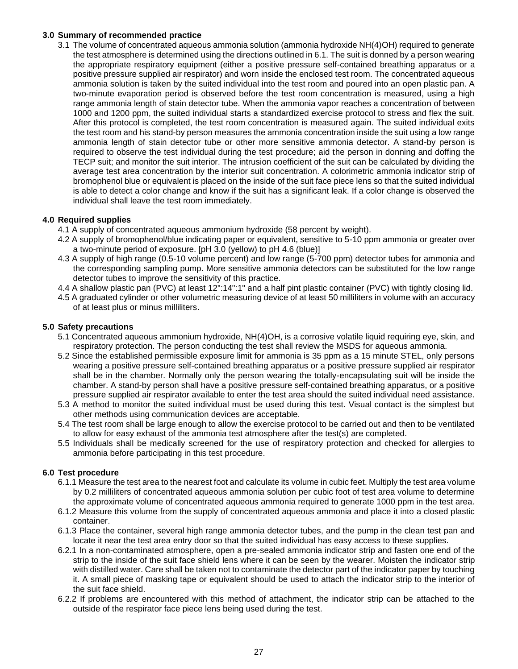#### **3.0 Summary of recommended practice**

3.1 The volume of concentrated aqueous ammonia solution (ammonia hydroxide NH(4)OH) required to generate the test atmosphere is determined using the directions outlined in 6.1. The suit is donned by a person wearing the appropriate respiratory equipment (either a positive pressure self-contained breathing apparatus or a positive pressure supplied air respirator) and worn inside the enclosed test room. The concentrated aqueous ammonia solution is taken by the suited individual into the test room and poured into an open plastic pan. A two-minute evaporation period is observed before the test room concentration is measured, using a high range ammonia length of stain detector tube. When the ammonia vapor reaches a concentration of between 1000 and 1200 ppm, the suited individual starts a standardized exercise protocol to stress and flex the suit. After this protocol is completed, the test room concentration is measured again. The suited individual exits the test room and his stand-by person measures the ammonia concentration inside the suit using a low range ammonia length of stain detector tube or other more sensitive ammonia detector. A stand-by person is required to observe the test individual during the test procedure; aid the person in donning and doffing the TECP suit; and monitor the suit interior. The intrusion coefficient of the suit can be calculated by dividing the average test area concentration by the interior suit concentration. A colorimetric ammonia indicator strip of bromophenol blue or equivalent is placed on the inside of the suit face piece lens so that the suited individual is able to detect a color change and know if the suit has a significant leak. If a color change is observed the individual shall leave the test room immediately.

# **4.0 Required supplies**

- 4.1 A supply of concentrated aqueous ammonium hydroxide (58 percent by weight).
- 4.2 A supply of bromophenol/blue indicating paper or equivalent, sensitive to 5-10 ppm ammonia or greater over a two-minute period of exposure. [pH 3.0 (yellow) to pH 4.6 (blue)]
- 4.3 A supply of high range (0.5-10 volume percent) and low range (5-700 ppm) detector tubes for ammonia and the corresponding sampling pump. More sensitive ammonia detectors can be substituted for the low range detector tubes to improve the sensitivity of this practice.
- 4.4 A shallow plastic pan (PVC) at least 12":14":1" and a half pint plastic container (PVC) with tightly closing lid.
- 4.5 A graduated cylinder or other volumetric measuring device of at least 50 milliliters in volume with an accuracy of at least plus or minus milliliters.

### **5.0 Safety precautions**

- 5.1 Concentrated aqueous ammonium hydroxide, NH(4)OH, is a corrosive volatile liquid requiring eye, skin, and respiratory protection. The person conducting the test shall review the MSDS for aqueous ammonia.
- 5.2 Since the established permissible exposure limit for ammonia is 35 ppm as a 15 minute STEL, only persons wearing a positive pressure self-contained breathing apparatus or a positive pressure supplied air respirator shall be in the chamber. Normally only the person wearing the totally-encapsulating suit will be inside the chamber. A stand-by person shall have a positive pressure self-contained breathing apparatus, or a positive pressure supplied air respirator available to enter the test area should the suited individual need assistance.
- 5.3 A method to monitor the suited individual must be used during this test. Visual contact is the simplest but other methods using communication devices are acceptable.
- 5.4 The test room shall be large enough to allow the exercise protocol to be carried out and then to be ventilated to allow for easy exhaust of the ammonia test atmosphere after the test(s) are completed.
- 5.5 Individuals shall be medically screened for the use of respiratory protection and checked for allergies to ammonia before participating in this test procedure.

# **6.0 Test procedure**

- 6.1.1 Measure the test area to the nearest foot and calculate its volume in cubic feet. Multiply the test area volume by 0.2 milliliters of concentrated aqueous ammonia solution per cubic foot of test area volume to determine the approximate volume of concentrated aqueous ammonia required to generate 1000 ppm in the test area.
- 6.1.2 Measure this volume from the supply of concentrated aqueous ammonia and place it into a closed plastic container.
- 6.1.3 Place the container, several high range ammonia detector tubes, and the pump in the clean test pan and locate it near the test area entry door so that the suited individual has easy access to these supplies.
- 6.2.1 In a non-contaminated atmosphere, open a pre-sealed ammonia indicator strip and fasten one end of the strip to the inside of the suit face shield lens where it can be seen by the wearer. Moisten the indicator strip with distilled water. Care shall be taken not to contaminate the detector part of the indicator paper by touching it. A small piece of masking tape or equivalent should be used to attach the indicator strip to the interior of the suit face shield.
- 6.2.2 If problems are encountered with this method of attachment, the indicator strip can be attached to the outside of the respirator face piece lens being used during the test.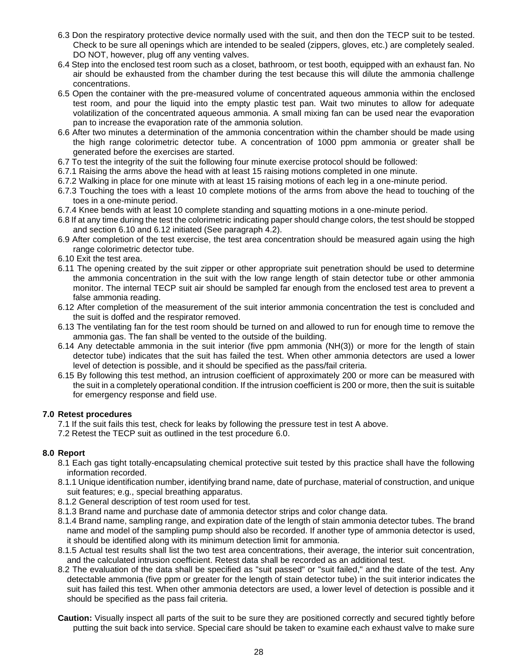- 6.3 Don the respiratory protective device normally used with the suit, and then don the TECP suit to be tested. Check to be sure all openings which are intended to be sealed (zippers, gloves, etc.) are completely sealed. DO NOT, however, plug off any venting valves.
- 6.4 Step into the enclosed test room such as a closet, bathroom, or test booth, equipped with an exhaust fan. No air should be exhausted from the chamber during the test because this will dilute the ammonia challenge concentrations.
- 6.5 Open the container with the pre-measured volume of concentrated aqueous ammonia within the enclosed test room, and pour the liquid into the empty plastic test pan. Wait two minutes to allow for adequate volatilization of the concentrated aqueous ammonia. A small mixing fan can be used near the evaporation pan to increase the evaporation rate of the ammonia solution.
- 6.6 After two minutes a determination of the ammonia concentration within the chamber should be made using the high range colorimetric detector tube. A concentration of 1000 ppm ammonia or greater shall be generated before the exercises are started.
- 6.7 To test the integrity of the suit the following four minute exercise protocol should be followed:
- 6.7.1 Raising the arms above the head with at least 15 raising motions completed in one minute.
- 6.7.2 Walking in place for one minute with at least 15 raising motions of each leg in a one-minute period.
- 6.7.3 Touching the toes with a least 10 complete motions of the arms from above the head to touching of the toes in a one-minute period.
- 6.7.4 Knee bends with at least 10 complete standing and squatting motions in a one-minute period.
- 6.8 If at any time during the test the colorimetric indicating paper should change colors, the test should be stopped and section 6.10 and 6.12 initiated (See paragraph 4.2).
- 6.9 After completion of the test exercise, the test area concentration should be measured again using the high range colorimetric detector tube.
- 6.10 Exit the test area.
- 6.11 The opening created by the suit zipper or other appropriate suit penetration should be used to determine the ammonia concentration in the suit with the low range length of stain detector tube or other ammonia monitor. The internal TECP suit air should be sampled far enough from the enclosed test area to prevent a false ammonia reading.
- 6.12 After completion of the measurement of the suit interior ammonia concentration the test is concluded and the suit is doffed and the respirator removed.
- 6.13 The ventilating fan for the test room should be turned on and allowed to run for enough time to remove the ammonia gas. The fan shall be vented to the outside of the building.
- 6.14 Any detectable ammonia in the suit interior (five ppm ammonia (NH(3)) or more for the length of stain detector tube) indicates that the suit has failed the test. When other ammonia detectors are used a lower level of detection is possible, and it should be specified as the pass/fail criteria.
- 6.15 By following this test method, an intrusion coefficient of approximately 200 or more can be measured with the suit in a completely operational condition. If the intrusion coefficient is 200 or more, then the suit is suitable for emergency response and field use.

#### **7.0 Retest procedures**

7.1 If the suit fails this test, check for leaks by following the pressure test in test A above.

7.2 Retest the TECP suit as outlined in the test procedure 6.0.

# **8.0 Report**

- 8.1 Each gas tight totally-encapsulating chemical protective suit tested by this practice shall have the following information recorded.
- 8.1.1 Unique identification number, identifying brand name, date of purchase, material of construction, and unique suit features; e.g., special breathing apparatus.
- 8.1.2 General description of test room used for test.
- 8.1.3 Brand name and purchase date of ammonia detector strips and color change data.
- 8.1.4 Brand name, sampling range, and expiration date of the length of stain ammonia detector tubes. The brand name and model of the sampling pump should also be recorded. If another type of ammonia detector is used, it should be identified along with its minimum detection limit for ammonia.
- 8.1.5 Actual test results shall list the two test area concentrations, their average, the interior suit concentration, and the calculated intrusion coefficient. Retest data shall be recorded as an additional test.
- 8.2 The evaluation of the data shall be specified as "suit passed" or "suit failed," and the date of the test. Any detectable ammonia (five ppm or greater for the length of stain detector tube) in the suit interior indicates the suit has failed this test. When other ammonia detectors are used, a lower level of detection is possible and it should be specified as the pass fail criteria.
- **Caution:** Visually inspect all parts of the suit to be sure they are positioned correctly and secured tightly before putting the suit back into service. Special care should be taken to examine each exhaust valve to make sure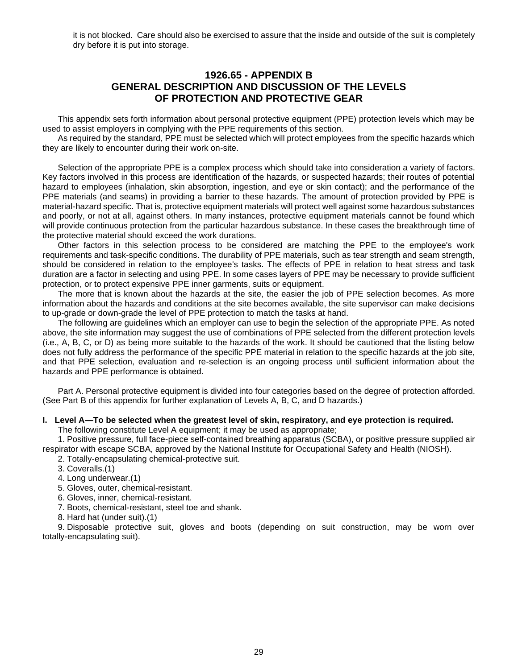it is not blocked. Care should also be exercised to assure that the inside and outside of the suit is completely dry before it is put into storage.

# <span id="page-28-0"></span>**1926.65 - APPENDIX B GENERAL DESCRIPTION AND DISCUSSION OF THE LEVELS OF PROTECTION AND PROTECTIVE GEAR**

This appendix sets forth information about personal protective equipment (PPE) protection levels which may be used to assist employers in complying with the PPE requirements of this section.

As required by the standard, PPE must be selected which will protect employees from the specific hazards which they are likely to encounter during their work on-site.

Selection of the appropriate PPE is a complex process which should take into consideration a variety of factors. Key factors involved in this process are identification of the hazards, or suspected hazards; their routes of potential hazard to employees (inhalation, skin absorption, ingestion, and eye or skin contact); and the performance of the PPE materials (and seams) in providing a barrier to these hazards. The amount of protection provided by PPE is material-hazard specific. That is, protective equipment materials will protect well against some hazardous substances and poorly, or not at all, against others. In many instances, protective equipment materials cannot be found which will provide continuous protection from the particular hazardous substance. In these cases the breakthrough time of the protective material should exceed the work durations.

Other factors in this selection process to be considered are matching the PPE to the employee's work requirements and task-specific conditions. The durability of PPE materials, such as tear strength and seam strength, should be considered in relation to the employee's tasks. The effects of PPE in relation to heat stress and task duration are a factor in selecting and using PPE. In some cases layers of PPE may be necessary to provide sufficient protection, or to protect expensive PPE inner garments, suits or equipment.

The more that is known about the hazards at the site, the easier the job of PPE selection becomes. As more information about the hazards and conditions at the site becomes available, the site supervisor can make decisions to up-grade or down-grade the level of PPE protection to match the tasks at hand.

The following are guidelines which an employer can use to begin the selection of the appropriate PPE. As noted above, the site information may suggest the use of combinations of PPE selected from the different protection levels (i.e., A, B, C, or D) as being more suitable to the hazards of the work. It should be cautioned that the listing below does not fully address the performance of the specific PPE material in relation to the specific hazards at the job site, and that PPE selection, evaluation and re-selection is an ongoing process until sufficient information about the hazards and PPE performance is obtained.

Part A. Personal protective equipment is divided into four categories based on the degree of protection afforded. (See Part B of this appendix for further explanation of Levels A, B, C, and D hazards.)

# **I. Level A—To be selected when the greatest level of skin, respiratory, and eye protection is required.**

The following constitute Level A equipment; it may be used as appropriate;

1. Positive pressure, full face-piece self-contained breathing apparatus (SCBA), or positive pressure supplied air respirator with escape SCBA, approved by the National Institute for Occupational Safety and Health (NIOSH).

- 2. Totally-encapsulating chemical-protective suit.
- 3. Coveralls.(1)
- 4. Long underwear.(1)
- 5. Gloves, outer, chemical-resistant.
- 6. Gloves, inner, chemical-resistant.
- 7. Boots, chemical-resistant, steel toe and shank.
- 8. Hard hat (under suit).(1)

9. Disposable protective suit, gloves and boots (depending on suit construction, may be worn over totally-encapsulating suit).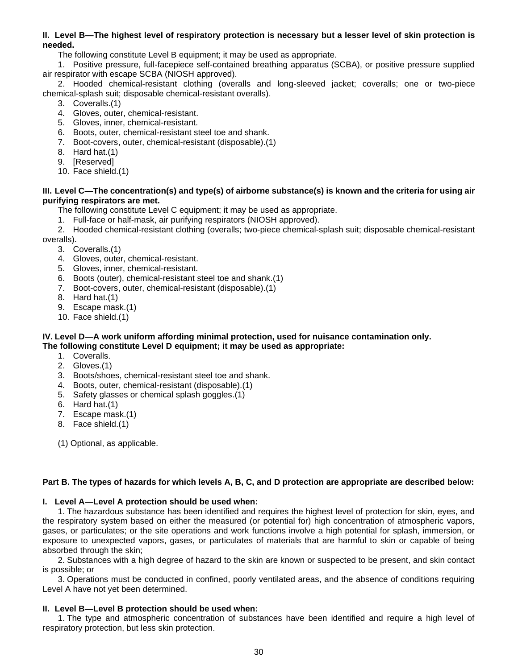### **II. Level B—The highest level of respiratory protection is necessary but a lesser level of skin protection is needed.**

The following constitute Level B equipment; it may be used as appropriate.

1. Positive pressure, full-facepiece self-contained breathing apparatus (SCBA), or positive pressure supplied air respirator with escape SCBA (NIOSH approved).

2. Hooded chemical-resistant clothing (overalls and long-sleeved jacket; coveralls; one or two-piece chemical-splash suit; disposable chemical-resistant overalls).

- 3. Coveralls.(1)
- 4. Gloves, outer, chemical-resistant.
- 5. Gloves, inner, chemical-resistant.
- 6. Boots, outer, chemical-resistant steel toe and shank.
- 7. Boot-covers, outer, chemical-resistant (disposable).(1)
- 8. Hard hat.(1)
- 9. [Reserved]
- 10. Face shield.(1)

### **III. Level C—The concentration(s) and type(s) of airborne substance(s) is known and the criteria for using air purifying respirators are met.**

The following constitute Level C equipment; it may be used as appropriate.

1. Full-face or half-mask, air purifying respirators (NIOSH approved).

2. Hooded chemical-resistant clothing (overalls; two-piece chemical-splash suit; disposable chemical-resistant overalls).

- 3. Coveralls.(1)
- 4. Gloves, outer, chemical-resistant.
- 5. Gloves, inner, chemical-resistant.
- 6. Boots (outer), chemical-resistant steel toe and shank.(1)
- 7. Boot-covers, outer, chemical-resistant (disposable).(1)
- 8. Hard hat.(1)
- 9. Escape mask.(1)
- 10. Face shield.(1)

#### **IV. Level D—A work uniform affording minimal protection, used for nuisance contamination only. The following constitute Level D equipment; it may be used as appropriate:**

- 1. Coveralls.
- 2. Gloves.(1)
- 3. Boots/shoes, chemical-resistant steel toe and shank.
- 4. Boots, outer, chemical-resistant (disposable).(1)
- 5. Safety glasses or chemical splash goggles.(1)
- 6. Hard hat.(1)
- 7. Escape mask.(1)
- 8. Face shield.(1)

(1) Optional, as applicable.

#### **Part B. The types of hazards for which levels A, B, C, and D protection are appropriate are described below:**

#### **I. Level A—Level A protection should be used when:**

1. The hazardous substance has been identified and requires the highest level of protection for skin, eyes, and the respiratory system based on either the measured (or potential for) high concentration of atmospheric vapors, gases, or particulates; or the site operations and work functions involve a high potential for splash, immersion, or exposure to unexpected vapors, gases, or particulates of materials that are harmful to skin or capable of being absorbed through the skin;

2. Substances with a high degree of hazard to the skin are known or suspected to be present, and skin contact is possible; or

3. Operations must be conducted in confined, poorly ventilated areas, and the absence of conditions requiring Level A have not yet been determined.

# **II. Level B—Level B protection should be used when:**

1. The type and atmospheric concentration of substances have been identified and require a high level of respiratory protection, but less skin protection.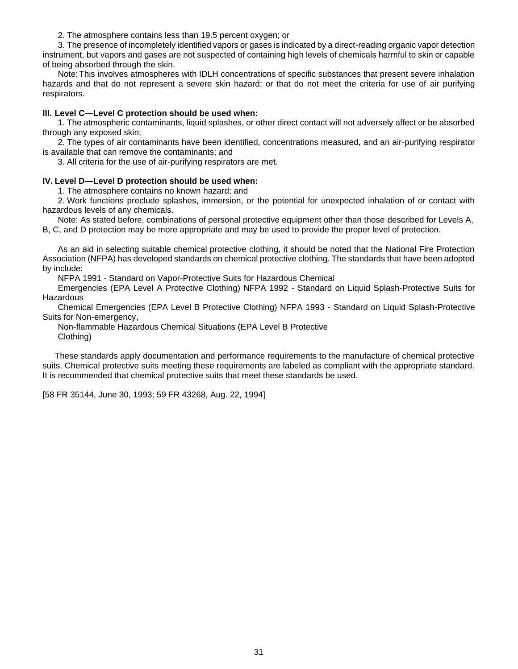2. The atmosphere contains less than 19.5 percent oxygen; or

3. The presence of incompletely identified vapors or gases is indicated by a direct-reading organic vapor detection instrument, but vapors and gases are not suspected of containing high levels of chemicals harmful to skin or capable of being absorbed through the skin.

Note:This involves atmospheres with IDLH concentrations of specific substances that present severe inhalation hazards and that do not represent a severe skin hazard; or that do not meet the criteria for use of air purifying respirators.

#### **III. Level C—Level C protection should be used when:**

1. The atmospheric contaminants, liquid splashes, or other direct contact will not adversely affect or be absorbed through any exposed skin;

2. The types of air contaminants have been identified, concentrations measured, and an air-purifying respirator is available that can remove the contaminants; and

3. All criteria for the use of air-purifying respirators are met.

#### **IV. Level D—Level D protection should be used when:**

1. The atmosphere contains no known hazard; and

2. Work functions preclude splashes, immersion, or the potential for unexpected inhalation of or contact with hazardous levels of any chemicals.

Note: As stated before, combinations of personal protective equipment other than those described for Levels A, B, C, and D protection may be more appropriate and may be used to provide the proper level of protection.

As an aid in selecting suitable chemical protective clothing, it should be noted that the National Fire Protection Association (NFPA) has developed standards on chemical protective clothing. The standards that have been adopted by include:

NFPA 1991 - Standard on Vapor-Protective Suits for Hazardous Chemical

Emergencies (EPA Level A Protective Clothing) NFPA 1992 - Standard on Liquid Splash-Protective Suits for Hazardous

Chemical Emergencies (EPA Level B Protective Clothing) NFPA 1993 - Standard on Liquid Splash-Protective Suits for Non-emergency,

Non-flammable Hazardous Chemical Situations (EPA Level B Protective Clothing)

These standards apply documentation and performance requirements to the manufacture of chemical protective suits. Chemical protective suits meeting these requirements are labeled as compliant with the appropriate standard. It is recommended that chemical protective suits that meet these standards be used.

[58 FR 35144, June 30, 1993; 59 FR 43268, Aug. 22, 1994]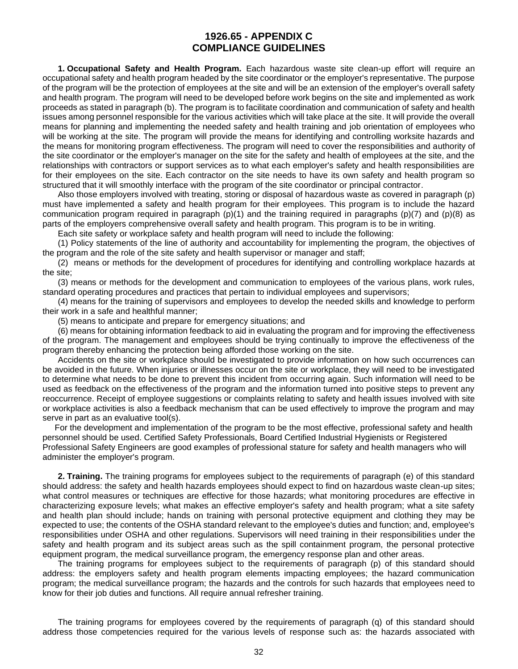# <span id="page-31-0"></span>**1926.65 - APPENDIX C COMPLIANCE GUIDELINES**

**1. Occupational Safety and Health Program.** Each hazardous waste site clean-up effort will require an occupational safety and health program headed by the site coordinator or the employer's representative. The purpose of the program will be the protection of employees at the site and will be an extension of the employer's overall safety and health program. The program will need to be developed before work begins on the site and implemented as work proceeds as stated in paragraph (b). The program is to facilitate coordination and communication of safety and health issues among personnel responsible for the various activities which will take place at the site. It will provide the overall means for planning and implementing the needed safety and health training and job orientation of employees who will be working at the site. The program will provide the means for identifying and controlling worksite hazards and the means for monitoring program effectiveness. The program will need to cover the responsibilities and authority of the site coordinator or the employer's manager on the site for the safety and health of employees at the site, and the relationships with contractors or support services as to what each employer's safety and health responsibilities are for their employees on the site. Each contractor on the site needs to have its own safety and health program so structured that it will smoothly interface with the program of the site coordinator or principal contractor.

Also those employers involved with treating, storing or disposal of hazardous waste as covered in paragraph (p) must have implemented a safety and health program for their employees. This program is to include the hazard communication program required in paragraph  $(p)(1)$  and the training required in paragraphs  $(p)(7)$  and  $(p)(8)$  as parts of the employers comprehensive overall safety and health program. This program is to be in writing.

Each site safety or workplace safety and health program will need to include the following:

(1) Policy statements of the line of authority and accountability for implementing the program, the objectives of the program and the role of the site safety and health supervisor or manager and staff;

(2) means or methods for the development of procedures for identifying and controlling workplace hazards at the site;

(3) means or methods for the development and communication to employees of the various plans, work rules, standard operating procedures and practices that pertain to individual employees and supervisors;

(4) means for the training of supervisors and employees to develop the needed skills and knowledge to perform their work in a safe and healthful manner;

(5) means to anticipate and prepare for emergency situations; and

(6) means for obtaining information feedback to aid in evaluating the program and for improving the effectiveness of the program. The management and employees should be trying continually to improve the effectiveness of the program thereby enhancing the protection being afforded those working on the site.

Accidents on the site or workplace should be investigated to provide information on how such occurrences can be avoided in the future. When injuries or illnesses occur on the site or workplace, they will need to be investigated to determine what needs to be done to prevent this incident from occurring again. Such information will need to be used as feedback on the effectiveness of the program and the information turned into positive steps to prevent any reoccurrence. Receipt of employee suggestions or complaints relating to safety and health issues involved with site or workplace activities is also a feedback mechanism that can be used effectively to improve the program and may serve in part as an evaluative tool(s).

For the development and implementation of the program to be the most effective, professional safety and health personnel should be used. Certified Safety Professionals, Board Certified Industrial Hygienists or Registered Professional Safety Engineers are good examples of professional stature for safety and health managers who will administer the employer's program.

**2. Training.** The training programs for employees subject to the requirements of paragraph (e) of this standard should address: the safety and health hazards employees should expect to find on hazardous waste clean-up sites; what control measures or techniques are effective for those hazards; what monitoring procedures are effective in characterizing exposure levels; what makes an effective employer's safety and health program; what a site safety and health plan should include; hands on training with personal protective equipment and clothing they may be expected to use; the contents of the OSHA standard relevant to the employee's duties and function; and, employee's responsibilities under OSHA and other regulations. Supervisors will need training in their responsibilities under the safety and health program and its subject areas such as the spill containment program, the personal protective equipment program, the medical surveillance program, the emergency response plan and other areas.

The training programs for employees subject to the requirements of paragraph (p) of this standard should address: the employers safety and health program elements impacting employees; the hazard communication program; the medical surveillance program; the hazards and the controls for such hazards that employees need to know for their job duties and functions. All require annual refresher training.

The training programs for employees covered by the requirements of paragraph (q) of this standard should address those competencies required for the various levels of response such as: the hazards associated with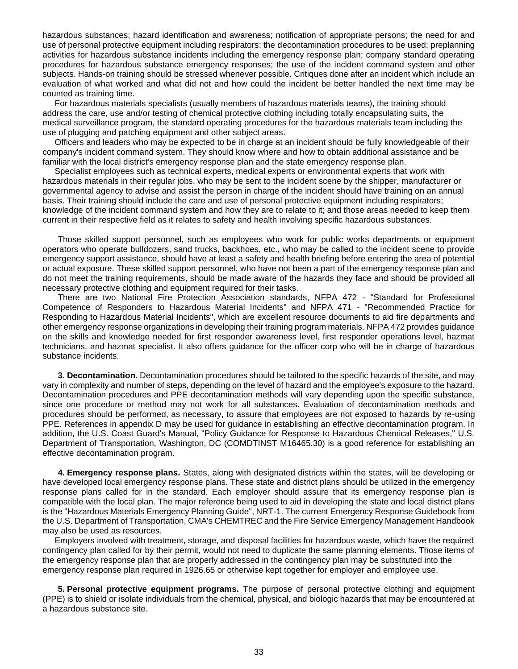hazardous substances; hazard identification and awareness; notification of appropriate persons; the need for and use of personal protective equipment including respirators; the decontamination procedures to be used; preplanning activities for hazardous substance incidents including the emergency response plan; company standard operating procedures for hazardous substance emergency responses; the use of the incident command system and other subjects. Hands-on training should be stressed whenever possible. Critiques done after an incident which include an evaluation of what worked and what did not and how could the incident be better handled the next time may be counted as training time.

For hazardous materials specialists (usually members of hazardous materials teams), the training should address the care, use and/or testing of chemical protective clothing including totally encapsulating suits, the medical surveillance program, the standard operating procedures for the hazardous materials team including the use of plugging and patching equipment and other subject areas.

Officers and leaders who may be expected to be in charge at an incident should be fully knowledgeable of their company's incident command system. They should know where and how to obtain additional assistance and be familiar with the local district's emergency response plan and the state emergency response plan.

Specialist employees such as technical experts, medical experts or environmental experts that work with hazardous materials in their regular jobs, who may be sent to the incident scene by the shipper, manufacturer or governmental agency to advise and assist the person in charge of the incident should have training on an annual basis. Their training should include the care and use of personal protective equipment including respirators; knowledge of the incident command system and how they are to relate to it; and those areas needed to keep them current in their respective field as it relates to safety and health involving specific hazardous substances.

Those skilled support personnel, such as employees who work for public works departments or equipment operators who operate bulldozers, sand trucks, backhoes, etc., who may be called to the incident scene to provide emergency support assistance, should have at least a safety and health briefing before entering the area of potential or actual exposure. These skilled support personnel, who have not been a part of the emergency response plan and do not meet the training requirements, should be made aware of the hazards they face and should be provided all necessary protective clothing and equipment required for their tasks.

There are two National Fire Protection Association standards, NFPA 472 - "Standard for Professional Competence of Responders to Hazardous Material Incidents" and NFPA 471 - "Recommended Practice for Responding to Hazardous Material Incidents", which are excellent resource documents to aid fire departments and other emergency response organizations in developing their training program materials. NFPA 472 provides guidance on the skills and knowledge needed for first responder awareness level, first responder operations level, hazmat technicians, and hazmat specialist. It also offers guidance for the officer corp who will be in charge of hazardous substance incidents.

**3. Decontamination**. Decontamination procedures should be tailored to the specific hazards of the site, and may vary in complexity and number of steps, depending on the level of hazard and the employee's exposure to the hazard. Decontamination procedures and PPE decontamination methods will vary depending upon the specific substance, since one procedure or method may not work for all substances. Evaluation of decontamination methods and procedures should be performed, as necessary, to assure that employees are not exposed to hazards by re-using PPE. References in appendix D may be used for guidance in establishing an effective decontamination program. In addition, the U.S. Coast Guard's Manual, "Policy Guidance for Response to Hazardous Chemical Releases," U.S. Department of Transportation, Washington, DC (COMDTINST M16465.30) is a good reference for establishing an effective decontamination program.

**4. Emergency response plans.** States, along with designated districts within the states, will be developing or have developed local emergency response plans. These state and district plans should be utilized in the emergency response plans called for in the standard. Each employer should assure that its emergency response plan is compatible with the local plan. The major reference being used to aid in developing the state and local district plans is the "Hazardous Materials Emergency Planning Guide", NRT-1. The current Emergency Response Guidebook from the U.S. Department of Transportation, CMA's CHEMTREC and the Fire Service Emergency Management Handbook may also be used as resources.

Employers involved with treatment, storage, and disposal facilities for hazardous waste, which have the required contingency plan called for by their permit, would not need to duplicate the same planning elements. Those items of the emergency response plan that are properly addressed in the contingency plan may be substituted into the emergency response plan required in 1926.65 or otherwise kept together for employer and employee use.

**5. Personal protective equipment programs.** The purpose of personal protective clothing and equipment (PPE) is to shield or isolate individuals from the chemical, physical, and biologic hazards that may be encountered at a hazardous substance site.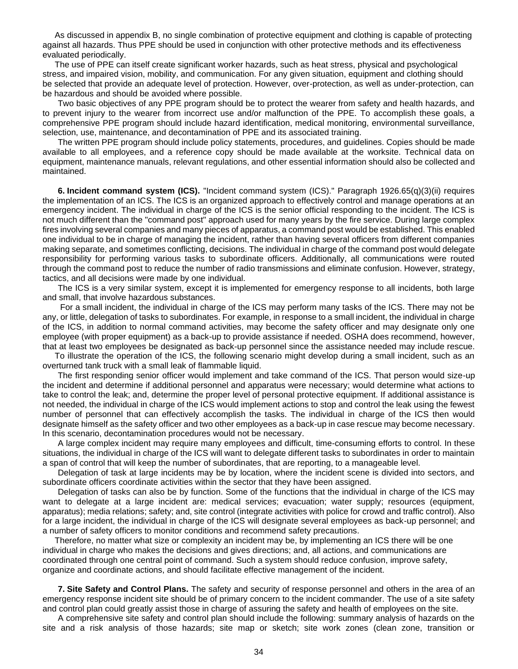As discussed in appendix B, no single combination of protective equipment and clothing is capable of protecting against all hazards. Thus PPE should be used in conjunction with other protective methods and its effectiveness evaluated periodically.

The use of PPE can itself create significant worker hazards, such as heat stress, physical and psychological stress, and impaired vision, mobility, and communication. For any given situation, equipment and clothing should be selected that provide an adequate level of protection. However, over-protection, as well as under-protection, can be hazardous and should be avoided where possible.

Two basic objectives of any PPE program should be to protect the wearer from safety and health hazards, and to prevent injury to the wearer from incorrect use and/or malfunction of the PPE. To accomplish these goals, a comprehensive PPE program should include hazard identification, medical monitoring, environmental surveillance, selection, use, maintenance, and decontamination of PPE and its associated training.

The written PPE program should include policy statements, procedures, and guidelines. Copies should be made available to all employees, and a reference copy should be made available at the worksite. Technical data on equipment, maintenance manuals, relevant regulations, and other essential information should also be collected and maintained.

**6. Incident command system (ICS).** "Incident command system (ICS)." Paragraph 1926.65(q)(3)(ii) requires the implementation of an ICS. The ICS is an organized approach to effectively control and manage operations at an emergency incident. The individual in charge of the ICS is the senior official responding to the incident. The ICS is not much different than the "command post" approach used for many years by the fire service. During large complex fires involving several companies and many pieces of apparatus, a command post would be established. This enabled one individual to be in charge of managing the incident, rather than having several officers from different companies making separate, and sometimes conflicting, decisions. The individual in charge of the command post would delegate responsibility for performing various tasks to subordinate officers. Additionally, all communications were routed through the command post to reduce the number of radio transmissions and eliminate confusion. However, strategy, tactics, and all decisions were made by one individual.

The ICS is a very similar system, except it is implemented for emergency response to all incidents, both large and small, that involve hazardous substances.

For a small incident, the individual in charge of the ICS may perform many tasks of the ICS. There may not be any, or little, delegation of tasks to subordinates. For example, in response to a small incident, the individual in charge of the ICS, in addition to normal command activities, may become the safety officer and may designate only one employee (with proper equipment) as a back-up to provide assistance if needed. OSHA does recommend, however, that at least two employees be designated as back-up personnel since the assistance needed may include rescue.

To illustrate the operation of the ICS, the following scenario might develop during a small incident, such as an overturned tank truck with a small leak of flammable liquid.

The first responding senior officer would implement and take command of the ICS. That person would size-up the incident and determine if additional personnel and apparatus were necessary; would determine what actions to take to control the leak; and, determine the proper level of personal protective equipment. If additional assistance is not needed, the individual in charge of the ICS would implement actions to stop and control the leak using the fewest number of personnel that can effectively accomplish the tasks. The individual in charge of the ICS then would designate himself as the safety officer and two other employees as a back-up in case rescue may become necessary. In this scenario, decontamination procedures would not be necessary.

A large complex incident may require many employees and difficult, time-consuming efforts to control. In these situations, the individual in charge of the ICS will want to delegate different tasks to subordinates in order to maintain a span of control that will keep the number of subordinates, that are reporting, to a manageable level.

Delegation of task at large incidents may be by location, where the incident scene is divided into sectors, and subordinate officers coordinate activities within the sector that they have been assigned.

Delegation of tasks can also be by function. Some of the functions that the individual in charge of the ICS may want to delegate at a large incident are: medical services; evacuation; water supply; resources (equipment, apparatus); media relations; safety; and, site control (integrate activities with police for crowd and traffic control). Also for a large incident, the individual in charge of the ICS will designate several employees as back-up personnel; and a number of safety officers to monitor conditions and recommend safety precautions.

Therefore, no matter what size or complexity an incident may be, by implementing an ICS there will be one individual in charge who makes the decisions and gives directions; and, all actions, and communications are coordinated through one central point of command. Such a system should reduce confusion, improve safety, organize and coordinate actions, and should facilitate effective management of the incident.

**7. Site Safety and Control Plans.** The safety and security of response personnel and others in the area of an emergency response incident site should be of primary concern to the incident commander. The use of a site safety and control plan could greatly assist those in charge of assuring the safety and health of employees on the site.

A comprehensive site safety and control plan should include the following: summary analysis of hazards on the site and a risk analysis of those hazards; site map or sketch; site work zones (clean zone, transition or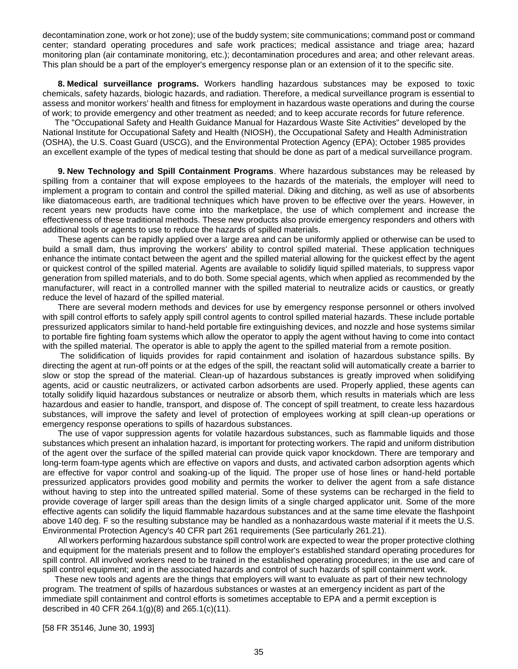decontamination zone, work or hot zone); use of the buddy system; site communications; command post or command center; standard operating procedures and safe work practices; medical assistance and triage area; hazard monitoring plan (air contaminate monitoring, etc.); decontamination procedures and area; and other relevant areas. This plan should be a part of the employer's emergency response plan or an extension of it to the specific site.

**8. Medical surveillance programs.** Workers handling hazardous substances may be exposed to toxic chemicals, safety hazards, biologic hazards, and radiation. Therefore, a medical surveillance program is essential to assess and monitor workers' health and fitness for employment in hazardous waste operations and during the course of work; to provide emergency and other treatment as needed; and to keep accurate records for future reference.

The "Occupational Safety and Health Guidance Manual for Hazardous Waste Site Activities" developed by the National Institute for Occupational Safety and Health (NIOSH), the Occupational Safety and Health Administration (OSHA), the U.S. Coast Guard (USCG), and the Environmental Protection Agency (EPA); October 1985 provides an excellent example of the types of medical testing that should be done as part of a medical surveillance program.

**9. New Technology and Spill Containment Programs**. Where hazardous substances may be released by spilling from a container that will expose employees to the hazards of the materials, the employer will need to implement a program to contain and control the spilled material. Diking and ditching, as well as use of absorbents like diatomaceous earth, are traditional techniques which have proven to be effective over the years. However, in recent years new products have come into the marketplace, the use of which complement and increase the effectiveness of these traditional methods. These new products also provide emergency responders and others with additional tools or agents to use to reduce the hazards of spilled materials.

These agents can be rapidly applied over a large area and can be uniformly applied or otherwise can be used to build a small dam, thus improving the workers' ability to control spilled material. These application techniques enhance the intimate contact between the agent and the spilled material allowing for the quickest effect by the agent or quickest control of the spilled material. Agents are available to solidify liquid spilled materials, to suppress vapor generation from spilled materials, and to do both. Some special agents, which when applied as recommended by the manufacturer, will react in a controlled manner with the spilled material to neutralize acids or caustics, or greatly reduce the level of hazard of the spilled material.

There are several modern methods and devices for use by emergency response personnel or others involved with spill control efforts to safely apply spill control agents to control spilled material hazards. These include portable pressurized applicators similar to hand-held portable fire extinguishing devices, and nozzle and hose systems similar to portable fire fighting foam systems which allow the operator to apply the agent without having to come into contact with the spilled material. The operator is able to apply the agent to the spilled material from a remote position.

The solidification of liquids provides for rapid containment and isolation of hazardous substance spills. By directing the agent at run-off points or at the edges of the spill, the reactant solid will automatically create a barrier to slow or stop the spread of the material. Clean-up of hazardous substances is greatly improved when solidifying agents, acid or caustic neutralizers, or activated carbon adsorbents are used. Properly applied, these agents can totally solidify liquid hazardous substances or neutralize or absorb them, which results in materials which are less hazardous and easier to handle, transport, and dispose of. The concept of spill treatment, to create less hazardous substances, will improve the safety and level of protection of employees working at spill clean-up operations or emergency response operations to spills of hazardous substances.

The use of vapor suppression agents for volatile hazardous substances, such as flammable liquids and those substances which present an inhalation hazard, is important for protecting workers. The rapid and uniform distribution of the agent over the surface of the spilled material can provide quick vapor knockdown. There are temporary and long-term foam-type agents which are effective on vapors and dusts, and activated carbon adsorption agents which are effective for vapor control and soaking-up of the liquid. The proper use of hose lines or hand-held portable pressurized applicators provides good mobility and permits the worker to deliver the agent from a safe distance without having to step into the untreated spilled material. Some of these systems can be recharged in the field to provide coverage of larger spill areas than the design limits of a single charged applicator unit. Some of the more effective agents can solidify the liquid flammable hazardous substances and at the same time elevate the flashpoint above 140 deg. F so the resulting substance may be handled as a nonhazardous waste material if it meets the U.S. Environmental Protection Agency's 40 CFR part 261 requirements (See particularly 261.21).

All workers performing hazardous substance spill control work are expected to wear the proper protective clothing and equipment for the materials present and to follow the employer's established standard operating procedures for spill control. All involved workers need to be trained in the established operating procedures; in the use and care of spill control equipment; and in the associated hazards and control of such hazards of spill containment work.

These new tools and agents are the things that employers will want to evaluate as part of their new technology program. The treatment of spills of hazardous substances or wastes at an emergency incident as part of the immediate spill containment and control efforts is sometimes acceptable to EPA and a permit exception is described in 40 CFR 264.1(g)(8) and 265.1(c)(11).

[58 FR 35146, June 30, 1993]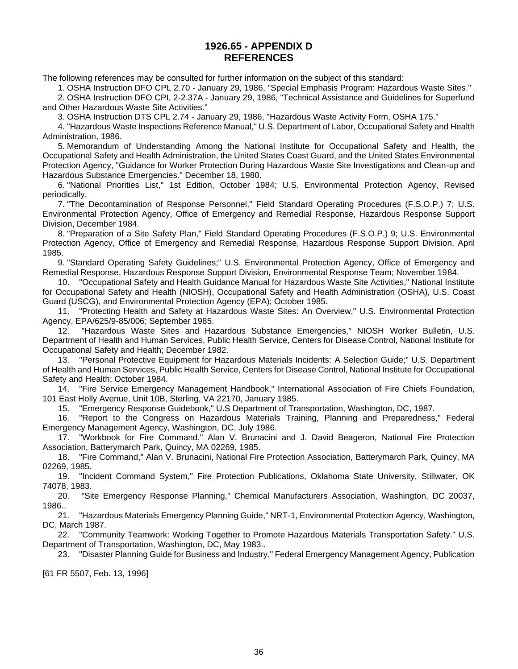# <span id="page-35-0"></span>**1926.65 - APPENDIX D REFERENCES**

The following references may be consulted for further information on the subject of this standard:

1. OSHA Instruction DFO CPL 2.70 - January 29, 1986, "Special Emphasis Program: Hazardous Waste Sites."

2. OSHA Instruction DFO CPL 2-2.37A - January 29, 1986, "Technical Assistance and Guidelines for Superfund and Other Hazardous Waste Site Activities."

3. OSHA Instruction DTS CPL 2.74 - January 29, 1986, "Hazardous Waste Activity Form, OSHA 175."

4. "Hazardous Waste Inspections Reference Manual," U.S. Department of Labor, Occupational Safety and Health Administration, 1986.

5. Memorandum of Understanding Among the National Institute for Occupational Safety and Health, the Occupational Safety and Health Administration, the United States Coast Guard, and the United States Environmental Protection Agency, "Guidance for Worker Protection During Hazardous Waste Site Investigations and Clean-up and Hazardous Substance Emergencies." December 18, 1980.

6. "National Priorities List," 1st Edition, October 1984; U.S. Environmental Protection Agency, Revised periodically.

7. "The Decontamination of Response Personnel," Field Standard Operating Procedures (F.S.O.P.) 7; U.S. Environmental Protection Agency, Office of Emergency and Remedial Response, Hazardous Response Support Division, December 1984.

8. "Preparation of a Site Safety Plan," Field Standard Operating Procedures (F.S.O.P.) 9; U.S. Environmental Protection Agency, Office of Emergency and Remedial Response, Hazardous Response Support Division, April 1985.

9. "Standard Operating Safety Guidelines;" U.S. Environmental Protection Agency, Office of Emergency and Remedial Response, Hazardous Response Support Division, Environmental Response Team; November 1984.

10. "Occupational Safety and Health Guidance Manual for Hazardous Waste Site Activities," National Institute for Occupational Safety and Health (NIOSH), Occupational Safety and Health Administration (OSHA), U.S. Coast Guard (USCG), and Environmental Protection Agency (EPA); October 1985.

11. "Protecting Health and Safety at Hazardous Waste Sites: An Overview," U.S. Environmental Protection Agency, EPA/625/9-85/006; September 1985.

12. "Hazardous Waste Sites and Hazardous Substance Emergencies," NIOSH Worker Bulletin, U.S. Department of Health and Human Services, Public Health Service, Centers for Disease Control, National Institute for Occupational Safety and Health; December 1982.

13. "Personal Protective Equipment for Hazardous Materials Incidents: A Selection Guide;" U.S. Department of Health and Human Services, Public Health Service, Centers for Disease Control, National Institute for Occupational Safety and Health; October 1984.

14. "Fire Service Emergency Management Handbook," International Association of Fire Chiefs Foundation, 101 East Holly Avenue, Unit 10B, Sterling, VA 22170, January 1985.

15. "Emergency Response Guidebook," U.S Department of Transportation, Washington, DC, 1987.

16. "Report to the Congress on Hazardous Materials Training, Planning and Preparedness," Federal Emergency Management Agency, Washington, DC, July 1986.

17. "Workbook for Fire Command," Alan V. Brunacini and J. David Beageron, National Fire Protection Association, Batterymarch Park, Quincy, MA 02269, 1985.

18. "Fire Command," Alan V. Brunacini, National Fire Protection Association, Batterymarch Park, Quincy, MA 02269, 1985.

19. "Incident Command System," Fire Protection Publications, Oklahoma State University, Stillwater, OK 74078, 1983.

20. "Site Emergency Response Planning," Chemical Manufacturers Association, Washington, DC 20037, 1986..

21. "Hazardous Materials Emergency Planning Guide," NRT-1, Environmental Protection Agency, Washington, DC, March 1987.

22. "Community Teamwork: Working Together to Promote Hazardous Materials Transportation Safety." U.S. Department of Transportation, Washington, DC, May 1983..

23. "Disaster Planning Guide for Business and Industry," Federal Emergency Management Agency, Publication

[61 FR 5507, Feb. 13, 1996]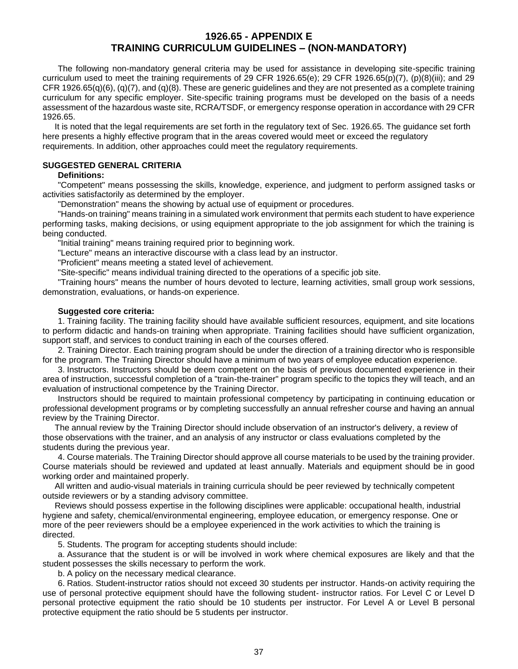# <span id="page-36-0"></span>**1926.65 - APPENDIX E TRAINING CURRICULUM GUIDELINES – (NON-MANDATORY)**

The following non-mandatory general criteria may be used for assistance in developing site-specific training curriculum used to meet the training requirements of 29 CFR 1926.65(e); 29 CFR 1926.65(p)(7), (p)(8)(iii); and 29 CFR 1926.65(q)(6), (q)(7), and (q)(8). These are generic guidelines and they are not presented as a complete training curriculum for any specific employer. Site-specific training programs must be developed on the basis of a needs assessment of the hazardous waste site, RCRA/TSDF, or emergency response operation in accordance with 29 CFR 1926.65.

It is noted that the legal requirements are set forth in the regulatory text of Sec. 1926.65. The guidance set forth here presents a highly effective program that in the areas covered would meet or exceed the regulatory requirements. In addition, other approaches could meet the regulatory requirements.

#### **SUGGESTED GENERAL CRITERIA**

#### **Definitions:**

"Competent" means possessing the skills, knowledge, experience, and judgment to perform assigned tasks or activities satisfactorily as determined by the employer.

"Demonstration" means the showing by actual use of equipment or procedures.

"Hands-on training" means training in a simulated work environment that permits each student to have experience performing tasks, making decisions, or using equipment appropriate to the job assignment for which the training is being conducted.

"Initial training" means training required prior to beginning work.

"Lecture" means an interactive discourse with a class lead by an instructor.

"Proficient" means meeting a stated level of achievement.

"Site-specific" means individual training directed to the operations of a specific job site.

"Training hours" means the number of hours devoted to lecture, learning activities, small group work sessions, demonstration, evaluations, or hands-on experience.

#### **Suggested core criteria:**

1. Training facility. The training facility should have available sufficient resources, equipment, and site locations to perform didactic and hands-on training when appropriate. Training facilities should have sufficient organization, support staff, and services to conduct training in each of the courses offered.

2. Training Director. Each training program should be under the direction of a training director who is responsible for the program. The Training Director should have a minimum of two years of employee education experience.

3. Instructors. Instructors should be deem competent on the basis of previous documented experience in their area of instruction, successful completion of a "train-the-trainer" program specific to the topics they will teach, and an evaluation of instructional competence by the Training Director.

Instructors should be required to maintain professional competency by participating in continuing education or professional development programs or by completing successfully an annual refresher course and having an annual review by the Training Director.

The annual review by the Training Director should include observation of an instructor's delivery, a review of those observations with the trainer, and an analysis of any instructor or class evaluations completed by the students during the previous year.

4. Course materials. The Training Director should approve all course materials to be used by the training provider. Course materials should be reviewed and updated at least annually. Materials and equipment should be in good working order and maintained properly.

All written and audio-visual materials in training curricula should be peer reviewed by technically competent outside reviewers or by a standing advisory committee.

Reviews should possess expertise in the following disciplines were applicable: occupational health, industrial hygiene and safety, chemical/environmental engineering, employee education, or emergency response. One or more of the peer reviewers should be a employee experienced in the work activities to which the training is directed.

5. Students. The program for accepting students should include:

a. Assurance that the student is or will be involved in work where chemical exposures are likely and that the student possesses the skills necessary to perform the work.

b. A policy on the necessary medical clearance.

6. Ratios. Student-instructor ratios should not exceed 30 students per instructor. Hands-on activity requiring the use of personal protective equipment should have the following student- instructor ratios. For Level C or Level D personal protective equipment the ratio should be 10 students per instructor. For Level A or Level B personal protective equipment the ratio should be 5 students per instructor.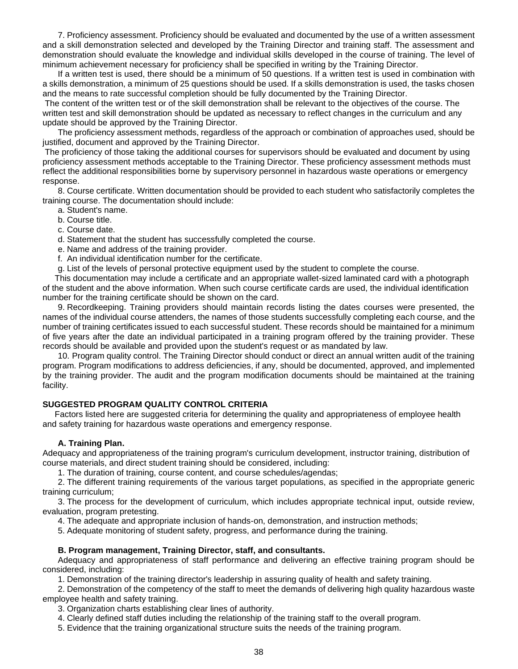7. Proficiency assessment. Proficiency should be evaluated and documented by the use of a written assessment and a skill demonstration selected and developed by the Training Director and training staff. The assessment and demonstration should evaluate the knowledge and individual skills developed in the course of training. The level of minimum achievement necessary for proficiency shall be specified in writing by the Training Director.

If a written test is used, there should be a minimum of 50 questions. If a written test is used in combination with a skills demonstration, a minimum of 25 questions should be used. If a skills demonstration is used, the tasks chosen and the means to rate successful completion should be fully documented by the Training Director.

The content of the written test or of the skill demonstration shall be relevant to the objectives of the course. The written test and skill demonstration should be updated as necessary to reflect changes in the curriculum and any update should be approved by the Training Director.

The proficiency assessment methods, regardless of the approach or combination of approaches used, should be justified, document and approved by the Training Director.

The proficiency of those taking the additional courses for supervisors should be evaluated and document by using proficiency assessment methods acceptable to the Training Director. These proficiency assessment methods must reflect the additional responsibilities borne by supervisory personnel in hazardous waste operations or emergency response.

8. Course certificate. Written documentation should be provided to each student who satisfactorily completes the training course. The documentation should include:

- a. Student's name.
- b. Course title.
- c. Course date.
- d. Statement that the student has successfully completed the course.
- e. Name and address of the training provider.
- f. An individual identification number for the certificate.
- g. List of the levels of personal protective equipment used by the student to complete the course.

This documentation may include a certificate and an appropriate wallet-sized laminated card with a photograph of the student and the above information. When such course certificate cards are used, the individual identification number for the training certificate should be shown on the card.

9. Recordkeeping. Training providers should maintain records listing the dates courses were presented, the names of the individual course attenders, the names of those students successfully completing each course, and the number of training certificates issued to each successful student. These records should be maintained for a minimum of five years after the date an individual participated in a training program offered by the training provider. These records should be available and provided upon the student's request or as mandated by law.

10. Program quality control. The Training Director should conduct or direct an annual written audit of the training program. Program modifications to address deficiencies, if any, should be documented, approved, and implemented by the training provider. The audit and the program modification documents should be maintained at the training facility.

#### **SUGGESTED PROGRAM QUALITY CONTROL CRITERIA**

Factors listed here are suggested criteria for determining the quality and appropriateness of employee health and safety training for hazardous waste operations and emergency response.

#### **A. Training Plan.**

Adequacy and appropriateness of the training program's curriculum development, instructor training, distribution of course materials, and direct student training should be considered, including:

1. The duration of training, course content, and course schedules/agendas;

2. The different training requirements of the various target populations, as specified in the appropriate generic training curriculum;

3. The process for the development of curriculum, which includes appropriate technical input, outside review, evaluation, program pretesting.

4. The adequate and appropriate inclusion of hands-on, demonstration, and instruction methods;

5. Adequate monitoring of student safety, progress, and performance during the training.

#### **B. Program management, Training Director, staff, and consultants.**

Adequacy and appropriateness of staff performance and delivering an effective training program should be considered, including:

1. Demonstration of the training director's leadership in assuring quality of health and safety training.

2. Demonstration of the competency of the staff to meet the demands of delivering high quality hazardous waste employee health and safety training.

3. Organization charts establishing clear lines of authority.

4. Clearly defined staff duties including the relationship of the training staff to the overall program.

5. Evidence that the training organizational structure suits the needs of the training program.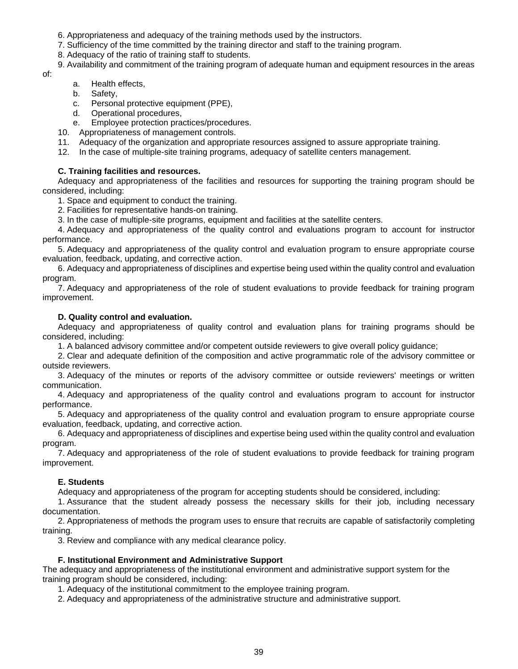- 6. Appropriateness and adequacy of the training methods used by the instructors.
- 7. Sufficiency of the time committed by the training director and staff to the training program.
- 8. Adequacy of the ratio of training staff to students.

9. Availability and commitment of the training program of adequate human and equipment resources in the areas

of:

- a. Health effects,
- b. Safety,
- c. Personal protective equipment (PPE),
- d. Operational procedures,
- e. Employee protection practices/procedures.
- 10. Appropriateness of management controls.
- 11. Adequacy of the organization and appropriate resources assigned to assure appropriate training.
- 12. In the case of multiple-site training programs, adequacy of satellite centers management.

### **C. Training facilities and resources.**

Adequacy and appropriateness of the facilities and resources for supporting the training program should be considered, including:

1. Space and equipment to conduct the training.

2. Facilities for representative hands-on training.

3. In the case of multiple-site programs, equipment and facilities at the satellite centers.

4. Adequacy and appropriateness of the quality control and evaluations program to account for instructor performance.

5. Adequacy and appropriateness of the quality control and evaluation program to ensure appropriate course evaluation, feedback, updating, and corrective action.

6. Adequacy and appropriateness of disciplines and expertise being used within the quality control and evaluation program.

7. Adequacy and appropriateness of the role of student evaluations to provide feedback for training program improvement.

### **D. Quality control and evaluation.**

Adequacy and appropriateness of quality control and evaluation plans for training programs should be considered, including:

1. A balanced advisory committee and/or competent outside reviewers to give overall policy guidance;

2. Clear and adequate definition of the composition and active programmatic role of the advisory committee or outside reviewers.

3. Adequacy of the minutes or reports of the advisory committee or outside reviewers' meetings or written communication.

4. Adequacy and appropriateness of the quality control and evaluations program to account for instructor performance.

5. Adequacy and appropriateness of the quality control and evaluation program to ensure appropriate course evaluation, feedback, updating, and corrective action.

6. Adequacy and appropriateness of disciplines and expertise being used within the quality control and evaluation program.

7. Adequacy and appropriateness of the role of student evaluations to provide feedback for training program improvement.

# **E. Students**

Adequacy and appropriateness of the program for accepting students should be considered, including:

1. Assurance that the student already possess the necessary skills for their job, including necessary documentation.

2. Appropriateness of methods the program uses to ensure that recruits are capable of satisfactorily completing training.

3. Review and compliance with any medical clearance policy.

#### **F. Institutional Environment and Administrative Support**

The adequacy and appropriateness of the institutional environment and administrative support system for the training program should be considered, including:

1. Adequacy of the institutional commitment to the employee training program.

2. Adequacy and appropriateness of the administrative structure and administrative support.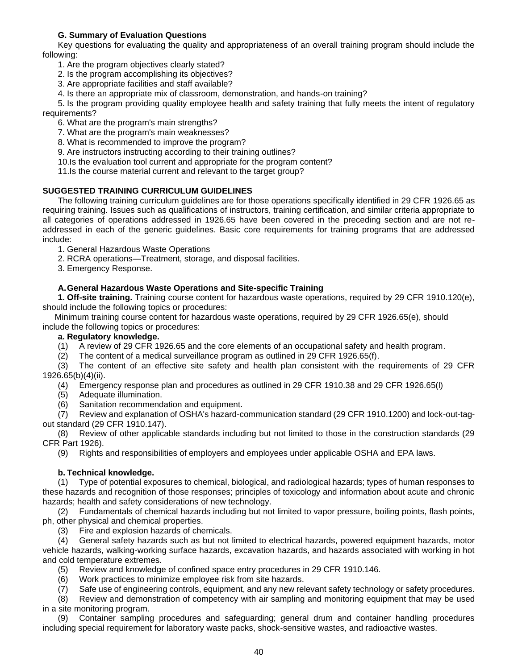# **G. Summary of Evaluation Questions**

Key questions for evaluating the quality and appropriateness of an overall training program should include the following:

1. Are the program objectives clearly stated?

2. Is the program accomplishing its objectives?

3. Are appropriate facilities and staff available?

4. Is there an appropriate mix of classroom, demonstration, and hands-on training?

5. Is the program providing quality employee health and safety training that fully meets the intent of regulatory requirements?

6. What are the program's main strengths?

7. What are the program's main weaknesses?

8. What is recommended to improve the program?

9. Are instructors instructing according to their training outlines?

10.Is the evaluation tool current and appropriate for the program content?

11.Is the course material current and relevant to the target group?

# **SUGGESTED TRAINING CURRICULUM GUIDELINES**

The following training curriculum guidelines are for those operations specifically identified in 29 CFR 1926.65 as requiring training. Issues such as qualifications of instructors, training certification, and similar criteria appropriate to all categories of operations addressed in 1926.65 have been covered in the preceding section and are not readdressed in each of the generic guidelines. Basic core requirements for training programs that are addressed include:

1. General Hazardous Waste Operations

2. RCRA operations—Treatment, storage, and disposal facilities.

3. Emergency Response.

# **A.General Hazardous Waste Operations and Site-specific Training**

**1. Off-site training.** Training course content for hazardous waste operations, required by 29 CFR 1910.120(e), should include the following topics or procedures:

Minimum training course content for hazardous waste operations, required by 29 CFR 1926.65(e), should include the following topics or procedures:

#### **a. Regulatory knowledge.**

(1) A review of 29 CFR 1926.65 and the core elements of an occupational safety and health program.

(2) The content of a medical surveillance program as outlined in 29 CFR 1926.65(f).

(3) The content of an effective site safety and health plan consistent with the requirements of 29 CFR 1926.65(b)(4)(ii).

(4) Emergency response plan and procedures as outlined in 29 CFR 1910.38 and 29 CFR 1926.65(l)

(5) Adequate illumination.

(6) Sanitation recommendation and equipment.

(7) Review and explanation of OSHA's hazard-communication standard (29 CFR 1910.1200) and lock-out-tagout standard (29 CFR 1910.147).

(8) Review of other applicable standards including but not limited to those in the construction standards (29 CFR Part 1926).

(9) Rights and responsibilities of employers and employees under applicable OSHA and EPA laws.

# **b. Technical knowledge.**

(1) Type of potential exposures to chemical, biological, and radiological hazards; types of human responses to these hazards and recognition of those responses; principles of toxicology and information about acute and chronic hazards; health and safety considerations of new technology.

(2) Fundamentals of chemical hazards including but not limited to vapor pressure, boiling points, flash points, ph, other physical and chemical properties.

(3) Fire and explosion hazards of chemicals.

(4) General safety hazards such as but not limited to electrical hazards, powered equipment hazards, motor vehicle hazards, walking-working surface hazards, excavation hazards, and hazards associated with working in hot and cold temperature extremes.

(5) Review and knowledge of confined space entry procedures in 29 CFR 1910.146.

(6) Work practices to minimize employee risk from site hazards.

(7) Safe use of engineering controls, equipment, and any new relevant safety technology or safety procedures.

(8) Review and demonstration of competency with air sampling and monitoring equipment that may be used in a site monitoring program.

(9) Container sampling procedures and safeguarding; general drum and container handling procedures including special requirement for laboratory waste packs, shock-sensitive wastes, and radioactive wastes.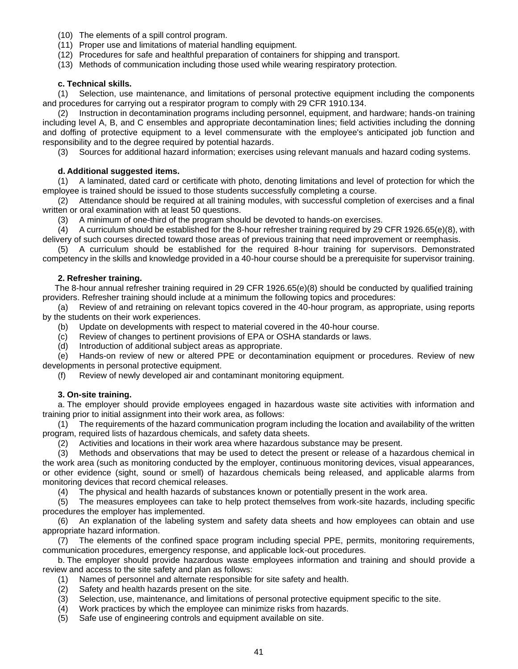- (10) The elements of a spill control program.
- (11) Proper use and limitations of material handling equipment.
- (12) Procedures for safe and healthful preparation of containers for shipping and transport.
- (13) Methods of communication including those used while wearing respiratory protection.

#### **c. Technical skills.**

(1) Selection, use maintenance, and limitations of personal protective equipment including the components and procedures for carrying out a respirator program to comply with 29 CFR 1910.134.

(2) Instruction in decontamination programs including personnel, equipment, and hardware; hands-on training including level A, B, and C ensembles and appropriate decontamination lines; field activities including the donning and doffing of protective equipment to a level commensurate with the employee's anticipated job function and responsibility and to the degree required by potential hazards.

(3) Sources for additional hazard information; exercises using relevant manuals and hazard coding systems.

#### **d. Additional suggested items.**

(1) A laminated, dated card or certificate with photo, denoting limitations and level of protection for which the employee is trained should be issued to those students successfully completing a course.

(2) Attendance should be required at all training modules, with successful completion of exercises and a final written or oral examination with at least 50 questions.

(3) A minimum of one-third of the program should be devoted to hands-on exercises.

(4) A curriculum should be established for the 8-hour refresher training required by 29 CFR 1926.65(e)(8), with delivery of such courses directed toward those areas of previous training that need improvement or reemphasis.

(5) A curriculum should be established for the required 8-hour training for supervisors. Demonstrated competency in the skills and knowledge provided in a 40-hour course should be a prerequisite for supervisor training.

#### **2. Refresher training.**

The 8-hour annual refresher training required in 29 CFR 1926.65(e)(8) should be conducted by qualified training providers. Refresher training should include at a minimum the following topics and procedures:

(a) Review of and retraining on relevant topics covered in the 40-hour program, as appropriate, using reports by the students on their work experiences.

- (b) Update on developments with respect to material covered in the 40-hour course.
- (c) Review of changes to pertinent provisions of EPA or OSHA standards or laws.
- (d) Introduction of additional subject areas as appropriate.

(e) Hands-on review of new or altered PPE or decontamination equipment or procedures. Review of new developments in personal protective equipment.

(f) Review of newly developed air and contaminant monitoring equipment.

#### **3. On-site training.**

a. The employer should provide employees engaged in hazardous waste site activities with information and training prior to initial assignment into their work area, as follows:

(1) The requirements of the hazard communication program including the location and availability of the written program, required lists of hazardous chemicals, and safety data sheets.

(2) Activities and locations in their work area where hazardous substance may be present.

(3) Methods and observations that may be used to detect the present or release of a hazardous chemical in the work area (such as monitoring conducted by the employer, continuous monitoring devices, visual appearances, or other evidence (sight, sound or smell) of hazardous chemicals being released, and applicable alarms from monitoring devices that record chemical releases.

(4) The physical and health hazards of substances known or potentially present in the work area.

(5) The measures employees can take to help protect themselves from work-site hazards, including specific procedures the employer has implemented.

(6) An explanation of the labeling system and safety data sheets and how employees can obtain and use appropriate hazard information.

(7) The elements of the confined space program including special PPE, permits, monitoring requirements, communication procedures, emergency response, and applicable lock-out procedures.

b. The employer should provide hazardous waste employees information and training and should provide a review and access to the site safety and plan as follows:

(1) Names of personnel and alternate responsible for site safety and health.

- (2) Safety and health hazards present on the site.
- (3) Selection, use, maintenance, and limitations of personal protective equipment specific to the site.
- (4) Work practices by which the employee can minimize risks from hazards.
- (5) Safe use of engineering controls and equipment available on site.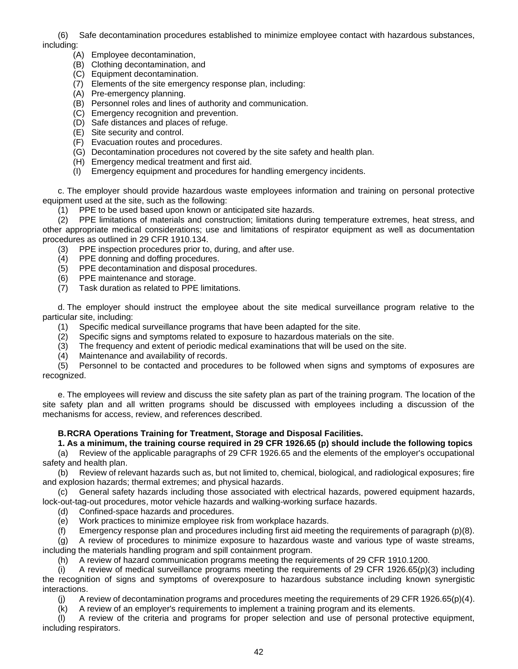(6) Safe decontamination procedures established to minimize employee contact with hazardous substances, including:

- (A) Employee decontamination,
- (B) Clothing decontamination, and
- (C) Equipment decontamination.
- (7) Elements of the site emergency response plan, including:
- (A) Pre-emergency planning.
- (B) Personnel roles and lines of authority and communication.
- (C) Emergency recognition and prevention.
- (D) Safe distances and places of refuge.
- (E) Site security and control.
- (F) Evacuation routes and procedures.
- (G) Decontamination procedures not covered by the site safety and health plan.
- (H) Emergency medical treatment and first aid.
- (I) Emergency equipment and procedures for handling emergency incidents.

c. The employer should provide hazardous waste employees information and training on personal protective equipment used at the site, such as the following:

(1) PPE to be used based upon known or anticipated site hazards.

(2) PPE limitations of materials and construction; limitations during temperature extremes, heat stress, and other appropriate medical considerations; use and limitations of respirator equipment as well as documentation procedures as outlined in 29 CFR 1910.134.

- (3) PPE inspection procedures prior to, during, and after use.
- (4) PPE donning and doffing procedures.
- (5) PPE decontamination and disposal procedures.
- (6) PPE maintenance and storage.
- (7) Task duration as related to PPE limitations.

d. The employer should instruct the employee about the site medical surveillance program relative to the particular site, including:

- (1) Specific medical surveillance programs that have been adapted for the site.
- (2) Specific signs and symptoms related to exposure to hazardous materials on the site.
- (3) The frequency and extent of periodic medical examinations that will be used on the site.
- (4) Maintenance and availability of records.

(5) Personnel to be contacted and procedures to be followed when signs and symptoms of exposures are recognized.

e. The employees will review and discuss the site safety plan as part of the training program. The location of the site safety plan and all written programs should be discussed with employees including a discussion of the mechanisms for access, review, and references described.

# **B.RCRA Operations Training for Treatment, Storage and Disposal Facilities.**

#### **1. As a minimum, the training course required in 29 CFR 1926.65 (p) should include the following topics**

(a) Review of the applicable paragraphs of 29 CFR 1926.65 and the elements of the employer's occupational safety and health plan.

(b) Review of relevant hazards such as, but not limited to, chemical, biological, and radiological exposures; fire and explosion hazards; thermal extremes; and physical hazards.

(c) General safety hazards including those associated with electrical hazards, powered equipment hazards, lock-out-tag-out procedures, motor vehicle hazards and walking-working surface hazards.

- (d) Confined-space hazards and procedures.
- (e) Work practices to minimize employee risk from workplace hazards.
- (f) Emergency response plan and procedures including first aid meeting the requirements of paragraph (p)(8).

(g) A review of procedures to minimize exposure to hazardous waste and various type of waste streams, including the materials handling program and spill containment program.

(h) A review of hazard communication programs meeting the requirements of 29 CFR 1910.1200.

(i) A review of medical surveillance programs meeting the requirements of 29 CFR 1926.65(p)(3) including the recognition of signs and symptoms of overexposure to hazardous substance including known synergistic interactions.

(j) A review of decontamination programs and procedures meeting the requirements of 29 CFR 1926.65(p)(4).

(k) A review of an employer's requirements to implement a training program and its elements.

(l) A review of the criteria and programs for proper selection and use of personal protective equipment, including respirators.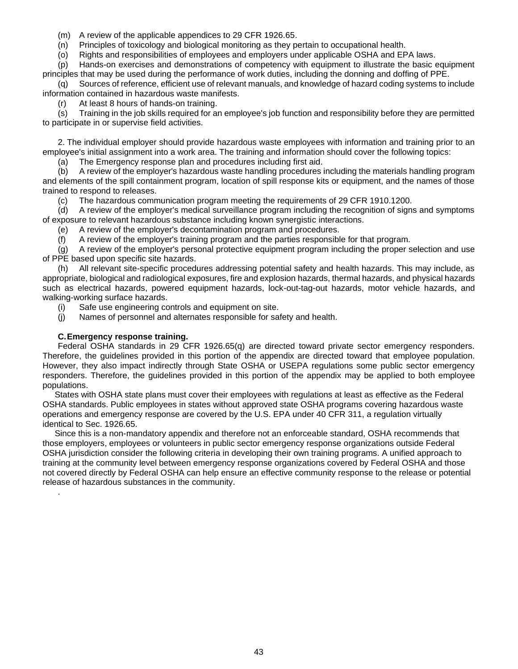(m) A review of the applicable appendices to 29 CFR 1926.65.

(n) Principles of toxicology and biological monitoring as they pertain to occupational health.

(o) Rights and responsibilities of employees and employers under applicable OSHA and EPA laws.

(p) Hands-on exercises and demonstrations of competency with equipment to illustrate the basic equipment principles that may be used during the performance of work duties, including the donning and doffing of PPE.

Sources of reference, efficient use of relevant manuals, and knowledge of hazard coding systems to include information contained in hazardous waste manifests.

(r) At least 8 hours of hands-on training.

(s) Training in the job skills required for an employee's job function and responsibility before they are permitted to participate in or supervise field activities.

2. The individual employer should provide hazardous waste employees with information and training prior to an employee's initial assignment into a work area. The training and information should cover the following topics:

(a) The Emergency response plan and procedures including first aid.

(b) A review of the employer's hazardous waste handling procedures including the materials handling program and elements of the spill containment program, location of spill response kits or equipment, and the names of those trained to respond to releases.

(c) The hazardous communication program meeting the requirements of 29 CFR 1910.1200.

(d) A review of the employer's medical surveillance program including the recognition of signs and symptoms of exposure to relevant hazardous substance including known synergistic interactions.

(e) A review of the employer's decontamination program and procedures.

(f) A review of the employer's training program and the parties responsible for that program.

(g) A review of the employer's personal protective equipment program including the proper selection and use of PPE based upon specific site hazards.

(h) All relevant site-specific procedures addressing potential safety and health hazards. This may include, as appropriate, biological and radiological exposures, fire and explosion hazards, thermal hazards, and physical hazards such as electrical hazards, powered equipment hazards, lock-out-tag-out hazards, motor vehicle hazards, and walking-working surface hazards.

(i) Safe use engineering controls and equipment on site.

(j) Names of personnel and alternates responsible for safety and health.

#### **C.Emergency response training.**

.

Federal OSHA standards in 29 CFR 1926.65(q) are directed toward private sector emergency responders. Therefore, the guidelines provided in this portion of the appendix are directed toward that employee population. However, they also impact indirectly through State OSHA or USEPA regulations some public sector emergency responders. Therefore, the guidelines provided in this portion of the appendix may be applied to both employee populations.

States with OSHA state plans must cover their employees with regulations at least as effective as the Federal OSHA standards. Public employees in states without approved state OSHA programs covering hazardous waste operations and emergency response are covered by the U.S. EPA under 40 CFR 311, a regulation virtually identical to Sec. 1926.65.

Since this is a non-mandatory appendix and therefore not an enforceable standard, OSHA recommends that those employers, employees or volunteers in public sector emergency response organizations outside Federal OSHA jurisdiction consider the following criteria in developing their own training programs. A unified approach to training at the community level between emergency response organizations covered by Federal OSHA and those not covered directly by Federal OSHA can help ensure an effective community response to the release or potential release of hazardous substances in the community.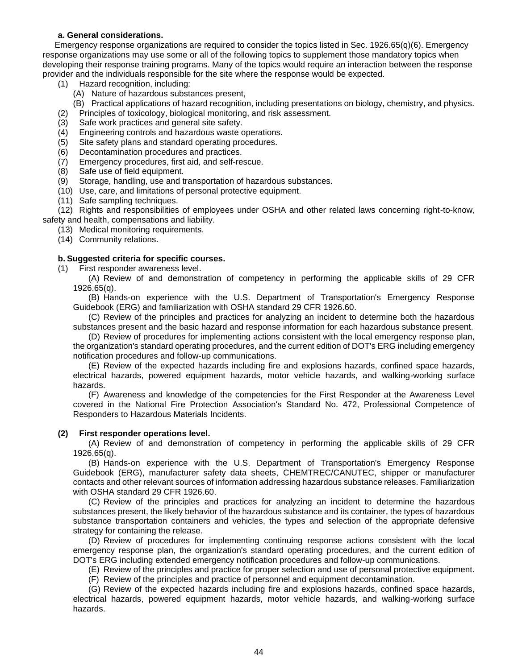#### **a. General considerations.**

Emergency response organizations are required to consider the topics listed in Sec. 1926.65(q)(6). Emergency response organizations may use some or all of the following topics to supplement those mandatory topics when developing their response training programs. Many of the topics would require an interaction between the response provider and the individuals responsible for the site where the response would be expected.

- (1) Hazard recognition, including:
	- (A) Nature of hazardous substances present,
	- (B) Practical applications of hazard recognition, including presentations on biology, chemistry, and physics.
- (2) Principles of toxicology, biological monitoring, and risk assessment.
- (3) Safe work practices and general site safety.
- (4) Engineering controls and hazardous waste operations.
- (5) Site safety plans and standard operating procedures.
- (6) Decontamination procedures and practices.
- (7) Emergency procedures, first aid, and self-rescue.
- (8) Safe use of field equipment.
- (9) Storage, handling, use and transportation of hazardous substances.
- (10) Use, care, and limitations of personal protective equipment.
- (11) Safe sampling techniques.

(12) Rights and responsibilities of employees under OSHA and other related laws concerning right-to-know, safety and health, compensations and liability.

- (13) Medical monitoring requirements.
- (14) Community relations.

### **b. Suggested criteria for specific courses.**

- (1) First responder awareness level.
	- (A) Review of and demonstration of competency in performing the applicable skills of 29 CFR 1926.65(q).

(B) Hands-on experience with the U.S. Department of Transportation's Emergency Response Guidebook (ERG) and familiarization with OSHA standard 29 CFR 1926.60.

(C) Review of the principles and practices for analyzing an incident to determine both the hazardous substances present and the basic hazard and response information for each hazardous substance present.

(D) Review of procedures for implementing actions consistent with the local emergency response plan, the organization's standard operating procedures, and the current edition of DOT's ERG including emergency notification procedures and follow-up communications.

(E) Review of the expected hazards including fire and explosions hazards, confined space hazards, electrical hazards, powered equipment hazards, motor vehicle hazards, and walking-working surface hazards.

(F) Awareness and knowledge of the competencies for the First Responder at the Awareness Level covered in the National Fire Protection Association's Standard No. 472, Professional Competence of Responders to Hazardous Materials Incidents.

#### **(2) First responder operations level.**

(A) Review of and demonstration of competency in performing the applicable skills of 29 CFR 1926.65(q).

(B) Hands-on experience with the U.S. Department of Transportation's Emergency Response Guidebook (ERG), manufacturer safety data sheets, CHEMTREC/CANUTEC, shipper or manufacturer contacts and other relevant sources of information addressing hazardous substance releases. Familiarization with OSHA standard 29 CFR 1926.60.

(C) Review of the principles and practices for analyzing an incident to determine the hazardous substances present, the likely behavior of the hazardous substance and its container, the types of hazardous substance transportation containers and vehicles, the types and selection of the appropriate defensive strategy for containing the release.

(D) Review of procedures for implementing continuing response actions consistent with the local emergency response plan, the organization's standard operating procedures, and the current edition of DOT's ERG including extended emergency notification procedures and follow-up communications.

(E) Review of the principles and practice for proper selection and use of personal protective equipment.

(F) Review of the principles and practice of personnel and equipment decontamination.

(G) Review of the expected hazards including fire and explosions hazards, confined space hazards, electrical hazards, powered equipment hazards, motor vehicle hazards, and walking-working surface hazards.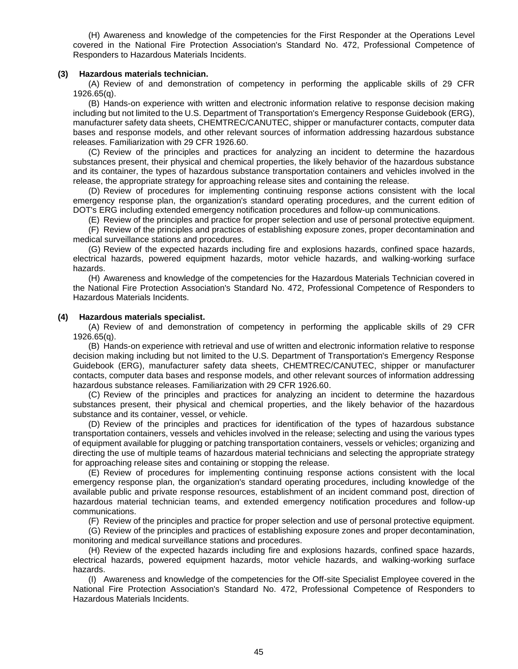(H) Awareness and knowledge of the competencies for the First Responder at the Operations Level covered in the National Fire Protection Association's Standard No. 472, Professional Competence of Responders to Hazardous Materials Incidents.

#### **(3) Hazardous materials technician.**

(A) Review of and demonstration of competency in performing the applicable skills of 29 CFR 1926.65(q).

(B) Hands-on experience with written and electronic information relative to response decision making including but not limited to the U.S. Department of Transportation's Emergency Response Guidebook (ERG), manufacturer safety data sheets, CHEMTREC/CANUTEC, shipper or manufacturer contacts, computer data bases and response models, and other relevant sources of information addressing hazardous substance releases. Familiarization with 29 CFR 1926.60.

(C) Review of the principles and practices for analyzing an incident to determine the hazardous substances present, their physical and chemical properties, the likely behavior of the hazardous substance and its container, the types of hazardous substance transportation containers and vehicles involved in the release, the appropriate strategy for approaching release sites and containing the release.

(D) Review of procedures for implementing continuing response actions consistent with the local emergency response plan, the organization's standard operating procedures, and the current edition of DOT's ERG including extended emergency notification procedures and follow-up communications.

(E) Review of the principles and practice for proper selection and use of personal protective equipment.

(F) Review of the principles and practices of establishing exposure zones, proper decontamination and medical surveillance stations and procedures.

(G) Review of the expected hazards including fire and explosions hazards, confined space hazards, electrical hazards, powered equipment hazards, motor vehicle hazards, and walking-working surface hazards.

(H) Awareness and knowledge of the competencies for the Hazardous Materials Technician covered in the National Fire Protection Association's Standard No. 472, Professional Competence of Responders to Hazardous Materials Incidents.

#### **(4) Hazardous materials specialist.**

(A) Review of and demonstration of competency in performing the applicable skills of 29 CFR 1926.65(q).

(B) Hands-on experience with retrieval and use of written and electronic information relative to response decision making including but not limited to the U.S. Department of Transportation's Emergency Response Guidebook (ERG), manufacturer safety data sheets, CHEMTREC/CANUTEC, shipper or manufacturer contacts, computer data bases and response models, and other relevant sources of information addressing hazardous substance releases. Familiarization with 29 CFR 1926.60.

(C) Review of the principles and practices for analyzing an incident to determine the hazardous substances present, their physical and chemical properties, and the likely behavior of the hazardous substance and its container, vessel, or vehicle.

(D) Review of the principles and practices for identification of the types of hazardous substance transportation containers, vessels and vehicles involved in the release; selecting and using the various types of equipment available for plugging or patching transportation containers, vessels or vehicles; organizing and directing the use of multiple teams of hazardous material technicians and selecting the appropriate strategy for approaching release sites and containing or stopping the release.

(E) Review of procedures for implementing continuing response actions consistent with the local emergency response plan, the organization's standard operating procedures, including knowledge of the available public and private response resources, establishment of an incident command post, direction of hazardous material technician teams, and extended emergency notification procedures and follow-up communications.

(F) Review of the principles and practice for proper selection and use of personal protective equipment.

(G) Review of the principles and practices of establishing exposure zones and proper decontamination, monitoring and medical surveillance stations and procedures.

(H) Review of the expected hazards including fire and explosions hazards, confined space hazards, electrical hazards, powered equipment hazards, motor vehicle hazards, and walking-working surface hazards.

(I) Awareness and knowledge of the competencies for the Off-site Specialist Employee covered in the National Fire Protection Association's Standard No. 472, Professional Competence of Responders to Hazardous Materials Incidents.